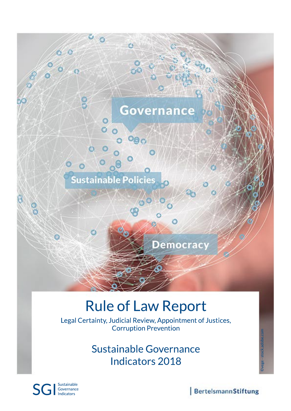

# **Rule of Law Report**

Legal Certainty, Judicial Review, Appointment of Justices, **Corruption Prevention** 

> Sustainable Governance Indicators 2018



BertelsmannStiftung

©vege-stock.adobe.com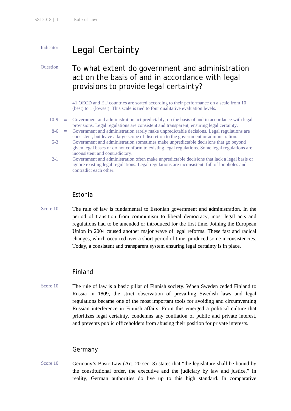# Indicator Legal Certainty

# Question To what extent do government and administration act on the basis of and in accordance with legal provisions to provide legal certainty?

41 OECD and EU countries are sorted according to their performance on a scale from 10 (best) to 1 (lowest). This scale is tied to four qualitative evaluation levels.

- 10-9 = Government and administration act predictably, on the basis of and in accordance with legal provisions. Legal regulations are consistent and transparent, ensuring legal certainty.
- 8-6 = Government and administration rarely make unpredictable decisions. Legal regulations are consistent, but leave a large scope of discretion to the government or administration.
- 5-3 = Government and administration sometimes make unpredictable decisions that go beyond given legal bases or do not conform to existing legal regulations. Some legal regulations are inconsistent and contradictory.
- 2-1 = Government and administration often make unpredictable decisions that lack a legal basis or ignore existing legal regulations. Legal regulations are inconsistent, full of loopholes and contradict each other.

#### Estonia

Score 10 The rule of law is fundamental to Estonian government and administration. In the period of transition from communism to liberal democracy, most legal acts and regulations had to be amended or introduced for the first time. Joining the European Union in 2004 caused another major wave of legal reforms. These fast and radical changes, which occurred over a short period of time, produced some inconsistencies. Today, a consistent and transparent system ensuring legal certainty is in place.

#### Finland

Score 10 The rule of law is a basic pillar of Finnish society. When Sweden ceded Finland to Russia in 1809, the strict observation of prevailing Swedish laws and legal regulations became one of the most important tools for avoiding and circumventing Russian interference in Finnish affairs. From this emerged a political culture that prioritizes legal certainty, condemns any conflation of public and private interest, and prevents public officeholders from abusing their position for private interests.

#### Germany

Score 10 Germany's Basic Law (Art. 20 sec. 3) states that "the legislature shall be bound by the constitutional order, the executive and the judiciary by law and justice." In reality, German authorities do live up to this high standard. In comparative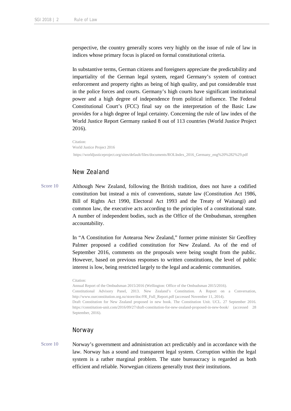perspective, the country generally scores very highly on the issue of rule of law in indices whose primary focus is placed on formal constitutional criteria.

In substantive terms, German citizens and foreigners appreciate the predictability and impartiality of the German legal system, regard Germany's system of contract enforcement and property rights as being of high quality, and put considerable trust in the police forces and courts. Germany's high courts have significant institutional power and a high degree of independence from political influence. The Federal Constitutional Court's (FCC) final say on the interpretation of the Basic Law provides for a high degree of legal certainty. Concerning the rule of law index of the World Justice Report Germany ranked 8 out of 113 countries (World Justice Project 2016).

Citation: World Justice Project 2016 https://worldjusticeproject.org/sites/default/files/documents/ROLIndex\_2016\_Germany\_eng%20%282%29.pdf

### New Zealand

Score 10 Although New Zealand, following the British tradition, does not have a codified constitution but instead a mix of conventions, statute law (Constitution Act 1986, Bill of Rights Act 1990, Electoral Act 1993 and the Treaty of Waitangi) and common law, the executive acts according to the principles of a constitutional state. A number of independent bodies, such as the Office of the Ombudsman, strengthen accountability.

> In "A Constitution for Aotearoa New Zealand," former prime minister Sir Geoffrey Palmer proposed a codified constitution for New Zealand. As of the end of September 2016, comments on the proposals were being sought from the public. However, based on previous responses to written constitutions, the level of public interest is low, being restricted largely to the legal and academic communities.

#### Citation:

Annual Report of the Ombudsman 2015/2016 (Wellington: Office of the Ombudsman 2015/2016). Constitutional Advisory Panel, 2013. New Zealand's Constitution. A Report on a Conversation, http://www.ourconstitution.org.nz/store/doc/FR\_Full\_Report.pdf (accessed November 11, 2014). Draft Constitution for New Zealand proposed in new book. The Constitution Unit. UCL. 27 September 2016. https://constitution-unit.com/2016/09/27/draft-constitution-for-new-zealand-proposed-in-new-book/ (accessed 28 September, 2016).

#### Norway

Score 10 Norway's government and administration act predictably and in accordance with the law. Norway has a sound and transparent legal system. Corruption within the legal system is a rather marginal problem. The state bureaucracy is regarded as both efficient and reliable. Norwegian citizens generally trust their institutions.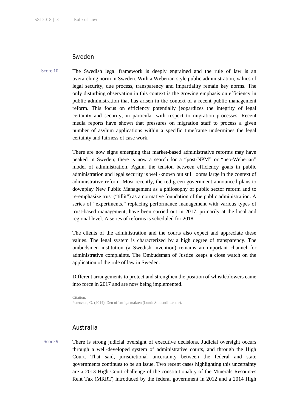### Sweden

Score 10 The Swedish legal framework is deeply engrained and the rule of law is an overarching norm in Sweden. With a Weberian-style public administration, values of legal security, due process, transparency and impartiality remain key norms. The only disturbing observation in this context is the growing emphasis on efficiency in public administration that has arisen in the context of a recent public management reform. This focus on efficiency potentially jeopardizes the integrity of legal certainty and security, in particular with respect to migration processes. Recent media reports have shown that pressures on migration staff to process a given number of asylum applications within a specific timeframe undermines the legal certainty and fairness of case work.

> There are now signs emerging that market-based administrative reforms may have peaked in Sweden; there is now a search for a "post-NPM" or "neo-Weberian" model of administration. Again, the tension between efficiency goals in public administration and legal security is well-known but still looms large in the context of administrative reform. Most recently, the red-green government announced plans to downplay New Public Management as a philosophy of public sector reform and to re-emphasize trust ("tillit") as a normative foundation of the public administration. A series of "experiments," replacing performance management with various types of trust-based management, have been carried out in 2017, primarily at the local and regional level. A series of reforms is scheduled for 2018.

> The clients of the administration and the courts also expect and appreciate these values. The legal system is characterized by a high degree of transparency. The ombudsmen institution (a Swedish invention) remains an important channel for administrative complaints. The Ombudsman of Justice keeps a close watch on the application of the rule of law in Sweden.

> Different arrangements to protect and strengthen the position of whistleblowers came into force in 2017 and are now being implemented.

Citation: Petersson, O. (2014), Den offentliga makten (Lund: Studentlitteratur).

#### Australia

Score 9 There is strong judicial oversight of executive decisions. Judicial oversight occurs through a well-developed system of administrative courts, and through the High Court. That said, jurisdictional uncertainty between the federal and state governments continues to be an issue. Two recent cases highlighting this uncertainty are a 2013 High Court challenge of the constitutionality of the Minerals Resources Rent Tax (MRRT) introduced by the federal government in 2012 and a 2014 High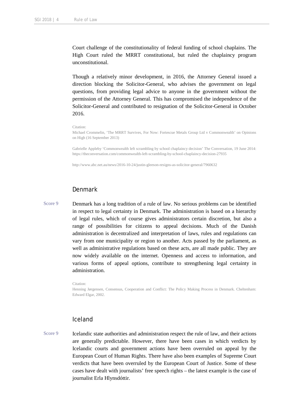Court challenge of the constitutionality of federal funding of school chaplains. The High Court ruled the MRRT constitutional, but ruled the chaplaincy program unconstitutional.

Though a relatively minor development, in 2016, the Attorney General issued a direction blocking the Solicitor-General, who advises the government on legal questions, from providing legal advice to anyone in the government without the permission of the Attorney General. This has compromised the independence of the Solicitor-General and contributed to resignation of the Solicitor-General in October 2016.

Citation:

Michael Crommelin, 'The MRRT Survives, For Now: Fortescue Metals Group Ltd v Commonwealth' on Opinions on High (16 September 2013)

Gabrielle Appleby 'Commonwealth left scrambling by school chaplaincy decision' The Conversation, 19 June 2014: https://theconversation.com/commonwealth-left-scrambling-by-school-chaplaincy-decision-27935

http://www.abc.net.au/news/2016-10-24/justin-gleeson-resigns-as-solicitor-general/7960632

### Denmark

Score 9 Denmark has a long tradition of a rule of law. No serious problems can be identified in respect to legal certainty in Denmark. The administration is based on a hierarchy of legal rules, which of course gives administrators certain discretion, but also a range of possibilities for citizens to appeal decisions. Much of the Danish administration is decentralized and interpretation of laws, rules and regulations can vary from one municipality or region to another. Acts passed by the parliament, as well as administrative regulations based on these acts, are all made public. They are now widely available on the internet. Openness and access to information, and various forms of appeal options, contribute to strengthening legal certainty in administration.

Citation:

Henning Jørgensen, Consensus, Cooperation and Conflict: The Policy Making Process in Denmark. Cheltenham: Edward Elgar, 2002.

#### Iceland

Score 9 Icelandic state authorities and administration respect the rule of law, and their actions are generally predictable. However, there have been cases in which verdicts by Icelandic courts and government actions have been overruled on appeal by the European Court of Human Rights. There have also been examples of Supreme Court verdicts that have been overruled by the European Court of Justice. Some of these cases have dealt with journalists' free speech rights – the latest example is the case of journalist Erla Hlynsdóttir.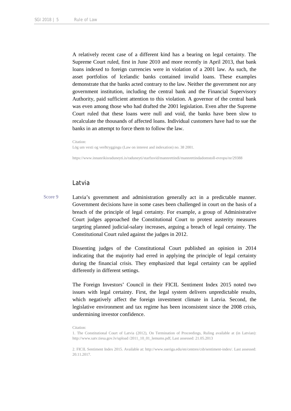A relatively recent case of a different kind has a bearing on legal certainty. The Supreme Court ruled, first in June 2010 and more recently in April 2013, that bank loans indexed to foreign currencies were in violation of a 2001 law. As such, the asset portfolios of Icelandic banks contained invalid loans. These examples demonstrate that the banks acted contrary to the law. Neither the government nor any government institution, including the central bank and the Financial Supervisory Authority, paid sufficient attention to this violation. A governor of the central bank was even among those who had drafted the 2001 legislation. Even after the Supreme Court ruled that these loans were null and void, the banks have been slow to recalculate the thousands of affected loans. Individual customers have had to sue the banks in an attempt to force them to follow the law.

Citation: Lög um vexti og verðtryggingu (Law on interest and indexation) no. 38 2001.

https://www.innanrikisraduneyti.is/raduneyti/starfssvid/mannrettindi/mannrettindadomstoll-evropu/nr/29388

#### Latvia

Score 9 Latvia's government and administration generally act in a predictable manner. Government decisions have in some cases been challenged in court on the basis of a breach of the principle of legal certainty. For example, a group of Administrative Court judges approached the Constitutional Court to protest austerity measures targeting planned judicial-salary increases, arguing a breach of legal certainty. The Constitutional Court ruled against the judges in 2012.

> Dissenting judges of the Constitutional Court published an opinion in 2014 indicating that the majority had erred in applying the principle of legal certainty during the financial crisis. They emphasized that legal certainty can be applied differently in different settings.

> The Foreign Investors' Council in their FICIL Sentiment Index 2015 noted two issues with legal certainty. First, the legal system delivers unpredictable results, which negatively affect the foreign investment climate in Latvia. Second, the legislative environment and tax regime has been inconsistent since the 2008 crisis, undermining investor confidence.

Citation:

<sup>1.</sup> The Constitutional Court of Latvia (2012), On Termination of Proceedings, Ruling available at (in Latvian): http://www.satv.tiesa.gov.lv/upload /2011\_10\_01\_lemums.pdf, Last assessed: 21.05.2013

<sup>2.</sup> FICIL Sentiment Index 2015. Available at: http://www.sseriga.edu/en/centres/csb/sentiment-index/. Last assessed: 20.11.2017.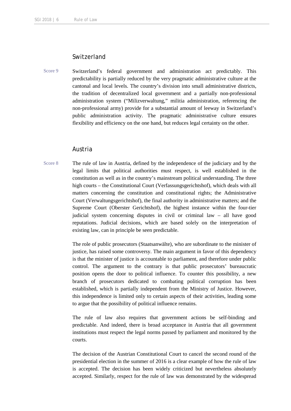# **Switzerland**

Score 9 Switzerland's federal government and administration act predictably. This predictability is partially reduced by the very pragmatic administrative culture at the cantonal and local levels. The country's division into small administrative districts, the tradition of decentralized local government and a partially non-professional administration system ("Milizverwaltung," militia administration, referencing the non-professional army) provide for a substantial amount of leeway in Switzerland's public administration activity. The pragmatic administrative culture ensures flexibility and efficiency on the one hand, but reduces legal certainty on the other.

#### Austria

Score 8 The rule of law in Austria, defined by the independence of the judiciary and by the legal limits that political authorities must respect, is well established in the constitution as well as in the country's mainstream political understanding. The three high courts – the Constitutional Court (Verfassungsgerichtshof), which deals with all matters concerning the constitution and constitutional rights; the Administrative Court (Verwaltungsgerichtshof), the final authority in administrative matters; and the Supreme Court (Oberster Gerichtshof), the highest instance within the four-tier judicial system concerning disputes in civil or criminal law – all have good reputations. Judicial decisions, which are based solely on the interpretation of existing law, can in principle be seen predictable.

> The role of public prosecutors (Staatsanwälte), who are subordinate to the minister of justice, has raised some controversy. The main argument in favor of this dependency is that the minister of justice is accountable to parliament, and therefore under public control. The argument to the contrary is that public prosecutors' bureaucratic position opens the door to political influence. To counter this possibility, a new branch of prosecutors dedicated to combating political corruption has been established, which is partially independent from the Ministry of Justice. However, this independence is limited only to certain aspects of their activities, leading some to argue that the possibility of political influence remains.

> The rule of law also requires that government actions be self-binding and predictable. And indeed, there is broad acceptance in Austria that all government institutions must respect the legal norms passed by parliament and monitored by the courts.

> The decision of the Austrian Constitutional Court to cancel the second round of the presidential election in the summer of 2016 is a clear example of how the rule of law is accepted. The decision has been widely criticized but nevertheless absolutely accepted. Similarly, respect for the rule of law was demonstrated by the widespread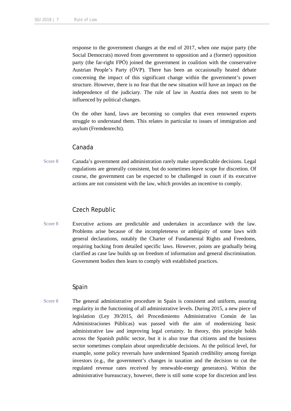response to the government changes at the end of 2017, when one major party (the Social Democrats) moved from government to opposition and a (former) opposition party (the far-right FPÖ) joined the government in coalition with the conservative Austrian People's Party (ÖVP). There has been an occasionally heated debate concerning the impact of this significant change within the government's power structure. However, there is no fear that the new situation will have an impact on the independence of the judiciary. The rule of law in Austria does not seem to be influenced by political changes.

On the other hand, laws are becoming so complex that even renowned experts struggle to understand them. This relates in particular to issues of immigration and asylum (Fremdenrecht).

#### Canada

Score 8 Canada's government and administration rarely make unpredictable decisions. Legal regulations are generally consistent, but do sometimes leave scope for discretion. Of course, the government can be expected to be challenged in court if its executive actions are not consistent with the law, which provides an incentive to comply.

### Czech Republic

Score 8 Executive actions are predictable and undertaken in accordance with the law. Problems arise because of the incompleteness or ambiguity of some laws with general declarations, notably the Charter of Fundamental Rights and Freedoms, requiring backing from detailed specific laws. However, points are gradually being clarified as case law builds up on freedom of information and general discrimination. Government bodies then learn to comply with established practices.

#### Spain

Score 8 The general administrative procedure in Spain is consistent and uniform, assuring regularity in the functioning of all administrative levels. During 2015, a new piece of legislation (Ley 39/2015, del Procedimiento Administrativo Común de las Administraciones Públicas) was passed with the aim of modernizing basic administrative law and improving legal certainty. In theory, this principle holds across the Spanish public sector, but it is also true that citizens and the business sector sometimes complain about unpredictable decisions. At the political level, for example, some policy reversals have undermined Spanish credibility among foreign investors (e.g., the government's changes in taxation and the decision to cut the regulated revenue rates received by renewable-energy generators). Within the administrative bureaucracy, however, there is still some scope for discretion and less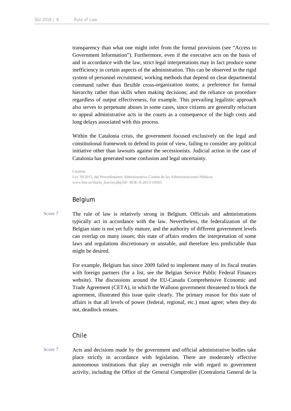transparency than what one might infer from the formal provisions (see "Access to Government Information"). Furthermore, even if the executive acts on the basis of and in accordance with the law, strict legal interpretations may in fact produce some inefficiency in certain aspects of the administration. This can be observed in the rigid system of personnel recruitment; working methods that depend on clear departmental command rather than flexible cross-organization teams; a preference for formal hierarchy rather than skills when making decisions; and the reliance on procedure regardless of output effectiveness, for example. This prevailing legalistic approach also serves to perpetuate abuses in some cases, since citizens are generally reluctant to appeal administrative acts in the courts as a consequence of the high costs and long delays associated with this process.

Within the Catalonia crisis, the government focused exclusively on the legal and constitutional framework to defend its point of view, failing to consider any political initiative other than lawsuits against the secessionists. Judicial action in the case of Catalonia has generated some confusion and legal uncertainty.

```
Citation:
```

```
Ley 39/2015, del Procedimiento Administrativo Común de las Administraciones Públicas 
www.boe.es/diario_boe/txt.php?id= BOE-A-2015-10565
```
#### Belgium

Score 7 The rule of law is relatively strong in Belgium. Officials and administrations typically act in accordance with the law. Nevertheless, the federalization of the Belgian state is not yet fully mature, and the authority of different government levels can overlap on many issues; this state of affairs renders the interpretation of some laws and regulations discretionary or unstable, and therefore less predictable than might be desired.

> For example, Belgium has since 2009 failed to implement many of its fiscal treaties with foreign partners (for a list, see the Belgian Service Public Federal Finances website). The discussions around the EU-Canada Comprehensive Economic and Trade Agreement (CETA), in which the Walloon government threatened to block the agreement, illustrated this issue quite clearly. The primary reason for this state of affairs is that all levels of power (federal, regional, etc.) must agree; when they do not, deadlock ensues.

#### Chile

Score 7 Acts and decisions made by the government and official administrative bodies take place strictly in accordance with legislation. There are moderately effective autonomous institutions that play an oversight role with regard to government activity, including the Office of the General Comptroller (Contraloría General de la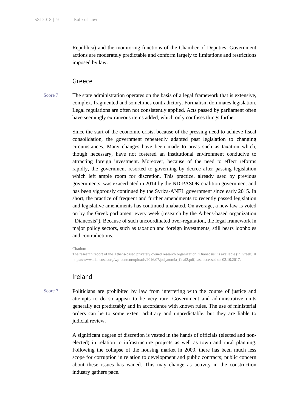República) and the monitoring functions of the Chamber of Deputies. Government actions are moderately predictable and conform largely to limitations and restrictions imposed by law.

#### Greece

Score 7 The state administration operates on the basis of a legal framework that is extensive, complex, fragmented and sometimes contradictory. Formalism dominates legislation. Legal regulations are often not consistently applied. Acts passed by parliament often have seemingly extraneous items added, which only confuses things further.

> Since the start of the economic crisis, because of the pressing need to achieve fiscal consolidation, the government repeatedly adapted past legislation to changing circumstances. Many changes have been made to areas such as taxation which, though necessary, have not fostered an institutional environment conducive to attracting foreign investment. Moreover, because of the need to effect reforms rapidly, the government resorted to governing by decree after passing legislation which left ample room for discretion. This practice, already used by previous governments, was exacerbated in 2014 by the ND-PASOK coalition government and has been vigorously continued by the Syriza-ANEL government since early 2015. In short, the practice of frequent and further amendments to recently passed legislation and legislative amendments has continued unabated. On average, a new law is voted on by the Greek parliament every week (research by the Athens-based organization "Dianeosis"). Because of such uncoordinated over-regulation, the legal framework in major policy sectors, such as taxation and foreign investments, still bears loopholes and contradictions.

#### Citation:

The research report of the Athens-based privately owned research organization "Dianeosis" is available (in Greek) at https://www.dianeosis.org/wp-content/uploads/2016/07/polynomia\_final2.pdf, last accessed on 03.10.2017.

### Ireland

Score 7 Politicians are prohibited by law from interfering with the course of justice and attempts to do so appear to be very rare. Government and administrative units generally act predictably and in accordance with known rules. The use of ministerial orders can be to some extent arbitrary and unpredictable, but they are liable to judicial review.

> A significant degree of discretion is vested in the hands of officials (elected and nonelected) in relation to infrastructure projects as well as town and rural planning. Following the collapse of the housing market in 2009, there has been much less scope for corruption in relation to development and public contracts; public concern about these issues has waned. This may change as activity in the construction industry gathers pace.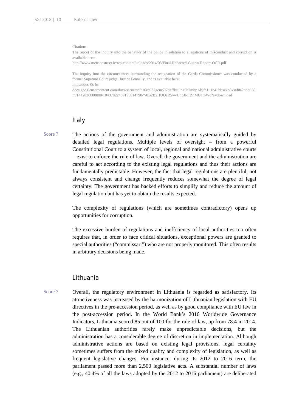Citation:

The report of the Inquiry into the behavior of the police in relation to allegations of misconduct and corruption is available here:

http://www.merrionstreet.ie/wp-content/uploads/2014/05/Final-Redacted-Guerin-Report-OCR.pdf

The inquiry into the circumstances surrounding the resignation of the Garda Commissioner was conducted by a former Supreme Court judge, Justice Fennelly, and is available here: https://doc-0s-bs-

docs.googleusercontent.com/docs/securesc/ha0ro937gcuc7l7deffksulhg5h7mbp1/bjfn1u1n4ifdcsekb8vsaf0a2nnd850 m/1442836800000/10437822469195814790/\*/0B2B2HUQaR5vwUnpJRTZnMU1tbWc?e=download

#### Italy

Score 7 The actions of the government and administration are systematically guided by detailed legal regulations. Multiple levels of oversight – from a powerful Constitutional Court to a system of local, regional and national administrative courts – exist to enforce the rule of law. Overall the government and the administration are careful to act according to the existing legal regulations and thus their actions are fundamentally predictable. However, the fact that legal regulations are plentiful, not always consistent and change frequently reduces somewhat the degree of legal certainty. The government has backed efforts to simplify and reduce the amount of legal regulation but has yet to obtain the results expected.

> The complexity of regulations (which are sometimes contradictory) opens up opportunities for corruption.

> The excessive burden of regulations and inefficiency of local authorities too often requires that, in order to face critical situations, exceptional powers are granted to special authorities ("commissari") who are not properly monitored. This often results in arbitrary decisions being made.

#### Lithuania

Score 7 Overall, the regulatory environment in Lithuania is regarded as satisfactory. Its attractiveness was increased by the harmonization of Lithuanian legislation with EU directives in the pre-accession period, as well as by good compliance with EU law in the post-accession period. In the World Bank's 2016 Worldwide Governance Indicators, Lithuania scored 85 out of 100 for the rule of law, up from 78.4 in 2014. The Lithuanian authorities rarely make unpredictable decisions, but the administration has a considerable degree of discretion in implementation. Although administrative actions are based on existing legal provisions, legal certainty sometimes suffers from the mixed quality and complexity of legislation, as well as frequent legislative changes. For instance, during its 2012 to 2016 term, the parliament passed more than 2,500 legislative acts. A substantial number of laws (e.g., 40.4% of all the laws adopted by the 2012 to 2016 parliament) are deliberated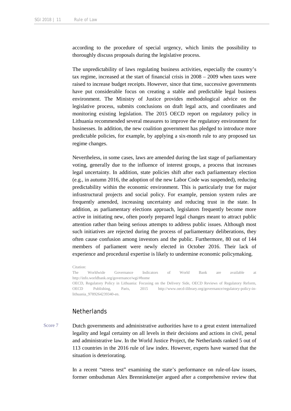according to the procedure of special urgency, which limits the possibility to thoroughly discuss proposals during the legislative process.

The unpredictability of laws regulating business activities, especially the country's tax regime, increased at the start of financial crisis in 2008 – 2009 when taxes were raised to increase budget receipts. However, since that time, successive governments have put considerable focus on creating a stable and predictable legal business environment. The Ministry of Justice provides methodological advice on the legislative process, submits conclusions on draft legal acts, and coordinates and monitoring existing legislation. The 2015 OECD report on regulatory policy in Lithuania recommended several measures to improve the regulatory environment for businesses. In addition, the new coalition government has pledged to introduce more predictable policies, for example, by applying a six-month rule to any proposed tax regime changes.

Nevertheless, in some cases, laws are amended during the last stage of parliamentary voting, generally due to the influence of interest groups, a process that increases legal uncertainty. In addition, state policies shift after each parliamentary election (e.g., in autumn 2016, the adoption of the new Labor Code was suspended), reducing predictability within the economic environment. This is particularly true for major infrastructural projects and social policy. For example, pension system rules are frequently amended, increasing uncertainty and reducing trust in the state. In addition, as parliamentary elections approach, legislators frequently become more active in initiating new, often poorly prepared legal changes meant to attract public attention rather than being serious attempts to address public issues. Although most such initiatives are rejected during the process of parliamentary deliberations, they often cause confusion among investors and the public. Furthermore, 80 out of 144 members of parliament were newly elected in October 2016. Their lack of experience and procedural expertise is likely to undermine economic policymaking.

Citation: The Worldwide Governance Indicators of World Bank are available at http://info.worldbank.org/governance/wgi/#home OECD, Regulatory Policy in Lithuania: Focusing on the Delivery Side, OECD Reviews of Regulatory Reform, OECD Publishing, Paris, 2015 http://www.oecd-ilibrary.org/governance/regulatory-policy-inlithuania\_9789264239340-en.

#### **Netherlands**

Score 7 Dutch governments and administrative authorities have to a great extent internalized legality and legal certainty on all levels in their decisions and actions in civil, penal and administrative law. In the World Justice Project, the Netherlands ranked 5 out of 113 countries in the 2016 rule of law index. However, experts have warned that the situation is deteriorating.

> In a recent "stress test" examining the state's performance on rule-of-law issues, former ombudsman Alex Brenninkmeijer argued after a comprehensive review that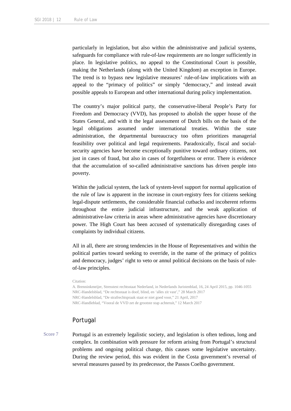particularly in legislation, but also within the administrative and judicial systems, safeguards for compliance with rule-of-law requirements are no longer sufficiently in place. In legislative politics, no appeal to the Constitutional Court is possible, making the Netherlands (along with the United Kingdom) an exception in Europe. The trend is to bypass new legislative measures' rule-of-law implications with an appeal to the "primacy of politics" or simply "democracy," and instead await possible appeals to European and other international during policy implementation.

The country's major political party, the conservative-liberal People's Party for Freedom and Democracy (VVD), has proposed to abolish the upper house of the States General, and with it the legal assessment of Dutch bills on the basis of the legal obligations assumed under international treaties. Within the state administration, the departmental bureaucracy too often prioritizes managerial feasibility over political and legal requirements. Paradoxically, fiscal and socialsecurity agencies have become exceptionally punitive toward ordinary citizens, not just in cases of fraud, but also in cases of forgetfulness or error. There is evidence that the accumulation of so-called administrative sanctions has driven people into poverty.

Within the judicial system, the lack of system-level support for normal application of the rule of law is apparent in the increase in court-registry fees for citizens seeking legal-dispute settlements, the considerable financial cutbacks and incoherent reforms throughout the entire judicial infrastructure, and the weak application of administrative-law criteria in areas where administrative agencies have discretionary power. The High Court has been accused of systematically disregarding cases of complaints by individual citizens.

All in all, there are strong tendencies in the House of Representatives and within the political parties toward seeking to override, in the name of the primacy of politics and democracy, judges' right to veto or annul political decisions on the basis of ruleof-law principles.

Citation:

A. Brenninkmeijer, Stresstest rechtsstaat Nederland, in Nederlands Juristenblad, 16, 24 April 2015, pp. 1046-1055 NRC-Handelsblad, "De rechtsstaat is doof, blind, en 'alles zit vast'," 28 March 2017 NRC-Handelsblad, "De strafrechtspraak staat er niet goed voor," 21 April, 2017 NRC-Handleblad, "Vooral de VVD zet de grootste stap achteruit," 12 March 2017

# Portugal

Score 7 Portugal is an extremely legalistic society, and legislation is often tedious, long and complex. In combination with pressure for reform arising from Portugal's structural problems and ongoing political change, this causes some legislative uncertainty. During the review period, this was evident in the Costa government's reversal of several measures passed by its predecessor, the Passos Coelho government.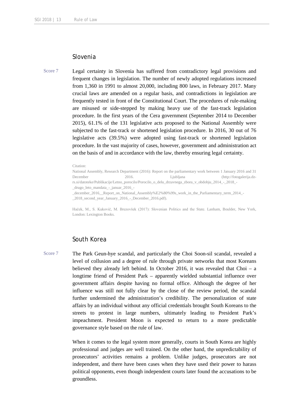#### Slovenia

Score 7 Legal certainty in Slovenia has suffered from contradictory legal provisions and frequent changes in legislation. The number of newly adopted regulations increased from 1,360 in 1991 to almost 20,000, including 800 laws, in February 2017. Many crucial laws are amended on a regular basis, and contradictions in legislation are frequently tested in front of the Constitutional Court. The procedures of rule-making are misused or side-stepped by making heavy use of the fast-track legislation procedure. In the first years of the Cera government (September 2014 to December 2015), 61.1% of the 131 legislative acts proposed to the National Assembly were subjected to the fast-track or shortened legislation procedure. In 2016, 30 out of 76 legislative acts (39.5%) were adopted using fast-track or shortened legislation procedure. In the vast majority of cases, however, government and administration act on the basis of and in accordance with the law, thereby ensuring legal certainty.

#### Citation:

National Assembly, Research Department (2016): Report on the parliamentary work between 1 January 2016 and 31 December 2016. Ljubljana (http://fotogalerija.dzrs.si/datoteke/Publikacije/Letno\_porocilo/Porocilo\_o\_delu\_drzavnega\_zbora\_v\_obdobju\_2014\_-\_2018\_- \_drugo\_leto\_mandata\_-\_januar\_2016\_-

Haček, M., S. Kukovič, M. Brezovšek (2017): Slovenian Politics and the State. Lanham, Boulder, New York, London: Lexington Books.

#### South Korea

Score 7 The Park Geun-hye scandal, and particularly the Choi Soon-sil scandal, revealed a level of collusion and a degree of rule through private networks that most Koreans believed they already left behind. In October 2016, it was revealed that Choi – a longtime friend of President Park – apparently wielded substantial influence over government affairs despite having no formal office. Although the degree of her influence was still not fully clear by the close of the review period, the scandal further undermined the administration's credibility. The personalization of state affairs by an individual without any official credentials brought South Koreans to the streets to protest in large numbers, ultimately leading to President Park's impeachment. President Moon is expected to return to a more predictable governance style based on the rule of law.

> When it comes to the legal system more generally, courts in South Korea are highly professional and judges are well trained. On the other hand, the unpredictability of prosecutors' activities remains a problem. Unlike judges, prosecutors are not independent, and there have been cases when they have used their power to harass political opponents, even though independent courts later found the accusations to be groundless.

\_december\_2016\_\_Report\_on\_National\_Assembly%E2%80%99s\_work\_in\_the\_Parliamentary\_term\_2014\_- \_2018\_second\_year\_January\_2016\_-\_December\_2016.pdf).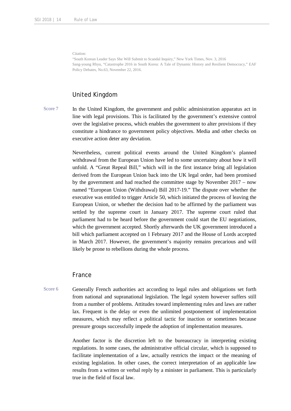Citation:

"South Korean Leader Says She Will Submit to Scandal Inquiry," New York Times, Nov. 3, 2016 Sang-young Rhyu, "Catastrophe 2016 in South Korea: A Tale of Dynamic History and Resilient Democracy," EAF Policy Debates, No.63, November 22, 2016.

#### United Kingdom

Score 7 In the United Kingdom, the government and public administration apparatus act in line with legal provisions. This is facilitated by the government's extensive control over the legislative process, which enables the government to alter provisions if they constitute a hindrance to government policy objectives. Media and other checks on executive action deter any deviation.

> Nevertheless, current political events around the United Kingdom's planned withdrawal from the European Union have led to some uncertainty about how it will unfold. A "Great Repeal Bill," which will in the first instance bring all legislation derived from the European Union back into the UK legal order, had been promised by the government and had reached the committee stage by November 2017 – now named "European Union (Withdrawal) Bill 2017-19." The dispute over whether the executive was entitled to trigger Article 50, which initiated the process of leaving the European Union, or whether the decision had to be affirmed by the parliament was settled by the supreme court in January 2017. The supreme court ruled that parliament had to be heard before the government could start the EU negotiations, which the government accepted. Shortly afterwards the UK government introduced a bill which parliament accepted on 1 February 2017 and the House of Lords accepted in March 2017. However, the government's majority remains precarious and will likely be prone to rebellions during the whole process.

#### France

Score 6 Generally French authorities act according to legal rules and obligations set forth from national and supranational legislation. The legal system however suffers still from a number of problems. Attitudes toward implementing rules and laws are rather lax. Frequent is the delay or even the unlimited postponement of implementation measures, which may reflect a political tactic for inaction or sometimes because pressure groups successfully impede the adoption of implementation measures.

> Another factor is the discretion left to the bureaucracy in interpreting existing regulations. In some cases, the administrative official circular, which is supposed to facilitate implementation of a law, actually restricts the impact or the meaning of existing legislation. In other cases, the correct interpretation of an applicable law results from a written or verbal reply by a minister in parliament. This is particularly true in the field of fiscal law.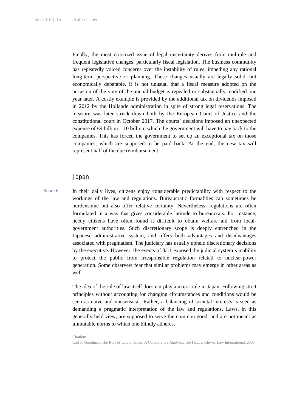Finally, the most criticized issue of legal uncertainty derives from multiple and frequent legislative changes, particularly fiscal legislation. The business community has repeatedly voiced concerns over the instability of rules, impeding any rational long-term perspective or planning. These changes usually are legally solid, but economically debatable. It is not unusual that a fiscal measure adopted on the occasion of the vote of the annual budget is repealed or substantially modified one year later. A costly example is provided by the additional tax on dividends imposed in 2012 by the Hollande administration in spite of strong legal reservations. The measure was later struck down both by the European Court of Justice and the constitutional court in October 2017. The courts' decisions imposed an unexpected expense of  $\bigoplus$  billion – 10 billion, which the government will have to pay back to the companies. This has forced the government to set up an exceptional tax on those companies, which are supposed to be paid back. At the end, the new tax will represent half of the due reimbursement.

#### Japan

Score 6 In their daily lives, citizens enjoy considerable predictability with respect to the workings of the law and regulations. Bureaucratic formalities can sometimes be burdensome but also offer relative certainty. Nevertheless, regulations are often formulated in a way that gives considerable latitude to bureaucrats. For instance, needy citizens have often found it difficult to obtain welfare aid from localgovernment authorities. Such discretionary scope is deeply entrenched in the Japanese administrative system, and offers both advantages and disadvantages associated with pragmatism. The judiciary has usually upheld discretionary decisions by the executive. However, the events of 3/11 exposed the judicial system's inability to protect the public from irresponsible regulation related to nuclear-power generation. Some observers fear that similar problems may emerge in other areas as well.

> The idea of the rule of law itself does not play a major role in Japan. Following strict principles without accounting for changing circumstances and conditions would be seen as naïve and nonsensical. Rather, a balancing of societal interests is seen as demanding a pragmatic interpretation of the law and regulations. Laws, in this generally held view, are supposed to serve the common good, and are not meant as immutable norms to which one blindly adheres.

> Citation: Carl F. Goodman: The Rule of Law in Japan: A Comparative Analysis, The Hague: Kluwer Law International, 2003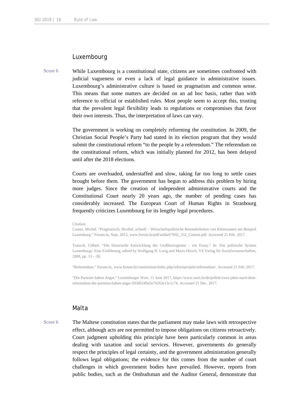#### Luxembourg

Score 6 While Luxembourg is a constitutional state, citizens are sometimes confronted with judicial vagueness or even a lack of legal guidance in administrative issues. Luxembourg's administrative culture is based on pragmatism and common sense. This means that some matters are decided on an ad hoc basis, rather than with reference to official or established rules. Most people seem to accept this, trusting that the prevalent legal flexibility leads to regulations or compromises that favor their own interests. Thus, the interpretation of laws can vary.

> The government is working on completely reforming the constitution. In 2009, the Christian Social People's Party had stated in its election program that they would submit the constitutional reform "to the people by a referendum." The referendum on the constitutional reform, which was initially planned for 2012, has been delayed until after the 2018 elections.

> Courts are overloaded, understaffed and slow, taking far too long to settle cases brought before them. The government has begun to address this problem by hiring more judges. Since the creation of independent administrative courts and the Constitutional Court nearly 20 years ago, the number of pending cases has considerably increased. The European Court of Human Rights in Strasbourg frequently criticizes Luxembourg for its lengthy legal procedures.

Cames, Michel. "Pragmatisch, flexibel, schnell – Wirtschaftspolitische Besonderheiten von Kleinstaaten am Beispiel Luxemburg." Forum.lu, Sept. 2013, www.forum.lu/pdf/artikel/7692\_332\_Camest.pdf. Accessed 21 Feb. 2017.

Trausch, Gilbert. "Die historische Entwicklung des Großherzogtums – ein Essay." In: Das politische System Luxemburgs: Eine Einführung, edited by Wolfgang H. Lorig and Mario Hirsch, VS Verlag für Sozialwissenschaften, 2008, pp. 13 – 30.

"Referendum." Forum.lu, www.forum.lu/constitution/index.php/reformprojekt/referendum/. Accessed 21 Feb. 2017.

"Die Parteien haben Angst." Luxemburger Wort, 11 June 2017, https://www.wort.lu/de/politik/zwei-jahre-nach-demreferendum-die-parteien-haben-angst-593d6249a5e74263e13c1c74. Accessed 21 Dec. 2017.

### Malta

Score 6 The Maltese constitution states that the parliament may make laws with retrospective effect, although acts are not permitted to impose obligations on citizens retroactively. Court judgment upholding this principle have been particularly common in areas dealing with taxation and social services. However, governments do generally respect the principles of legal certainty, and the government administration generally follows legal obligations; the evidence for this comes from the number of court challenges in which government bodies have prevailed. However, reports from public bodies, such as the Ombudsman and the Auditor General, demonstrate that

Citation: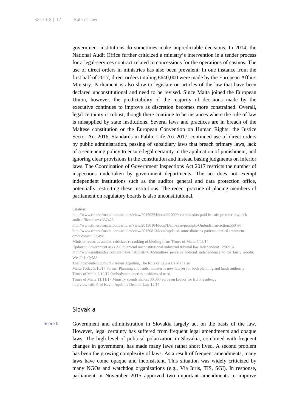government institutions do sometimes make unpredictable decisions. In 2014, the National Audit Office further criticized a ministry's intervention in a tender process for a legal-services contract related to concessions for the operations of casinos. The use of direct orders in ministries has also been prevalent. In one instance from the first half of 2017, direct orders totaling €640,000 were made by the European Affairs Ministry. Parliament is also slow to legislate on articles of the law that have been declared unconstitutional and need to be revised. Since Malta joined the European Union, however, the predictability of the majority of decisions made by the executive continues to improve as discretion becomes more constrained. Overall, legal certainty is robust, though there continue to be instances where the rule of law is misapplied by state institutions. Several laws and practices are in breach of the Maltese constitution or the European Convention on Human Rights: the Justice Sector Act 2016, Standards in Public Life Act 2017, continued use of direct orders by public administration, passing of subsidiary laws that breach primary laws, lack of a sentencing policy to ensure legal certainty in the application of punishment, and ignoring clear provisions in the constitution and instead basing judgments on inferior laws. The Coordination of Government Inspections Act 2017 restricts the number of inspections undertaken by government departments. The act does not exempt independent institutions such as the auditor general and data protection office, potentially restricting these institutions. The recent practice of placing members of parliament on regulatory boards is also unconstitutional.

#### Citation:

http://www.timesofmalta.com/articles/view/20150224/local/210000-commission-paid-in-cafe-premier-buybackaudit-office-slams.557475

http://www.timesofmalta.com/articles/view/20150104/local/Dalli-case-prompts-Ombudsman-action.550497 http://www.timesofmalta.com/articles/view/20150813/local/updated-some-diabetes-patients-denied-treatmentombudsman.580496

Minister reacts as auditor criticizes re ranking of bidding firms Times of Malta 5/03/14

Updated; Government asks AG to amend unconstitutional industrial tribunal law Independent 12/02/16

http://www.maltatoday.com.mt/news/national/76165/maltese\_perceive\_judicial\_independence\_to\_be\_fairly\_good#. WesFh1uCyM8

The Independent 20/12/17 Kevin Aquilina, The Rule of Law a La Maltaise

Malta Today 9/10/17 Former Planning and lands minister is now lawyer for both planning and lands authority Times of Malta 7/10/17 Ombudsman queries positions of trust

Times of Malta 11/11/17 Ministry spends almost 30,000 euros on Liquor for EU Presidency

Interview with Prof Kevin Aquilina Dean of Law 12/17

#### Slovakia

Score 6 Government and administration in Slovakia largely act on the basis of the law. However, legal certainty has suffered from frequent legal amendments and opaque laws. The high level of political polarization in Slovakia, combined with frequent changes in government, has made many laws rather short lived. A second problem has been the growing complexity of laws. As a result of frequent amendments, many laws have come opaque and inconsistent. This situation was widely criticized by many NGOs and watchdog organizations (e.g., Via Iuris, TIS, SGI). In response, parliament in November 2015 approved two important amendments to improve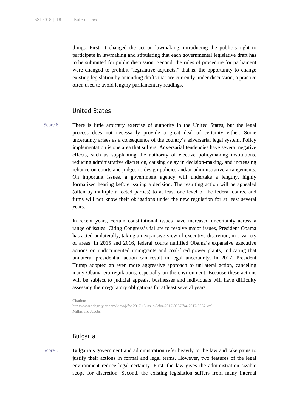things. First, it changed the act on lawmaking, introducing the public's right to participate in lawmaking and stipulating that each governmental legislative draft has to be submitted for public discussion. Second, the rules of procedure for parliament were changed to prohibit "legislative adjuncts," that is, the opportunity to change existing legislation by amending drafts that are currently under discussion, a practice often used to avoid lengthy parliamentary readings.

#### United States

Score 6 There is little arbitrary exercise of authority in the United States, but the legal process does not necessarily provide a great deal of certainty either. Some uncertainty arises as a consequence of the country's adversarial legal system. Policy implementation is one area that suffers. Adversarial tendencies have several negative effects, such as supplanting the authority of elective policymaking institutions, reducing administrative discretion, causing delay in decision-making, and increasing reliance on courts and judges to design policies and/or administrative arrangements. On important issues, a government agency will undertake a lengthy, highly formalized hearing before issuing a decision. The resulting action will be appealed (often by multiple affected parties) to at least one level of the federal courts, and firms will not know their obligations under the new regulation for at least several years.

> In recent years, certain constitutional issues have increased uncertainty across a range of issues. Citing Congress's failure to resolve major issues, President Obama has acted unilaterally, taking an expansive view of executive discretion, in a variety of areas. In 2015 and 2016, federal courts nullified Obama's expansive executive actions on undocumented immigrants and coal-fired power plants, indicating that unilateral presidential action can result in legal uncertainty. In 2017, President Trump adopted an even more aggressive approach to unilateral action, canceling many Obama-era regulations, especially on the environment. Because these actions will be subject to judicial appeals, businesses and individuals will have difficulty assessing their regulatory obligations for at least several years.

Citation: https://www.degruyter.com/view/j/for.2017.15.issue-3/for-2017-0037/for-2017-0037.xml Milkis and Jacobs

#### Bulgaria

Score 5 Bulgaria's government and administration refer heavily to the law and take pains to justify their actions in formal and legal terms. However, two features of the legal environment reduce legal certainty. First, the law gives the administration sizable scope for discretion. Second, the existing legislation suffers from many internal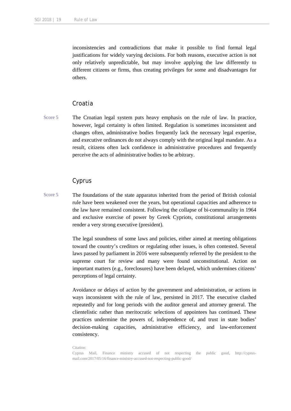inconsistencies and contradictions that make it possible to find formal legal justifications for widely varying decisions. For both reasons, executive action is not only relatively unpredictable, but may involve applying the law differently to different citizens or firms, thus creating privileges for some and disadvantages for others.

### Croatia

Score 5 The Croatian legal system puts heavy emphasis on the rule of law. In practice, however, legal certainty is often limited. Regulation is sometimes inconsistent and changes often, administrative bodies frequently lack the necessary legal expertise, and executive ordinances do not always comply with the original legal mandate. As a result, citizens often lack confidence in administrative procedures and frequently perceive the acts of administrative bodies to be arbitrary.

#### Cyprus

Score 5 The foundations of the state apparatus inherited from the period of British colonial rule have been weakened over the years, but operational capacities and adherence to the law have remained consistent. Following the collapse of bi-communality in 1964 and exclusive exercise of power by Greek Cypriots, constitutional arrangements render a very strong executive (president).

> The legal soundness of some laws and policies, either aimed at meeting obligations toward the country's creditors or regulating other issues, is often contested. Several laws passed by parliament in 2016 were subsequently referred by the president to the supreme court for review and many were found unconstitutional. Action on important matters (e.g., foreclosures) have been delayed, which undermines citizens' perceptions of legal certainty.

> Avoidance or delays of action by the government and administration, or actions in ways inconsistent with the rule of law, persisted in 2017. The executive clashed repeatedly and for long periods with the auditor general and attorney general. The clientelistic rather than meritocratic selections of appointees has continued. These practices undermine the powers of, independence of, and trust in state bodies' decision-making capacities, administrative efficiency, and law-enforcement consistency.

Citation:

Cyprus Mail, Finance ministry accused of not respecting the public good, http://cyprusmail.com/2017/05/16/finance-ministry-accused-not-respecting-public-good/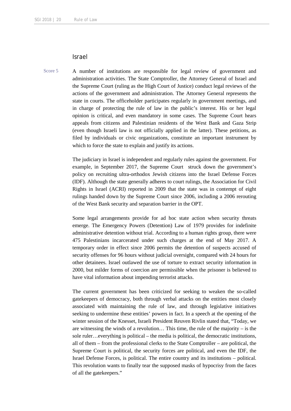#### Israel

Score 5 A number of institutions are responsible for legal review of government and administration activities. The State Comptroller, the Attorney General of Israel and the Supreme Court (ruling as the High Court of Justice) conduct legal reviews of the actions of the government and administration. The Attorney General represents the state in courts. The officeholder participates regularly in government meetings, and in charge of protecting the rule of law in the public's interest. His or her legal opinion is critical, and even mandatory in some cases. The Supreme Court hears appeals from citizens and Palestinian residents of the West Bank and Gaza Strip (even though Israeli law is not officially applied in the latter). These petitions, as filed by individuals or civic organizations, constitute an important instrument by which to force the state to explain and justify its actions.

> The judiciary in Israel is independent and regularly rules against the government. For example, in September 2017, the Supreme Court struck down the government's policy on recruiting ultra-orthodox Jewish citizens into the Israel Defense Forces (IDF). Although the state generally adheres to court rulings, the Association for Civil Rights in Israel (ACRI) reported in 2009 that the state was in contempt of eight rulings handed down by the Supreme Court since 2006, including a 2006 rerouting of the West Bank security and separation barrier in the OPT.

> Some legal arrangements provide for ad hoc state action when security threats emerge. The Emergency Powers (Detention) Law of 1979 provides for indefinite administrative detention without trial. According to a human rights group, there were 475 Palestinians incarcerated under such charges at the end of May 2017. A temporary order in effect since 2006 permits the detention of suspects accused of security offenses for 96 hours without judicial oversight, compared with 24 hours for other detainees. Israel outlawed the use of torture to extract security information in 2000, but milder forms of coercion are permissible when the prisoner is believed to have vital information about impending terrorist attacks.

> The current government has been criticized for seeking to weaken the so-called gatekeepers of democracy, both through verbal attacks on the entities most closely associated with maintaining the rule of law, and through legislative initiatives seeking to undermine these entities' powers in fact. In a speech at the opening of the winter session of the Knesset, Israeli President Reuven Rivlin stated that, "Today, we are witnessing the winds of a revolution… This time, the rule of the majority – is the sole ruler…everything is political – the media is political, the democratic institutions, all of them – from the professional clerks to the State Comptroller – are political, the Supreme Court is political, the security forces are political, and even the IDF, the Israel Defense Forces, is political. The entire country and its institutions – political. This revolution wants to finally tear the supposed masks of hypocrisy from the faces of all the gatekeepers."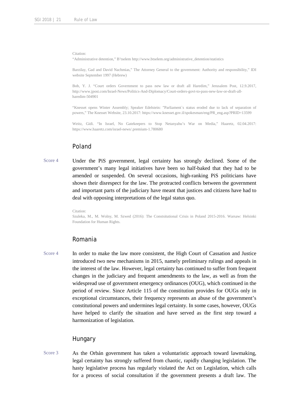Citation:

"Administrative detention," B'tselem http://www.btselem.org/administrative\_detention/statistics

Barzilay, Gad and David Nachmias," The Attorney General to the government: Authority and responsibility," IDI website September 1997 (Hebrew)

Bob, Y. J. "Court orders Government to pass new law or draft all Haredim," Jerusalem Post, 12.9.2017, http://www.jpost.com/Israel-News/Politics-And-Diplomacy/Court-orders-govt-to-pass-new-law-or-draft-allharedim-504901

"Knesset opens Winter Assembly; Speaker Edelstein: "Parliament`s status eroded due to lack of separation of powers," The Knesset Website, 23.10.2017: https://www.knesset.gov.il/spokesman/eng/PR\_eng.asp?PRID=13599

Weitz, Gidi. "In Israel, No Gatekeepers to Stop Netanyahu's War on Media," Haaretz, 02.04.2017: https://www.haaretz.com/israel-news/.premium-1.780680

### Poland

Score 4 Under the PiS government, legal certainty has strongly declined. Some of the government's many legal initiatives have been so half-baked that they had to be amended or suspended. On several occasions, high-ranking PiS politicians have shown their disrespect for the law. The protracted conflicts between the government and important parts of the judiciary have meant that justices and citizens have had to deal with opposing interpretations of the legal status quo.

Citation:

Szuleka, M., M. Wolny, M. Szwed (2016): The Constsitutional Crisis in Poland 2015-2016. Warsaw: Helsinki Foundation for Human Rights.

#### Romania

Score 4 In order to make the law more consistent, the High Court of Cassation and Justice introduced two new mechanisms in 2015, namely preliminary rulings and appeals in the interest of the law. However, legal certainty has continued to suffer from frequent changes in the judiciary and frequent amendments to the law, as well as from the widespread use of government emergency ordinances (OUG), which continued in the period of review. Since Article 115 of the constitution provides for OUGs only in exceptional circumstances, their frequency represents an abuse of the government's constitutional powers and undermines legal certainty. In some cases, however, OUGs have helped to clarify the situation and have served as the first step toward a harmonization of legislation.

#### Hungary

Score 3 As the Orbán government has taken a voluntaristic approach toward lawmaking, legal certainty has strongly suffered from chaotic, rapidly changing legislation. The hasty legislative process has regularly violated the Act on Legislation, which calls for a process of social consultation if the government presents a draft law. The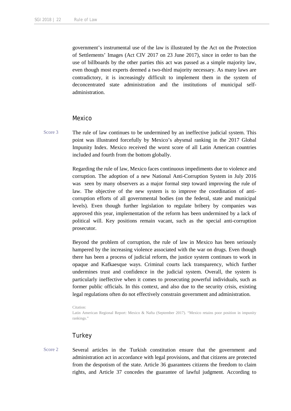government's instrumental use of the law is illustrated by the Act on the Protection of Settlements' Images (Act CIV 2017 on 23 June 2017), since in order to ban the use of billboards by the other parties this act was passed as a simple majority law, even though most experts deemed a two-third majority necessary. As many laws are contradictory, it is increasingly difficult to implement them in the system of deconcentrated state administration and the institutions of municipal selfadministration.

#### Mexico

Score 3 The rule of law continues to be undermined by an ineffective judicial system. This point was illustrated forcefully by Mexico's abysmal ranking in the 2017 Global Impunity Index. Mexico received the worst score of all Latin American countries included and fourth from the bottom globally.

> Regarding the rule of law, Mexico faces continuous impediments due to violence and corruption. The adoption of a new National Anti-Corruption System in July 2016 was seen by many observers as a major formal step toward improving the rule of law. The objective of the new system is to improve the coordination of anticorruption efforts of all governmental bodies (on the federal, state and municipal levels). Even though further legislation to regulate bribery by companies was approved this year, implementation of the reform has been undermined by a lack of political will. Key positions remain vacant, such as the special anti-corruption prosecutor.

> Beyond the problem of corruption, the rule of law in Mexico has been seriously hampered by the increasing violence associated with the war on drugs. Even though there has been a process of judicial reform, the justice system continues to work in opaque and Kafkaesque ways. Criminal courts lack transparency, which further undermines trust and confidence in the judicial system. Overall, the system is particularly ineffective when it comes to prosecuting powerful individuals, such as former public officials. In this context, and also due to the security crisis, existing legal regulations often do not effectively constrain government and administration.

Citation:

Latin American Regional Report: Mexico & Nafta (September 2017). "Mexico retains poor position in impunity rankings."

#### **Turkey**

Score 2 Several articles in the Turkish constitution ensure that the government and administration act in accordance with legal provisions, and that citizens are protected from the despotism of the state. Article 36 guarantees citizens the freedom to claim rights, and Article 37 concedes the guarantee of lawful judgment. According to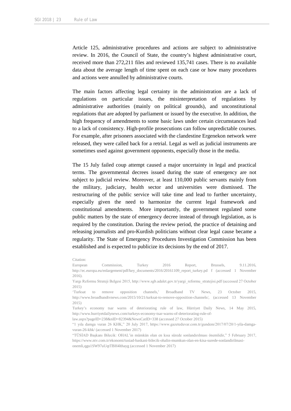Article 125, administrative procedures and actions are subject to administrative review. In 2016, the Council of State, the country's highest administrative court, received more than 272,211 files and reviewed 135,741 cases. There is no available data about the average length of time spent on each case or how many procedures and actions were annulled by administrative courts.

The main factors affecting legal certainty in the administration are a lack of regulations on particular issues, the misinterpretation of regulations by administrative authorities (mainly on political grounds), and unconstitutional regulations that are adopted by parliament or issued by the executive. In addition, the high frequency of amendments to some basic laws under certain circumstances lead to a lack of consistency. High-profile prosecutions can follow unpredictable courses. For example, after prisoners associated with the clandestine Ergenekon network were released, they were called back for a retrial. Legal as well as judicial instruments are sometimes used against government opponents, especially those in the media.

The 15 July failed coup attempt caused a major uncertainty in legal and practical terms. The governmental decrees issued during the state of emergency are not subject to judicial review. Moreover, at least 110,000 public servants mainly from the military, judiciary, health sector and universities were dismissed. The restructuring of the public service will take time and lead to further uncertainty, especially given the need to harmonize the current legal framework and constitutional amendments. More importantly, the government regulated some public matters by the state of emergency decree instead of through legislation, as is required by the constitution. During the review period, the practice of detaining and releasing journalists and pro-Kurdish politicians without clear legal cause became a regularity. The State of Emergency Procedures Investigation Commission has been established and is expected to publicize its decisions by the end of 2017.

Yargı Reformu Strateji Belgesi 2015, http://www.sgb.adalet.gov.tr/yargi\_reformu\_stratejisi.pdf (accessed 27 October 2015)

'Turksat to remove opposition channels,' Broadband TV News, 23 October 2015, http://www.broadbandtvnews.com/2015/10/21/turksat-to-remove-opposition-channels/, (accessed 13 November 2015)

Turkey's economy tsar warns of deteriorating rule of law, Hürriyet Daily News, 14 May 2015, http://www.hurriyetdailynews.com/turkeys-economy-tsar-warns-of-deteriorating-rule-of-

law.aspx?pageID=238&nID=82394&NewsCatID=338 (accessed 27 October 2015)

"1 yıla damga vuran 26 KHK," 20 July 2017, https://www.gazeteduvar.com.tr/gundem/2017/07/20/1-yila-damgavuran-26-khk/ (accessed 1 November 2017)

"TÜSİAD Başkanı Bilecik: OHAL'in mümkün olan en kısa sürede sonlandırılması önemlidir," 5 February 2017, https://www.ntv.com.tr/ekonomi/tusiad-baskani-bilecik-ohalin-mumkun-olan-en-kisa-surede-sonlandirilmasionemli,qgu1SW97uUqtTBH4lthayg (accessed 1 November 2017)

Citation:

European Commission, Turkey 2016 Report, Brussels, 9.11.2016, http://ec.europa.eu/enlargement/pdf/key\_documents/2016/20161109\_report\_turkey.pd f (accessed 1 November 2016).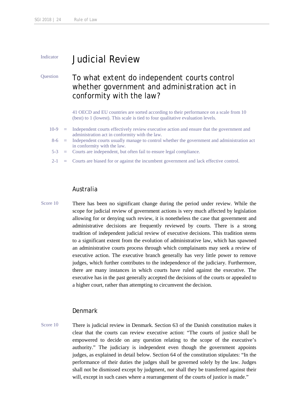# Indicator **Judicial Review**

# Question To what extent do independent courts control whether government and administration act in conformity with the law?

41 OECD and EU countries are sorted according to their performance on a scale from 10 (best) to 1 (lowest). This scale is tied to four qualitative evaluation levels.

- 10-9 = Independent courts effectively review executive action and ensure that the government and administration act in conformity with the law.
- 8-6 = Independent courts usually manage to control whether the government and administration act in conformity with the law.
- 5-3 = Courts are independent, but often fail to ensure legal compliance.
- $2-1$  = Courts are biased for or against the incumbent government and lack effective control.

### Australia

Score 10 There has been no significant change during the period under review. While the scope for judicial review of government actions is very much affected by legislation allowing for or denying such review, it is nonetheless the case that government and administrative decisions are frequently reviewed by courts. There is a strong tradition of independent judicial review of executive decisions. This tradition stems to a significant extent from the evolution of administrative law, which has spawned an administrative courts process through which complainants may seek a review of executive action. The executive branch generally has very little power to remove judges, which further contributes to the independence of the judiciary. Furthermore, there are many instances in which courts have ruled against the executive. The executive has in the past generally accepted the decisions of the courts or appealed to a higher court, rather than attempting to circumvent the decision.

#### Denmark

Score 10 There is judicial review in Denmark. Section 63 of the Danish constitution makes it clear that the courts can review executive action: "The courts of justice shall be empowered to decide on any question relating to the scope of the executive's authority." The judiciary is independent even though the government appoints judges, as explained in detail below. Section 64 of the constitution stipulates: "In the performance of their duties the judges shall be governed solely by the law. Judges shall not be dismissed except by judgment, nor shall they be transferred against their will, except in such cases where a rearrangement of the courts of justice is made."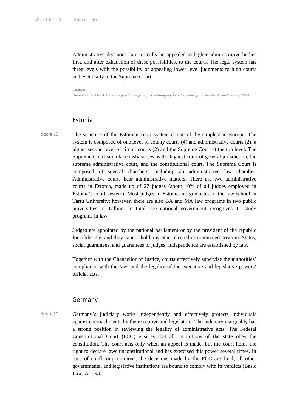Administrative decisions can normally be appealed to higher administrative bodies first, and after exhaustion of these possibilities, to the courts. The legal system has three levels with the possibility of appealing lower level judgments to high courts and eventually to the Supreme Court.

#### Citation:

Henrik Zahle, Dansk forfatningsret 2: Regering, forvaltning og dom. Copenhagen: Christian Ejlers' Forlag, 2004.

#### Estonia

Score 10 The structure of the Estonian court system is one of the simplest in Europe. The system is composed of one level of county courts (4) and administrative courts (2), a higher second level of circuit courts (2) and the Supreme Court at the top level. The Supreme Court simultaneously serves as the highest court of general jurisdiction, the supreme administrative court, and the constitutional court. The Supreme Court is composed of several chambers, including an administrative law chamber. Administrative courts hear administrative matters. There are two administrative courts in Estonia, made up of 27 judges (about 10% of all judges employed in Estonia's court system). Most judges in Estonia are graduates of the law school in Tartu University; however, there are also BA and MA law programs in two public universities in Tallinn. In total, the national government recognizes 11 study programs in law.

> Judges are appointed by the national parliament or by the president of the republic for a lifetime, and they cannot hold any other elected or nominated position. Status, social guarantees, and guarantees of judges' independence are established by law.

> Together with the Chancellor of Justice, courts effectively supervise the authorities' compliance with the law, and the legality of the executive and legislative powers' official acts.

#### Germany

Score 10 Germany's judiciary works independently and effectively protects individuals against encroachments by the executive and legislature. The judiciary inarguably has a strong position in reviewing the legality of administrative acts. The Federal Constitutional Court (FCC) ensures that all institutions of the state obey the constitution. The court acts only when an appeal is made, but the court holds the right to declare laws unconstitutional and has exercised this power several times. In case of conflicting opinions, the decisions made by the FCC are final; all other governmental and legislative institutions are bound to comply with its verdicts (Basic Law, Art. 93).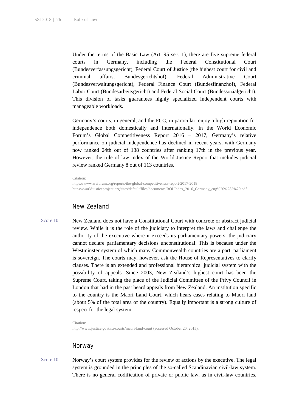Under the terms of the Basic Law (Art. 95 sec. 1), there are five supreme federal courts in Germany, including the Federal Constitutional Court (Bundesverfassungsgericht), Federal Court of Justice (the highest court for civil and criminal affairs, Bundesgerichtshof), Federal Administrative Court (Bundesverwaltungsgericht), Federal Finance Court (Bundesfinanzhof), Federal Labor Court (Bundesarbeitsgericht) and Federal Social Court (Bundessozialgericht). This division of tasks guarantees highly specialized independent courts with manageable workloads.

Germany's courts, in general, and the FCC, in particular, enjoy a high reputation for independence both domestically and internationally. In the World Economic Forum's Global Competitiveness Report 2016 – 2017, Germany's relative performance on judicial independence has declined in recent years, with Germany now ranked 24th out of 138 countries after ranking 17th in the previous year. However, the rule of law index of the World Justice Report that includes judicial review ranked Germany 8 out of 113 countries.

Citation:

https://www.weforum.org/reports/the-global-competitiveness-report-2017-2018 https://worldjusticeproject.org/sites/default/files/documents/ROLIndex\_2016\_Germany\_eng%20%282%29.pdf

#### New Zealand

Score 10 New Zealand does not have a Constitutional Court with concrete or abstract judicial review. While it is the role of the judiciary to interpret the laws and challenge the authority of the executive where it exceeds its parliamentary powers, the judiciary cannot declare parliamentary decisions unconstitutional. This is because under the Westminster system of which many Commonwealth countries are a part, parliament is sovereign. The courts may, however, ask the House of Representatives to clarify clauses. There is an extended and professional hierarchical judicial system with the possibility of appeals. Since 2003, New Zealand's highest court has been the Supreme Court, taking the place of the Judicial Committee of the Privy Council in London that had in the past heard appeals from New Zealand. An institution specific to the country is the Maori Land Court, which hears cases relating to Maori land (about 5% of the total area of the country). Equally important is a strong culture of respect for the legal system.

Citation:

http://www.justice.govt.nz/courts/maori-land-court (accessed October 20, 2015).

### Norway

Score 10 Norway's court system provides for the review of actions by the executive. The legal system is grounded in the principles of the so-called Scandinavian civil-law system. There is no general codification of private or public law, as in civil-law countries.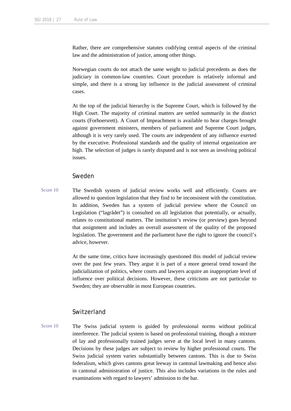Rather, there are comprehensive statutes codifying central aspects of the criminal law and the administration of justice, among other things.

Norwegian courts do not attach the same weight to judicial precedents as does the judiciary in common-law countries. Court procedure is relatively informal and simple, and there is a strong lay influence in the judicial assessment of criminal cases.

At the top of the judicial hierarchy is the Supreme Court, which is followed by the High Court. The majority of criminal matters are settled summarily in the district courts (Forhoersrett). A Court of Impeachment is available to hear charges brought against government ministers, members of parliament and Supreme Court judges, although it is very rarely used. The courts are independent of any influence exerted by the executive. Professional standards and the quality of internal organization are high. The selection of judges is rarely disputed and is not seen as involving political issues.

#### Sweden

Score 10 The Swedish system of judicial review works well and efficiently. Courts are allowed to question legislation that they find to be inconsistent with the constitution. In addition, Sweden has a system of judicial preview where the Council on Legislation ("lagrådet") is consulted on all legislation that potentially, or actually, relates to constitutional matters. The institution's review (or preview) goes beyond that assignment and includes an overall assessment of the quality of the proposed legislation. The government and the parliament have the right to ignore the council's advice, however.

> At the same time, critics have increasingly questioned this model of judicial review over the past few years. They argue it is part of a more general trend toward the judicialization of politics, where courts and lawyers acquire an inappropriate level of influence over political decisions. However, these criticisms are not particular to Sweden; they are observable in most European countries.

#### Switzerland

Score 10 The Swiss judicial system is guided by professional norms without political interference. The judicial system is based on professional training, though a mixture of lay and professionally trained judges serve at the local level in many cantons. Decisions by these judges are subject to review by higher professional courts. The Swiss judicial system varies substantially between cantons. This is due to Swiss federalism, which gives cantons great leeway in cantonal lawmaking and hence also in cantonal administration of justice. This also includes variations in the rules and examinations with regard to lawyers' admission to the bar.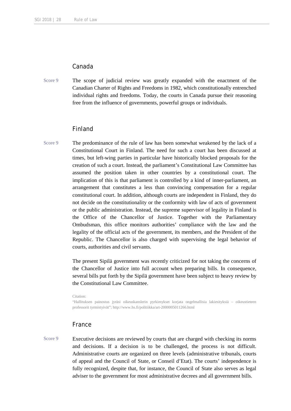#### Canada

Score 9 The scope of judicial review was greatly expanded with the enactment of the Canadian Charter of Rights and Freedoms in 1982, which constitutionally entrenched individual rights and freedoms. Today, the courts in Canada pursue their reasoning free from the influence of governments, powerful groups or individuals.

#### Finland

Score 9 The predominance of the rule of law has been somewhat weakened by the lack of a Constitutional Court in Finland. The need for such a court has been discussed at times, but left-wing parties in particular have historically blocked proposals for the creation of such a court. Instead, the parliament's Constitutional Law Committee has assumed the position taken in other countries by a constitutional court. The implication of this is that parliament is controlled by a kind of inner-parliament, an arrangement that constitutes a less than convincing compensation for a regular constitutional court. In addition, although courts are independent in Finland, they do not decide on the constitutionality or the conformity with law of acts of government or the public administration. Instead, the supreme supervisor of legality in Finland is the Office of the Chancellor of Justice. Together with the Parliamentary Ombudsman, this office monitors authorities' compliance with the law and the legality of the official acts of the government, its members, and the President of the Republic. The Chancellor is also charged with supervising the legal behavior of courts, authorities and civil servants.

> The present Sipilä government was recently criticized for not taking the concerns of the Chancellor of Justice into full account when preparing bills. In consequence, several bills put forth by the Sipilä government have been subject to heavy review by the Constitutional Law Committee.

Citation:

"Hallituksen painostus jyräsi oikeuskanslerin pyrkimykset korjata ongelmallisia lakiesityksiä – oikeustieteen professorit tyrmistyivät"; http://www.hs.fi/politiikka/art-2000005011266.html

#### France

Score 9 Executive decisions are reviewed by courts that are charged with checking its norms and decisions. If a decision is to be challenged, the process is not difficult. Administrative courts are organized on three levels (administrative tribunals, courts of appeal and the Council of State, or Conseil d'Etat). The courts' independence is fully recognized, despite that, for instance, the Council of State also serves as legal adviser to the government for most administrative decrees and all government bills.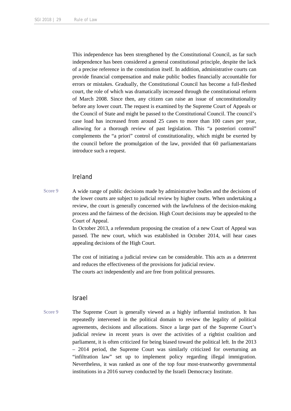This independence has been strengthened by the Constitutional Council, as far such independence has been considered a general constitutional principle, despite the lack of a precise reference in the constitution itself. In addition, administrative courts can provide financial compensation and make public bodies financially accountable for errors or mistakes. Gradually, the Constitutional Council has become a full-fleshed court, the role of which was dramatically increased through the constitutional reform of March 2008. Since then, any citizen can raise an issue of unconstitutionality before any lower court. The request is examined by the Supreme Court of Appeals or the Council of State and might be passed to the Constitutional Council. The council's case load has increased from around 25 cases to more than 100 cases per year, allowing for a thorough review of past legislation. This "a posteriori control" complements the "a priori" control of constitutionality, which might be exerted by the council before the promulgation of the law, provided that 60 parliamentarians introduce such a request.

#### Ireland

Score 9 A wide range of public decisions made by administrative bodies and the decisions of the lower courts are subject to judicial review by higher courts. When undertaking a review, the court is generally concerned with the lawfulness of the decision-making process and the fairness of the decision. High Court decisions may be appealed to the Court of Appeal.

> In October 2013, a referendum proposing the creation of a new Court of Appeal was passed. The new court, which was established in October 2014, will hear cases appealing decisions of the High Court.

> The cost of initiating a judicial review can be considerable. This acts as a deterrent and reduces the effectiveness of the provisions for judicial review. The courts act independently and are free from political pressures.

#### Israel

Score 9 The Supreme Court is generally viewed as a highly influential institution. It has repeatedly intervened in the political domain to review the legality of political agreements, decisions and allocations. Since a large part of the Supreme Court's judicial review in recent years is over the activities of a rightist coalition and parliament, it is often criticized for being biased toward the political left. In the 2013 – 2014 period, the Supreme Court was similarly criticized for overturning an "infiltration law" set up to implement policy regarding illegal immigration. Nevertheless, it was ranked as one of the top four most-trustworthy governmental institutions in a 2016 survey conducted by the Israeli Democracy Institute.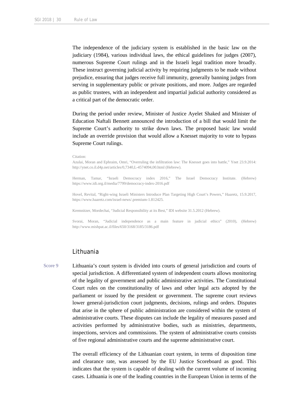The independence of the judiciary system is established in the basic law on the judiciary (1984), various individual laws, the ethical guidelines for judges (2007), numerous Supreme Court rulings and in the Israeli legal tradition more broadly. These instruct governing judicial activity by requiring judgments to be made without prejudice, ensuring that judges receive full immunity, generally banning judges from serving in supplementary public or private positions, and more. Judges are regarded as public trustees, with an independent and impartial judicial authority considered as a critical part of the democratic order.

During the period under review, Minister of Justice Ayelet Shaked and Minister of Education Naftali Bennett announced the introduction of a bill that would limit the Supreme Court's authority to strike down laws. The proposed basic law would include an override provision that would allow a Knesset majority to vote to bypass Supreme Court rulings.

#### Citation:

Azulai, Moran and Ephraim, Omri, "Overruling the infiltration law: The Knesset goes into battle," Ynet 23.9.2014: http://ynet.co.il.d4p.net/articles/0,7340,L-4574094,00.html (Hebrew).

Herman, Tamar, "Israeli Democracy index 2016," The Israel Democracy Institute. (Hebrew) https://www.idi.org.il/media/7799/democracy-index-2016.pdf

Hovel, Revital, "Right-wing Israeli Ministers Introduce Plan Targeting High Court's Powers," Haaretz, 15.9.2017, https://www.haaretz.com/israel-news/.premium-1.812425.

Kremnitzer, Mordechai, "Judicial Responsibility at its Best," IDI website 31.5.2012 (Hebrew).

Svorai, Moran, "Judicial independence as a main feature in judicial ethics" (2010), (Hebrew) http://www.mishpat.ac.il/files/650/3168/3185/3186.pdf

#### Lithuania

Score 9 Lithuania's court system is divided into courts of general jurisdiction and courts of special jurisdiction. A differentiated system of independent courts allows monitoring of the legality of government and public administrative activities. The Constitutional Court rules on the constitutionality of laws and other legal acts adopted by the parliament or issued by the president or government. The supreme court reviews lower general-jurisdiction court judgments, decisions, rulings and orders. Disputes that arise in the sphere of public administration are considered within the system of administrative courts. These disputes can include the legality of measures passed and activities performed by administrative bodies, such as ministries, departments, inspections, services and commissions. The system of administrative courts consists of five regional administrative courts and the supreme administrative court.

> The overall efficiency of the Lithuanian court system, in terms of disposition time and clearance rate, was assessed by the EU Justice Scoreboard as good. This indicates that the system is capable of dealing with the current volume of incoming cases. Lithuania is one of the leading countries in the European Union in terms of the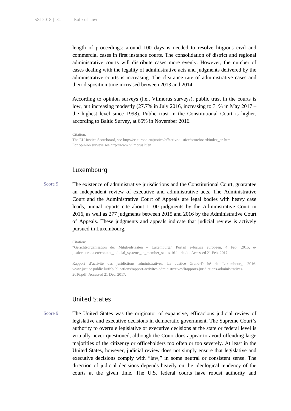length of proceedings: around 100 days is needed to resolve litigious civil and commercial cases in first instance courts. The consolidation of district and regional administrative courts will distribute cases more evenly. However, the number of cases dealing with the legality of administrative acts and judgments delivered by the administrative courts is increasing. The clearance rate of administrative cases and their disposition time increased between 2013 and 2014.

According to opinion surveys (i.e., Vilmorus surveys), public trust in the courts is low, but increasing modestly (27.7% in July 2016, increasing to 31% in May 2017 – the highest level since 1998). Public trust in the Constitutional Court is higher, according to Baltic Survey, at 65% in November 2016.

```
Citation:
```
The EU Justice Scoreboard, see http://ec.europa.eu/justice/effective-justice/scoreboard/index\_en.htm For opinion surveys see http://www.vilmorus.lt/en

#### Luxembourg

Score 9 The existence of administrative jurisdictions and the Constitutional Court, guarantee an independent review of executive and administrative acts. The Administrative Court and the Administrative Court of Appeals are legal bodies with heavy case loads; annual reports cite about 1,100 judgments by the Administrative Court in 2016, as well as 277 judgments between 2015 and 2016 by the Administrative Court of Appeals. These judgments and appeals indicate that judicial review is actively pursued in Luxembourg.

#### Citation:

"Gerichtsorganisation der Mitgliedstaaten – Luxemburg." Portail e-Justice européen, 4 Feb. 2015, ejustice.europa.eu/content\_judicial\_systems\_in\_member\_states-16-lu-de.do. Accessed 21 Feb. 2017.

Rapport d'activité des juridictions administratives. La Justice Grand-Duché de Luxembourg, 2016. www.justice.public.lu/fr/publications/rapport-activites-administratives/Rapports-juridictions-administratives-2016.pdf. Accessed 21 Dec. 2017.

## United States

Score 9 The United States was the originator of expansive, efficacious judicial review of legislative and executive decisions in democratic government. The Supreme Court's authority to overrule legislative or executive decisions at the state or federal level is virtually never questioned, although the Court does appear to avoid offending large majorities of the citizenry or officeholders too often or too severely. At least in the United States, however, judicial review does not simply ensure that legislative and executive decisions comply with "law," in some neutral or consistent sense. The direction of judicial decisions depends heavily on the ideological tendency of the courts at the given time. The U.S. federal courts have robust authority and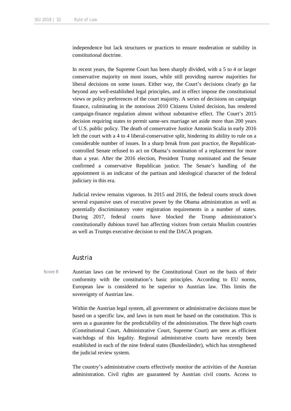independence but lack structures or practices to ensure moderation or stability in constitutional doctrine.

In recent years, the Supreme Court has been sharply divided, with a 5 to 4 or larger conservative majority on most issues, while still providing narrow majorities for liberal decisions on some issues. Either way, the Court's decisions clearly go far beyond any well-established legal principles, and in effect impose the constitutional views or policy preferences of the court majority. A series of decisions on campaign finance, culminating in the notorious 2010 Citizens United decision, has rendered campaign-finance regulation almost without substantive effect. The Court's 2015 decision requiring states to permit same-sex marriage set aside more than 200 years of U.S. public policy. The death of conservative Justice Antonin Scalia in early 2016 left the court with a 4 to 4 liberal-conservative split, hindering its ability to rule on a considerable number of issues. In a sharp break from past practice, the Republicancontrolled Senate refused to act on Obama's nomination of a replacement for more than a year. After the 2016 election, President Trump nominated and the Senate confirmed a conservative Republican justice. The Senate's handling of the appointment is an indicator of the partisan and ideological character of the federal judiciary in this era.

Judicial review remains vigorous. In 2015 and 2016, the federal courts struck down several expansive uses of executive power by the Obama administration as well as potentially discriminatory voter registration requirements in a number of states. During 2017, federal courts have blocked the Trump administration's constitutionally dubious travel ban affecting visitors from certain Muslim countries as well as Trumps executive decision to end the DACA program.

#### Austria

Score 8 Austrian laws can be reviewed by the Constitutional Court on the basis of their conformity with the constitution's basic principles. According to EU norms, European law is considered to be superior to Austrian law. This limits the sovereignty of Austrian law.

> Within the Austrian legal system, all government or administrative decisions must be based on a specific law, and laws in turn must be based on the constitution. This is seen as a guarantee for the predictability of the administration. The three high courts (Constitutional Court, Administrative Court, Supreme Court) are seen as efficient watchdogs of this legality. Regional administrative courts have recently been established in each of the nine federal states (Bundesländer), which has strengthened the judicial review system.

> The country's administrative courts effectively monitor the activities of the Austrian administration. Civil rights are guaranteed by Austrian civil courts. Access to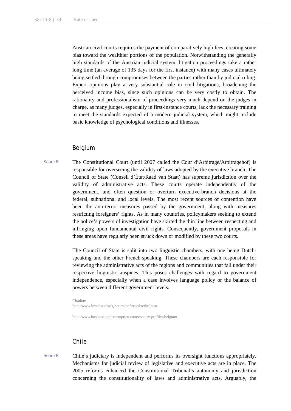Austrian civil courts requires the payment of comparatively high fees, creating some bias toward the wealthier portions of the population. Notwithstanding the generally high standards of the Austrian judicial system, litigation proceedings take a rather long time (an average of 135 days for the first instance) with many cases ultimately being settled through compromises between the parties rather than by judicial ruling. Expert opinions play a very substantial role in civil litigations, broadening the perceived income bias, since such opinions can be very costly to obtain. The rationality and professionalism of proceedings very much depend on the judges in charge, as many judges, especially in first-instance courts, lack the necessary training to meet the standards expected of a modern judicial system, which might include basic knowledge of psychological conditions and illnesses.

#### Belgium

Score 8 The Constitutional Court (until 2007 called the Cour d'Arbitrage/Arbitragehof) is responsible for overseeing the validity of laws adopted by the executive branch. The Council of State (Conseil d'État/Raad van Staat) has supreme jurisdiction over the validity of administrative acts. These courts operate independently of the government, and often question or overturn executive-branch decisions at the federal, subnational and local levels. The most recent sources of contention have been the anti-terror measures passed by the government, along with measures restricting foreigners' rights. As in many countries, policymakers seeking to extend the police's powers of investigation have skirted the thin line between respecting and infringing upon fundamental civil rights. Consequently, government proposals in these areas have regularly been struck down or modified by these two courts.

> The Council of State is split into two linguistic chambers, with one being Dutchspeaking and the other French-speaking. These chambers are each responsible for reviewing the administrative acts of the regions and communities that fall under their respective linguistic auspices. This poses challenges with regard to government independence, especially when a case involves language policy or the balance of powers between different government levels.

Citation: http://www.lexadin.nl/wlg/courts/nofr/eur/lxctbel.htm

http://www.business-anti-corruption.com/country-profiles/belgium

# Chile

Score 8 Chile's judiciary is independent and performs its oversight functions appropriately. Mechanisms for judicial review of legislative and executive acts are in place. The 2005 reforms enhanced the Constitutional Tribunal's autonomy and jurisdiction concerning the constitutionality of laws and administrative acts. Arguably, the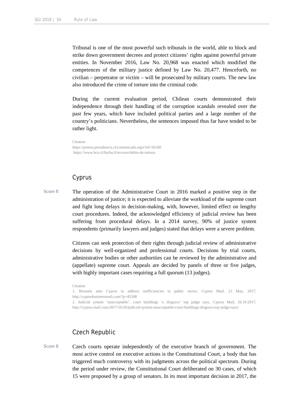Tribunal is one of the most powerful such tribunals in the world, able to block and strike down government decrees and protect citizens' rights against powerful private entities. In November 2016, Law No. 20,968 was enacted which modified the competences of the military justice defined by Law No. 20,477. Henceforth, no civilian – perpetrator or victim – will be prosecuted by military courts. The new law also introduced the crime of torture into the criminal code.

During the current evaluation period, Chilean courts demonstrated their independence through their handling of the corruption scandals revealed over the past few years, which have included political parties and a large number of the country's politicians. Nevertheless, the sentences imposed thus far have tended to be rather light.

Citation: https://prensa.presidencia.cl/comunicado.aspx?id=56160 https://www.bcn.cl/leyfacil/recurso/delito-de-tortura

### Cyprus

Score 8 The operation of the Administrative Court in 2016 marked a positive step in the administration of justice; it is expected to alleviate the workload of the supreme court and fight long delays in decision-making, with, however, limited effect on lengthy court procedures. Indeed, the acknowledged efficiency of judicial review has been suffering from procedural delays. In a 2014 survey, 90% of justice system respondents (primarily lawyers and judges) stated that delays were a severe problem.

> Citizens can seek protection of their rights through judicial review of administrative decisions by well-organized and professional courts. Decisions by trial courts, administrative bodies or other authorities can be reviewed by the administrative and (appellate) supreme court. Appeals are decided by panels of three or five judges, with highly important cases requiring a full quorum (13 judges).

Citation:

1. Brussels asks Cyprus to address inefficiencies in public sector, Cyprus Mail, 23 May, 2017, http://cyprusbusinessmail.com/?p=45508

2. Judicial system 'unacceptable', court buildings 'a disgrace' top judge says, Cyprus Mail, 26.10.2017, http://cyprus-mail.com/2017/10/26/judicial-system-unacceptable-court-buildings-disgrace-top-judge-says/

#### Czech Republic

Score 8 Czech courts operate independently of the executive branch of government. The most active control on executive actions is the Constitutional Court, a body that has triggered much controversy with its judgments across the political spectrum. During the period under review, the Constitutional Court deliberated on 30 cases, of which 15 were proposed by a group of senators. In its most important decision in 2017, the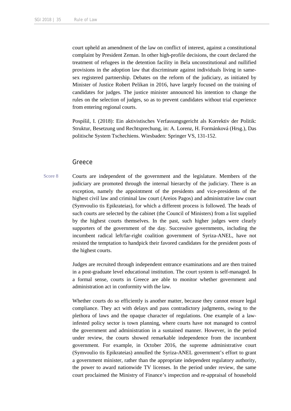court upheld an amendment of the law on conflict of interest, against a constitutional complaint by President Zeman. In other high-profile decisions, the court declared the treatment of refugees in the detention facility in Bela unconstitutional and nullified provisions in the adoption law that discriminate against individuals living in samesex registered partnership. Debates on the reform of the judiciary, as initiated by Minister of Justice Robert Pelikan in 2016, have largely focused on the training of candidates for judges. The justice minister announced his intention to change the rules on the selection of judges, so as to prevent candidates without trial experience from entering regional courts.

Pospíšil, I. (2018): Ein aktivistisches Verfassungsgericht als Korrektiv der Politik: Struktur, Besetzung und Rechtsprechung, in: A. Lorenz, H. Formánková (Hrsg.), Das politische System Tschechiens. Wiesbaden: Springer VS, 131-152.

#### Greece

Score 8 Courts are independent of the government and the legislature. Members of the judiciary are promoted through the internal hierarchy of the judiciary. There is an exception, namely the appointment of the presidents and vice-presidents of the highest civil law and criminal law court (Areios Pagos) and administrative law court (Symvoulio tis Epikrateias), for which a different process is followed. The heads of such courts are selected by the cabinet (the Council of Ministers) from a list supplied by the highest courts themselves. In the past, such higher judges were clearly supporters of the government of the day. Successive governments, including the incumbent radical left/far-right coalition government of Syriza-ANEL, have not resisted the temptation to handpick their favored candidates for the president posts of the highest courts.

> Judges are recruited through independent entrance examinations and are then trained in a post-graduate level educational institution. The court system is self-managed. In a formal sense, courts in Greece are able to monitor whether government and administration act in conformity with the law.

> Whether courts do so efficiently is another matter, because they cannot ensure legal compliance. They act with delays and pass contradictory judgments, owing to the plethora of laws and the opaque character of regulations. One example of a lawinfested policy sector is town planning, where courts have not managed to control the government and administration in a sustained manner. However, in the period under review, the courts showed remarkable independence from the incumbent government. For example, in October 2016, the supreme administrative court (Symvoulio tis Epikrateias) annulled the Syriza-ANEL government's effort to grant a government minister, rather than the appropriate independent regulatory authority, the power to award nationwide TV licenses. In the period under review, the same court proclaimed the Ministry of Finance's inspection and re-appraisal of household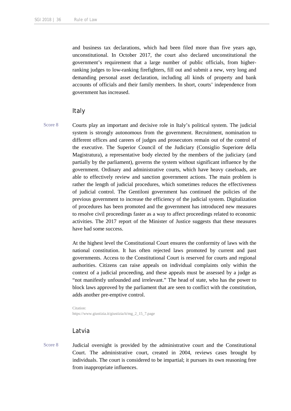and business tax declarations, which had been filed more than five years ago, unconstitutional. In October 2017, the court also declared unconstitutional the government's requirement that a large number of public officials, from higherranking judges to low-ranking firefighters, fill out and submit a new, very long and demanding personal asset declaration, including all kinds of property and bank accounts of officials and their family members. In short, courts' independence from government has increased.

#### Italy

- 
- Score 8 Courts play an important and decisive role in Italy's political system. The judicial system is strongly autonomous from the government. Recruitment, nomination to different offices and careers of judges and prosecutors remain out of the control of the executive. The Superior Council of the Judiciary (Consiglio Superiore della Magistratura), a representative body elected by the members of the judiciary (and partially by the parliament), governs the system without significant influence by the government. Ordinary and administrative courts, which have heavy caseloads, are able to effectively review and sanction government actions. The main problem is rather the length of judicial procedures, which sometimes reduces the effectiveness of judicial control. The Gentiloni government has continued the policies of the previous government to increase the efficiency of the judicial system. Digitalization of procedures has been promoted and the government has introduced new measures to resolve civil proceedings faster as a way to affect proceedings related to economic activities. The 2017 report of the Minister of Justice suggests that these measures have had some success.

At the highest level the Constitutional Court ensures the conformity of laws with the national constitution. It has often rejected laws promoted by current and past governments. Access to the Constitutional Court is reserved for courts and regional authorities. Citizens can raise appeals on individual complaints only within the context of a judicial proceeding, and these appeals must be assessed by a judge as "not manifestly unfounded and irrelevant." The head of state, who has the power to block laws approved by the parliament that are seen to conflict with the constitution, adds another pre-emptive control.

Citation: https://www.giustizia.it/giustizia/it/mg\_2\_15\_7.page

# Latvia

Score 8 Judicial oversight is provided by the administrative court and the Constitutional Court. The administrative court, created in 2004, reviews cases brought by individuals. The court is considered to be impartial; it pursues its own reasoning free from inappropriate influences.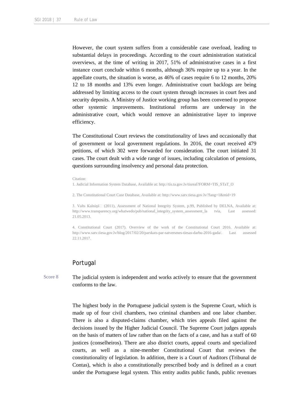However, the court system suffers from a considerable case overload, leading to substantial delays in proceedings. According to the court administration statistical overviews, at the time of writing in 2017, 51% of administrative cases in a first instance court conclude within 6 months, although 36% require up to a year. In the appellate courts, the situation is worse, as 46% of cases require 6 to 12 months, 20% 12 to 18 months and 13% even longer. Administrative court backlogs are being addressed by limiting access to the court system through increases in court fees and security deposits. A Ministry of Justice working group has been convened to propose other systemic improvements. Institutional reforms are underway in the administrative court, which would remove an administrative layer to improve efficiency.

The Constitutional Court reviews the constitutionality of laws and occasionally that of government or local government regulations. In 2016, the court received 479 petitions, of which 302 were forwarded for consideration. The court initiated 31 cases. The court dealt with a wide range of issues, including calculation of pensions, questions surrounding insolvency and personal data protection.

Citation:

1. Judicial Information System Database, Available at: http://tis.ta.gov.lv/tisreal?FORM=TIS\_STaT\_O

2. The Constitutional Court Case Database, Available at: http://www.satv.tiesa.gov.lv/?lang=1&mid=19

3. Valts Kalniņš (2011), Assessment of National Integrity System, p.99, Published by DELNA, Available at: http://www.transparency.org/whatwedo/pub/national\_integrity\_system\_assessment\_la tvia, Last assessed: 21.05.2013.

4. Constitutional Court (2017). Overview of the work of the Constitutional Court 2016. Available at: http://www.satv.tiesa.gov.lv/blog/2017/02/20/parskats-par-satversmes-tiesas-darbu-2016-gada/. Last assessed 22.11.2017.

### Portugal

Score 8 The judicial system is independent and works actively to ensure that the government conforms to the law.

> The highest body in the Portuguese judicial system is the Supreme Court, which is made up of four civil chambers, two criminal chambers and one labor chamber. There is also a disputed-claims chamber, which tries appeals filed against the decisions issued by the Higher Judicial Council. The Supreme Court judges appeals on the basis of matters of law rather than on the facts of a case, and has a staff of 60 justices (conselheiros). There are also district courts, appeal courts and specialized courts, as well as a nine-member Constitutional Court that reviews the constitutionality of legislation. In addition, there is a Court of Auditors (Tribunal de Contas), which is also a constitutionally prescribed body and is defined as a court under the Portuguese legal system. This entity audits public funds, public revenues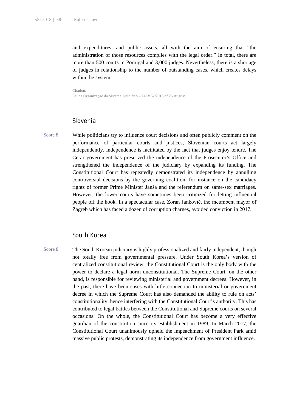and expenditures, and public assets, all with the aim of ensuring that "the administration of those resources complies with the legal order." In total, there are more than 500 courts in Portugal and 3,000 judges. Nevertheless, there is a shortage of judges in relationship to the number of outstanding cases, which creates delays within the system.

Citation: Lei da Organização do Sistema Judiciário – Lei # 62/2013 of 26 August.

# Slovenia

Score 8 While politicians try to influence court decisions and often publicly comment on the performance of particular courts and justices, Slovenian courts act largely independently. Independence is facilitated by the fact that judges enjoy tenure. The Cerar government has preserved the independence of the Prosecutor's Office and strengthened the independence of the judiciary by expanding its funding. The Constitutional Court has repeatedly demonstrated its independence by annulling controversial decisions by the governing coalition, for instance on the candidacy rights of former Prime Minister Janša and the referendum on same-sex marriages. However, the lower courts have sometimes been criticized for letting influential people off the hook. In a spectacular case, Zoran Janković, the incumbent mayor of Zagreb which has faced a dozen of corruption charges, avoided conviction in 2017.

### South Korea

Score 8 The South Korean judiciary is highly professionalized and fairly independent, though not totally free from governmental pressure. Under South Korea's version of centralized constitutional review, the Constitutional Court is the only body with the power to declare a legal norm unconstitutional. The Supreme Court, on the other hand, is responsible for reviewing ministerial and government decrees. However, in the past, there have been cases with little connection to ministerial or government decree in which the Supreme Court has also demanded the ability to rule on acts' constitutionality, hence interfering with the Constitutional Court's authority. This has contributed to legal battles between the Constitutional and Supreme courts on several occasions. On the whole, the Constitutional Court has become a very effective guardian of the constitution since its establishment in 1989. In March 2017, the Constitutional Court unanimously upheld the impeachment of President Park amid massive public protests, demonstrating its independence from government influence.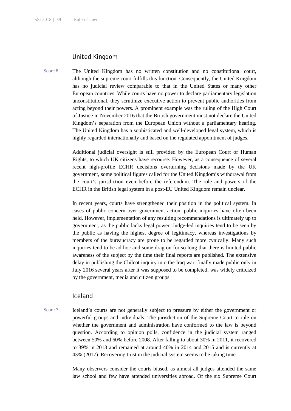# United Kingdom

Score 8 The United Kingdom has no written constitution and no constitutional court, although the supreme court fulfills this function. Consequently, the United Kingdom has no judicial review comparable to that in the United States or many other European countries. While courts have no power to declare parliamentary legislation unconstitutional, they scrutinize executive action to prevent public authorities from acting beyond their powers. A prominent example was the ruling of the High Court of Justice in November 2016 that the British government must not declare the United Kingdom's separation from the European Union without a parliamentary hearing. The United Kingdom has a sophisticated and well-developed legal system, which is highly regarded internationally and based on the regulated appointment of judges.

> Additional judicial oversight is still provided by the European Court of Human Rights, to which UK citizens have recourse. However, as a consequence of several recent high-profile ECHR decisions overturning decisions made by the UK government, some political figures called for the United Kingdom's withdrawal from the court's jurisdiction even before the referendum. The role and powers of the ECHR in the British legal system in a post-EU United Kingdom remain unclear.

> In recent years, courts have strengthened their position in the political system. In cases of public concern over government action, public inquiries have often been held. However, implementation of any resulting recommendations is ultimately up to government, as the public lacks legal power. Judge-led inquiries tend to be seen by the public as having the highest degree of legitimacy, whereas investigations by members of the bureaucracy are prone to be regarded more cynically. Many such inquiries tend to be ad hoc and some drag on for so long that there is limited public awareness of the subject by the time their final reports are published. The extensive delay in publishing the Chilcot inquiry into the Iraq war, finally made public only in July 2016 several years after it was supposed to be completed, was widely criticized by the government, media and citizen groups.

### Iceland

Score 7 Iceland's courts are not generally subject to pressure by either the government or powerful groups and individuals. The jurisdiction of the Supreme Court to rule on whether the government and administration have conformed to the law is beyond question. According to opinion polls, confidence in the judicial system ranged between 50% and 60% before 2008. After falling to about 30% in 2011, it recovered to 39% in 2013 and remained at around 40% in 2014 and 2015 and is currently at 43% (2017). Recovering trust in the judicial system seems to be taking time.

> Many observers consider the courts biased, as almost all judges attended the same law school and few have attended universities abroad. Of the six Supreme Court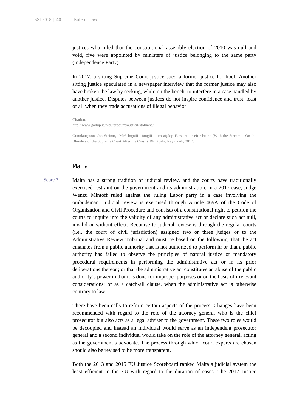justices who ruled that the constitutional assembly election of 2010 was null and void, five were appointed by ministers of justice belonging to the same party (Independence Party).

In 2017, a sitting Supreme Court justice sued a former justice for libel. Another sitting justice speculated in a newspaper interview that the former justice may also have broken the law by seeking, while on the bench, to interfere in a case handled by another justice. Disputes between justices do not inspire confidence and trust, least of all when they trade accusations of illegal behavior.

Citation:

http://www.gallup.is/nidurstodur/traust-til-stofnana/

Gunnlaugsson, Jón Steinar, "Með lognið í fangið – um afglöp Hæstaréttar eftir hrun" (With the Stream – On the Blunders of the Supreme Court After the Crash), BP útgáfa, Reykjavík, 2017.

# Malta

Score 7 Malta has a strong tradition of judicial review, and the courts have traditionally exercised restraint on the government and its administration. In a 2017 case, Judge Wenzu Mintoff ruled against the ruling Labor party in a case involving the ombudsman. Judicial review is exercised through Article 469A of the Code of Organization and Civil Procedure and consists of a constitutional right to petition the courts to inquire into the validity of any administrative act or declare such act null, invalid or without effect. Recourse to judicial review is through the regular courts (i.e., the court of civil jurisdiction) assigned two or three judges or to the Administrative Review Tribunal and must be based on the following: that the act emanates from a public authority that is not authorized to perform it; or that a public authority has failed to observe the principles of natural justice or mandatory procedural requirements in performing the administrative act or in its prior deliberations thereon; or that the administrative act constitutes an abuse of the public authority's power in that it is done for improper purposes or on the basis of irrelevant considerations; or as a catch-all clause, when the administrative act is otherwise contrary to law.

> There have been calls to reform certain aspects of the process. Changes have been recommended with regard to the role of the attorney general who is the chief prosecutor but also acts as a legal adviser to the government. These two roles would be decoupled and instead an individual would serve as an independent prosecutor general and a second individual would take on the role of the attorney general, acting as the government's advocate. The process through which court experts are chosen should also be revised to be more transparent.

> Both the 2013 and 2015 EU Justice Scoreboard ranked Malta's judicial system the least efficient in the EU with regard to the duration of cases. The 2017 Justice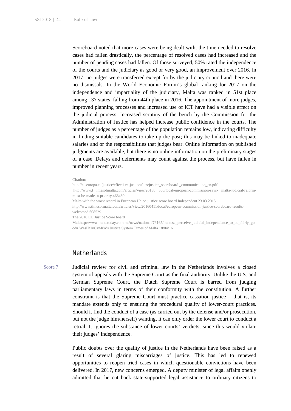Scoreboard noted that more cases were being dealt with, the time needed to resolve cases had fallen drastically, the percentage of resolved cases had increased and the number of pending cases had fallen. Of those surveyed, 50% rated the independence of the courts and the judiciary as good or very good, an improvement over 2016. In 2017, no judges were transferred except for by the judiciary council and there were no dismissals. In the World Economic Forum's global ranking for 2017 on the independence and impartiality of the judiciary, Malta was ranked in 51st place among 137 states, falling from 44th place in 2016. The appointment of more judges, improved planning processes and increased use of ICT have had a visible effect on the judicial process. Increased scrutiny of the bench by the Commission for the Administration of Justice has helped increase public confidence in the courts. The number of judges as a percentage of the population remains low, indicating difficulty in finding suitable candidates to take up the post; this may be linked to inadequate salaries and or the responsibilities that judges bear. Online information on published judgments are available, but there is no online information on the preliminary stages of a case. Delays and deferments may count against the process, but have fallen in number in recent years.

#### Citation:

http://ec.europa.eu/justice/effecti ve-justice/files/justice\_scoreboard\_communication\_en.pdf http://www.t imesofmalta.com/articles/view/20130 506/local/european-commission-says- malta-judicial-reformmust-be-made- a-priority.468460 Malta with the worst record in European Union justice score board Independent 23.03.2015 http://www.timesofmalta.com/articles/view/20160411/local/european-commission-justice-scoreboard-resultswelcomed.608529 The 2016 EU Justice Score board Malthttp://www.maltatoday.com.mt/news/national/76165/maltese\_perceive\_judicial\_independence\_to\_be\_fairly\_go od#.WesFh1uCyM8a's Justice System Times of Malta 18/04/16

#### **Netherlands**

Score 7 Judicial review for civil and criminal law in the Netherlands involves a closed system of appeals with the Supreme Court as the final authority. Unlike the U.S. and German Supreme Court, the Dutch Supreme Court is barred from judging parliamentary laws in terms of their conformity with the constitution. A further constraint is that the Supreme Court must practice cassation justice – that is, its mandate extends only to ensuring the procedural quality of lower-court practices. Should it find the conduct of a case (as carried out by the defense and/or prosecution, but not the judge him/herself) wanting, it can only order the lower court to conduct a retrial. It ignores the substance of lower courts' verdicts, since this would violate their judges' independence.

> Public doubts over the quality of justice in the Netherlands have been raised as a result of several glaring miscarriages of justice. This has led to renewed opportunities to reopen tried cases in which questionable convictions have been delivered. In 2017, new concerns emerged. A deputy minister of legal affairs openly admitted that he cut back state-supported legal assistance to ordinary citizens to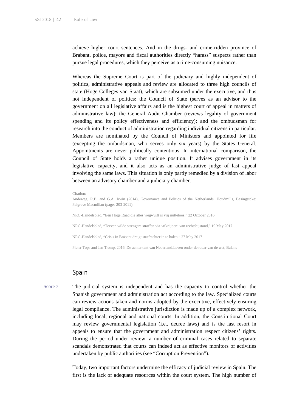achieve higher court sentences. And in the drugs- and crime-ridden province of Brabant, police, mayors and fiscal authorities directly "harass" suspects rather than pursue legal procedures, which they perceive as a time-consuming nuisance.

Whereas the Supreme Court is part of the judiciary and highly independent of politics, administrative appeals and review are allocated to three high councils of state (Hoge Colleges van Staat), which are subsumed under the executive, and thus not independent of politics: the Council of State (serves as an advisor to the government on all legislative affairs and is the highest court of appeal in matters of administrative law); the General Audit Chamber (reviews legality of government spending and its policy effectiveness and efficiency); and the ombudsman for research into the conduct of administration regarding individual citizens in particular. Members are nominated by the Council of Ministers and appointed for life (excepting the ombudsman, who serves only six years) by the States General. Appointments are never politically contentious. In international comparison, the Council of State holds a rather unique position. It advises government in its legislative capacity, and it also acts as an administrative judge of last appeal involving the same laws. This situation is only partly remedied by a division of labor between an advisory chamber and a judiciary chamber.

#### Citation:

Andeweg, R.B. and G.A. Irwin (2014), Governance and Politics of the Netherlands. Houdmills, Basingstoke: Palgrave Macmillan (pages 203-2011).

NRC-Handelsblad, "Een Hoge Raad die alles wegwuift is vrij nutteloos," 22 October 2016

NRC-Handelsblad, "Teeven wilde strengere straffen via 'afknijpen' van rechtsbijstand," 19 May 2017

NRC-Handelsblad, "Crisis in Brabant dreigt strafrechter in te halen," 27 May 2017

Pieter Tops and Jan Tromp, 2016. De achterkant van Nederland.Leven onder de radar van de wet, Balans

# Spain

Score 7 The judicial system is independent and has the capacity to control whether the Spanish government and administration act according to the law. Specialized courts can review actions taken and norms adopted by the executive, effectively ensuring legal compliance. The administrative jurisdiction is made up of a complex network, including local, regional and national courts. In addition, the Constitutional Court may review governmental legislation (i.e., decree laws) and is the last resort in appeals to ensure that the government and administration respect citizens' rights. During the period under review, a number of criminal cases related to separate scandals demonstrated that courts can indeed act as effective monitors of activities undertaken by public authorities (see "Corruption Prevention").

> Today, two important factors undermine the efficacy of judicial review in Spain. The first is the lack of adequate resources within the court system. The high number of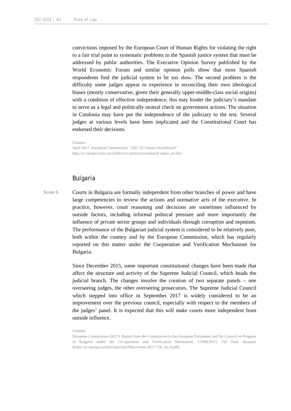convictions imposed by the European Court of Human Rights for violating the right to a fair trial point to systematic problems in the Spanish justice system that must be addressed by public authorities. The Executive Opinion Survey published by the World Economic Forum and similar opinion polls show that most Spanish respondents find the judicial system to be too slow. The second problem is the difficulty some judges appear to experience in reconciling their own ideological biases (mostly conservative, given their generally upper-middle-class social origins) with a condition of effective independence; this may hinder the judiciary's mandate to serve as a legal and politically neutral check on government actions. The situation in Catalonia may have put the independence of the judiciary to the test. Several judges at various levels have been implicated and the Constitutional Court has endorsed their decisions.

Citation:

April 2017, European Commission: "2017 EU Justice Scoreboard" http://ec.europa.eu/ju stice/effective-justice/scoreboard/ index\_en.htm

### Bulgaria

Score 6 Courts in Bulgaria are formally independent from other branches of power and have large competencies to review the actions and normative acts of the executive. In practice, however, court reasoning and decisions are sometimes influenced by outside factors, including informal political pressure and more importantly the influence of private sector groups and individuals through corruption and nepotism. The performance of the Bulgarian judicial system is considered to be relatively poor, both within the country and by the European Commission, which has regularly reported on this matter under the Cooperation and Verification Mechanism for Bulgaria.

> Since December 2015, some important constitutional changes have been made that affect the structure and activity of the Supreme Judicial Council, which heads the judicial branch. The changes involve the creation of two separate panels – one overseeing judges, the other overseeing prosecutors. The Supreme Judicial Council which stepped into office in September 2017 is widely considered to be an improvement over the previous council, especially with respect to the members of the judges' panel. It is expected that this will make courts more independent from outside influence.

Citation:

European Commission (2017): Report from the Commission to the European Parliament and the Council on Progress in Bulgaria under the Co-operation and Verification Mechanism. COM(2017) 750 final, Brussels (https://ec.europa.eu/info/sites/info/files/comm-2017-750\_en\_0.pdf).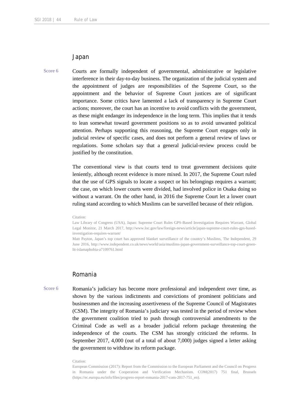#### Japan

Score 6 Courts are formally independent of governmental, administrative or legislative interference in their day-to-day business. The organization of the judicial system and the appointment of judges are responsibilities of the Supreme Court, so the appointment and the behavior of Supreme Court justices are of significant importance. Some critics have lamented a lack of transparency in Supreme Court actions; moreover, the court has an incentive to avoid conflicts with the government, as these might endanger its independence in the long term. This implies that it tends to lean somewhat toward government positions so as to avoid unwanted political attention. Perhaps supporting this reasoning, the Supreme Court engages only in judicial review of specific cases, and does not perform a general review of laws or regulations. Some scholars say that a general judicial-review process could be justified by the constitution.

> The conventional view is that courts tend to treat government decisions quite leniently, although recent evidence is more mixed. In 2017, the Supreme Court ruled that the use of GPS signals to locate a suspect or his belongings requires a warrant; the case, on which lower courts were divided, had involved police in Osaka doing so without a warrant. On the other hand, in 2016 the Supreme Court let a lower court ruling stand according to which Muslims can be surveilled because of their religion.

#### Citation:

Law Library of Congress (USA), Japan: Supreme Court Rules GPS-Based Investigation Requires Warrant, Global Legal Monitor, 21 March 2017, http://www.loc.gov/law/foreign-news/article/japan-supreme-court-rules-gps-basedinvestigation-requires-warrant/

Matt Payton, Japan's top court has approved blanket surveillance of the country's Muslims, The Independent, 29 June 2016, http://www.independent.co.uk/news/world/asia/muslims-japan-government-surveillance-top-court-greenlit-islamaphobia-a7109761.html

### Romania

Score 6 Romania's judiciary has become more professional and independent over time, as shown by the various indictments and convictions of prominent politicians and businessmen and the increasing assertiveness of the Supreme Council of Magistrates (CSM). The integrity of Romania's judiciary was tested in the period of review when the government coalition tried to push through controversial amendments to the Criminal Code as well as a broader judicial reform package threatening the independence of the courts. The CSM has strongly criticized the reforms. In September 2017, 4,000 (out of a total of about 7,000) judges signed a letter asking the government to withdraw its reform package.

#### Citation:

European Commission (2017): Report from the Commission to the European Parliament and the Council on Progress in Romania under the Cooperation and Verification Mechanism. COM(2017) 751 final, Brussels (https://ec.europa.eu/info/files/progress-report-romania-2017-com-2017-751\_en).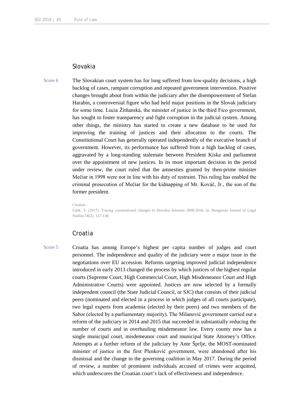#### Slovakia

Score 6 The Slovakian court system has for long suffered from low-quality decisions, a high backlog of cases, rampant corruption and repeated government intervention. Positive changes brought about from within the judiciary after the disempowerment of Stefan Harabín, a controversial figure who had held major positions in the Slovak judiciary for some time. Lucia Žitňanská, the minister of justice in the third Fico government, has sought to foster transparency and fight corruption in the judicial system. Among other things, the ministry has started to create a new database to be used for improving the training of justices and their allocation to the courts. The Constitutional Court has generally operated independently of the executive branch of government. However, its performance has suffered from a high backlog of cases, aggravated by a long-standing stalemate between President Kiska and parliament over the appointment of new justices. In its most important decision in the period under review, the court ruled that the amnesties granted by then-prime minister Mečiar in 1998 were not in line with his duty of restraint. This ruling has enabled the criminal prosecution of Mečiar for the kidnapping of Mr. Kováč, Jr., the son of the former president.

Citation:

Ľalík, T. (2017): Tracing constitutional changes in Slovakia between 2008-2016, in: Hungarian Journal of Legal Studies 58(2): 117-138.

# Croatia

Score 5 Croatia has among Europe's highest per capita number of judges and court personnel. The independence and quality of the judiciary were a major issue in the negotiations over EU accession. Reforms targeting improved judicial independence introduced in early 2013 changed the process by which justices of the highest regular courts (Supreme Court, High Commercial Court, High Misdemeanor Court and High Administrative Courts) were appointed. Justices are now selected by a formally independent council (the State Judicial Council, or SJC) that consists of their judicial peers (nominated and elected in a process in which judges of all courts participate), two legal experts from academia (elected by their peers) and two members of the Sabor (elected by a parliamentary majority). The Milanović government carried out a reform of the judiciary in 2014 and 2015 that succeeded in substantially reducing the number of courts and in overhauling misdemeanor law. Every county now has a single municipal court, misdemeanor court and municipal State Attorney's Office. Attempts at a further reform of the judiciary by Ante Šprlje, the MOST-nominated minister of justice in the first Plenković government, were abandoned after his dismissal and the change in the governing coalition in May 2017. During the period of review, a number of prominent individuals accused of crimes were acquitted, which underscores the Croatian court's lack of effectiveness and independence.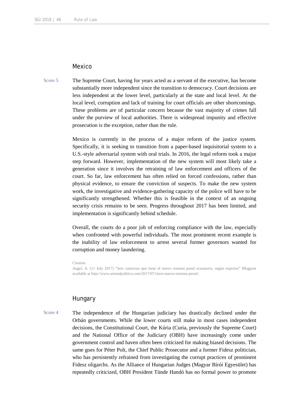### Mexico

Score 5 The Supreme Court, having for years acted as a servant of the executive, has become substantially more independent since the transition to democracy. Court decisions are less independent at the lower level, particularly at the state and local level. At the local level, corruption and lack of training for court officials are other shortcomings. These problems are of particular concern because the vast majority of crimes fall under the purview of local authorities. There is widespread impunity and effective prosecution is the exception, rather than the rule.

> Mexico is currently in the process of a major reform of the justice system. Specifically, it is seeking to transition from a paper-based inquisitorial system to a U.S.-style adversarial system with oral trials. In 2016, the legal reform took a major step forward. However, implementation of the new system will most likely take a generation since it involves the retraining of law enforcement and officers of the court. So far, law enforcement has often relied on forced confessions, rather than physical evidence, to ensure the conviction of suspects. To make the new system work, the investigative and evidence-gathering capacity of the police will have to be significantly strengthened. Whether this is feasible in the context of an ongoing security crisis remains to be seen. Progress throughout 2017 has been limited, and implementation is significantly behind schedule.

> Overall, the courts do a poor job of enforcing compliance with the law, especially when confronted with powerful individuals. The most prominent recent example is the inability of law enforcement to arrest several former governors wanted for corruption and money laundering.

Citation:

Angel, A. (11 July 2017) "Seis carencias que tiene el nuevo sistema penal acusatorio, según expertos" Blogpost available at http://www.animalpolitico.com/2017/07/clave-nuevo-sistema-penal/.

# **Hungary**

Score 4 The independence of the Hungarian judiciary has drastically declined under the Orbán governments. While the lower courts still make in most cases independent decisions, the Constitutional Court, the Kúria (Curia, previously the Supreme Court) and the National Office of the Judiciary (OBH) have increasingly come under government control and haven often been criticized for making biased decisions. The same goes for Péter Polt, the Chief Public Prosecutor and a former Fidesz politician, who has persistently refrained from investigating the corrupt practices of prominent Fidesz oligarchs. As the Alliance of Hungarian Judges (Magyar Bírói Egyesület) has repeatedly criticized, OBH President Tünde Handó has no formal power to promote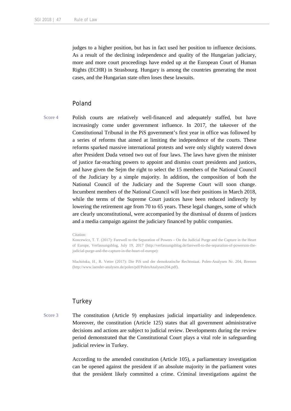judges to a higher position, but has in fact used her position to influence decisions. As a result of the declining independence and quality of the Hungarian judiciary, more and more court proceedings have ended up at the European Court of Human Rights (ECHR) in Strasbourg. Hungary is among the countries generating the most cases, and the Hungarian state often loses these lawsuits.

# Poland

Score 4 Polish courts are relatively well-financed and adequately staffed, but have increasingly come under government influence. In 2017, the takeover of the Constitutional Tribunal in the PiS government's first year in office was followed by a series of reforms that aimed at limiting the independence of the courts. These reforms sparked massive international protests and were only slightly watered down after President Duda vetoed two out of four laws. The laws have given the minister of justice far-reaching powers to appoint and dismiss court presidents and justices, and have given the Sejm the right to select the 15 members of the National Council of the Judiciary by a simple majority. In addition, the composition of both the National Council of the Judiciary and the Supreme Court will soon change. Incumbent members of the National Council will lose their positions in March 2018, while the terms of the Supreme Court justices have been reduced indirectly by lowering the retirement age from 70 to 65 years. These legal changes, some of which are clearly unconstitutional, were accompanied by the dismissal of dozens of justices and a media campaign against the judiciary financed by public companies.

#### Citation:

Koncewicz, T. T. (2017): Farewell to the Separation of Powers – On the Judicial Purge and the Capture in the Heart of Europe, Verfassungsblog, July 19, 2017 (http://verfassungsblog.de/farewell-to-the-separation-of-powerson-thejudicial-purge-and-the-capture-in-the-heart-of-europe):

Machińska, H., R. Vetter (2017): Die PiS und der demokratische Rechtsstaat. Polen-Analysen Nr. 204, Bremen (http://www.laender-analysen.de/polen/pdf/PolenAnalysen204.pdf).

### **Turkey**

Score 3 The constitution (Article 9) emphasizes judicial impartiality and independence. Moreover, the constitution (Article 125) states that all government administrative decisions and actions are subject to judicial review. Developments during the review period demonstrated that the Constitutional Court plays a vital role in safeguarding judicial review in Turkey.

> According to the amended constitution (Article 105), a parliamentary investigation can be opened against the president if an absolute majority in the parliament votes that the president likely committed a crime. Criminal investigations against the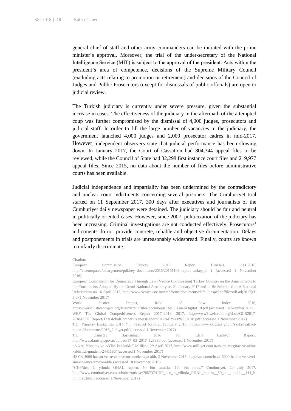general chief of staff and other army commanders can be initiated with the prime minister's approval. Moreover, the trial of the under-secretary of the National Intelligence Service (MİT) is subject to the approval of the president. Acts within the president's area of competence, decisions of the Supreme Military Council (excluding acts relating to promotion or retirement) and decisions of the Council of Judges and Public Prosecutors (except for dismissals of public officials) are open to judicial review.

The Turkish judiciary is currently under severe pressure, given the substantial increase in cases. The effectiveness of the judiciary in the aftermath of the attempted coup was further compromised by the dismissal of 4,000 judges, prosecutors and judicial staff. In order to fill the large number of vacancies in the judiciary, the government launched 4,000 judges and 2,000 prosecutor cadres in mid-2017. However, independent observers state that judicial performance has been slowing down. In January 2017, the Court of Cassation had 804,344 appeal files to be reviewed, while the Council of State had 32,298 first instance court files and 219,977 appeal files. Since 2015, no data about the number of files before administrative courts has been available.

Judicial independence and impartiality has been undermined by the contradictory and unclear court indictments concerning several prisoners. The Cumhuriyet trial started on 11 September 2017, 300 days after executives and journalists of the Cumhuriyet daily newspaper were detained. The judiciary should be fair and neutral in politically oriented cases. However, since 2007, politicization of the judiciary has been increasing. Criminal investigations are not conducted effectively. Prosecutors' indictments do not provide concrete, reliable and objective documentation. Delays and postponements in trials are unreasonably widespread. Finally, courts are known to unfairly discriminate.

Citation:

European Commission, Turkey 2016 Report, Brussels, 9.11.2016, http://ec.europa.eu/enlargement/pdf/key\_documents/2016/20161109\_report\_turkey.pd f (accessed 1 November 2016).

European Commission for Democracy Through Law (Venice Commission) Turkey Opinion on the Amendments to the Constitution Adopted By the Grand National Assembly on 21 January 2017 and to Be Submitted to A National Referendum on 16 April 2017, http://www.venice.coe.int/webforms/documents/default.aspx?pdffile=cdl-ad(2017)00 5-e (1 November 2017)

World Justice Project, Rule of Law Index 2016, https://worldjusticeproject.org/sites/default/files/documents/RoLI\_Final-Digital \_0.pdf (accessed 1 November 2017) WEF, The Global Competitiveness Report 2017–2018, 2017, http://www3.weforum.org/docs/GCR2017- 2018/05FullReport/TheGlobalCompetitivenessReport2017%E2%80%932018.pdf (accessed 1 November 2017)

T.C. Yargıtay Başkanlığı 2016 Yılı Faaliyet Raporu, February 2017, https://www.yargitay.gov.tr/sayfa/faaliyetraporu/documents/2016\_faaliyet.pdf (accessed 1 November 2017)

T.C. Danıştay Başkanlığı, 2016 Yılı İdari Faaliyet Raporu, http://www.danistay.gov.tr/upload/17\_03\_2017\_123330.pdf (accessed 1 November 2017)

<sup>&</sup>quot;Askeri Yargıtay ve AYİM kaldırıldı," Milliyet, 29 April 2017, http://www.milliyet.com.tr/askeri-yargitay-ve-ayimkaldirildi-gundem-2441186/ (accessed 1 November 2017)

HSYK 5000 hakim ve savcı sınavını incelemeye aldı, 8 November 2015, http://zete.com/hsyk-5000-hakim-ve-savcisinavini-incelemeye-aldi/ (accessed 10 November 2015)

<sup>&</sup>quot;CHP'den 1. yılında OHAL raporu: 50 bin tutuklu, 111 bin ihraç," Cumhuriyet, 20 July 2017, http://www.cumhuriyet.com.tr/haber/turkiye/785737/CHP\_den\_1. vilinda\_OHAL\_raporu\_50\_bin\_tutuklu\_111\_b in ihrac.html (accessed 1 November 2017)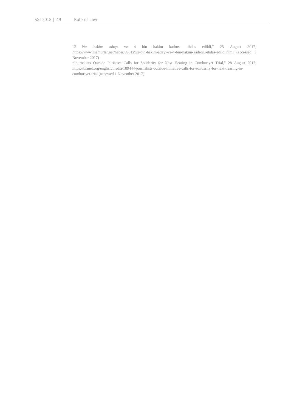"2 bin hakim adayı ve 4 bin hakim kadrosu ihdas edildi," 25 August 2017, https://www.memurlar.net/haber/690129/2-bin-hakim-adayi-ve-4-bin-hakim-kadrosu-ihdas-edildi.html (accessed 1 November 2017)

"Journalists Outside Initiative Calls for Solidarity for Next Hearing in Cumhuriyet Trial," 28 August 2017, https://bianet.org/english/media/189444-journalists-outside-initiative-calls-for-solidarity-for-next-hearing-incumhuriyet-trial (accessed 1 November 2017)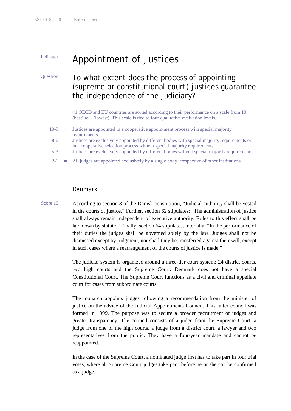# Indicator Appointment of Justices

# Question To what extent does the process of appointing (supreme or constitutional court) justices guarantee the independence of the judiciary?

41 OECD and EU countries are sorted according to their performance on a scale from 10 (best) to 1 (lowest). This scale is tied to four qualitative evaluation levels.

- $10-9$  = Justices are appointed in a cooperative appointment process with special majority requirements.
- 8-6 = Justices are exclusively appointed by different bodies with special majority requirements or in a cooperative selection process without special majority requirements.
- 5-3 = Justices are exclusively appointed by different bodies without special majority requirements.
- 2-1 = All judges are appointed exclusively by a single body irrespective of other institutions.

# Denmark

Score 10 According to section 3 of the Danish constitution, "Judicial authority shall be vested in the courts of justice." Further, section 62 stipulates: "The administration of justice shall always remain independent of executive authority. Rules to this effect shall be laid down by statute." Finally, section 64 stipulates, inter alia: "In the performance of their duties the judges shall be governed solely by the law. Judges shall not be dismissed except by judgment, nor shall they be transferred against their will, except in such cases where a rearrangement of the courts of justice is made."

> The judicial system is organized around a three-tier court system: 24 district courts, two high courts and the Supreme Court. Denmark does not have a special Constitutional Court. The Supreme Court functions as a civil and criminal appellate court for cases from subordinate courts.

> The monarch appoints judges following a recommendation from the minister of justice on the advice of the Judicial Appointments Council. This latter council was formed in 1999. The purpose was to secure a broader recruitment of judges and greater transparency. The council consists of a judge from the Supreme Court, a judge from one of the high courts, a judge from a district court, a lawyer and two representatives from the public. They have a four-year mandate and cannot be reappointed.

> In the case of the Supreme Court, a nominated judge first has to take part in four trial votes, where all Supreme Court judges take part, before he or she can be confirmed as a judge.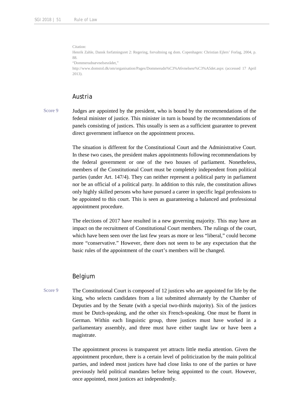Citation:

Henrik Zahle, Dansk forfatningsret 2: Regering, forvaltning og dom. Copenhagen: Christian Ejlers' Forlag, 2004, p. 88.

"Dommerudnævnelsesrådet,"

http://www.domstol.dk/om/organisation/Pages/Dommerudn%C3%A6vnelsesr%C3%A5det.aspx (accessed 17 April 2013).

# Austria

Score 9 Judges are appointed by the president, who is bound by the recommendations of the federal minister of justice. This minister in turn is bound by the recommendations of panels consisting of justices. This usually is seen as a sufficient guarantee to prevent direct government influence on the appointment process.

> The situation is different for the Constitutional Court and the Administrative Court. In these two cases, the president makes appointments following recommendations by the federal government or one of the two houses of parliament. Nonetheless, members of the Constitutional Court must be completely independent from political parties (under Art. 147/4). They can neither represent a political party in parliament nor be an official of a political party. In addition to this rule, the constitution allows only highly skilled persons who have pursued a career in specific legal professions to be appointed to this court. This is seen as guaranteeing a balanced and professional appointment procedure.

> The elections of 2017 have resulted in a new governing majority. This may have an impact on the recruitment of Constitutional Court members. The rulings of the court, which have been seen over the last few years as more or less "liberal," could become more "conservative." However, there does not seem to be any expectation that the basic rules of the appointment of the court's members will be changed.

# Belgium

Score 9 The Constitutional Court is composed of 12 justices who are appointed for life by the king, who selects candidates from a list submitted alternately by the Chamber of Deputies and by the Senate (with a special two-thirds majority). Six of the justices must be Dutch-speaking, and the other six French-speaking. One must be fluent in German. Within each linguistic group, three justices must have worked in a parliamentary assembly, and three must have either taught law or have been a magistrate.

> The appointment process is transparent yet attracts little media attention. Given the appointment procedure, there is a certain level of politicization by the main political parties, and indeed most justices have had close links to one of the parties or have previously held political mandates before being appointed to the court. However, once appointed, most justices act independently.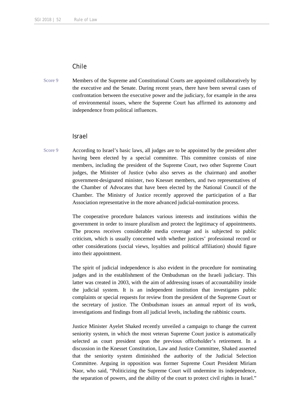# Chile

Score 9 Members of the Supreme and Constitutional Courts are appointed collaboratively by the executive and the Senate. During recent years, there have been several cases of confrontation between the executive power and the judiciary, for example in the area of environmental issues, where the Supreme Court has affirmed its autonomy and independence from political influences.

#### Israel

Score 9 According to Israel's basic laws, all judges are to be appointed by the president after having been elected by a special committee. This committee consists of nine members, including the president of the Supreme Court, two other Supreme Court judges, the Minister of Justice (who also serves as the chairman) and another government-designated minister, two Knesset members, and two representatives of the Chamber of Advocates that have been elected by the National Council of the Chamber. The Ministry of Justice recently approved the participation of a Bar Association representative in the more advanced judicial-nomination process.

> The cooperative procedure balances various interests and institutions within the government in order to insure pluralism and protect the legitimacy of appointments. The process receives considerable media coverage and is subjected to public criticism, which is usually concerned with whether justices' professional record or other considerations (social views, loyalties and political affiliation) should figure into their appointment.

> The spirit of judicial independence is also evident in the procedure for nominating judges and in the establishment of the Ombudsman on the Israeli judiciary. This latter was created in 2003, with the aim of addressing issues of accountability inside the judicial system. It is an independent institution that investigates public complaints or special requests for review from the president of the Supreme Court or the secretary of justice. The Ombudsman issues an annual report of its work, investigations and findings from all judicial levels, including the rabbinic courts.

> Justice Minister Ayelet Shaked recently unveiled a campaign to change the current seniority system, in which the most veteran Supreme Court justice is automatically selected as court president upon the previous officeholder's retirement. In a discussion in the Knesset Constitution, Law and Justice Committee, Shaked asserted that the seniority system diminished the authority of the Judicial Selection Committee. Arguing in opposition was former Supreme Court President Miriam Naor, who said, "Politicizing the Supreme Court will undermine its independence, the separation of powers, and the ability of the court to protect civil rights in Israel."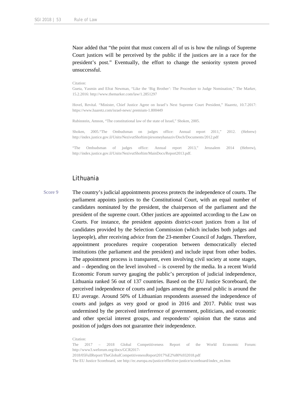Naor added that "the point that must concern all of us is how the rulings of Supreme Court justices will be perceived by the public if the justices are in a race for the president's post." Eventually, the effort to change the seniority system proved unsuccessful.

#### Citation:

Gueta, Yasmin and Efrat Newman, "Like the 'Big Brother': The Procedure to Judge Nomination," The Marker, 15.2.2016: http://www.themarker.com/law/1.2851297

Hovel, Revital. "Minister, Chief Justice Agree on Israel's Next Supreme Court President," Haaretz, 10.7.2017: https://www.haaretz.com/israel-news/.premium-1.800449

Rubinstein, Amnon, "The constitutional law of the state of Israel," Shoken, 2005.

Shoken, 2005."The Ombudsman on judges office: Annual report 2011," 2012. (Hebrew) http://index.justice.gov.il/Units/NezivutShoftim/pirsomeyhanaziv/Doch/Documents/2012.pdf

"The Ombudsman of judges office: Annual report 2013," Jerusalem 2014 (Hebrew), http://index.justice.gov.il/Units/NezivutShoftim/MainDocs/Report2013.pdf.

#### Lithuania

Score 9 The country's judicial appointments process protects the independence of courts. The parliament appoints justices to the Constitutional Court, with an equal number of candidates nominated by the president, the chairperson of the parliament and the president of the supreme court. Other justices are appointed according to the Law on Courts. For instance, the president appoints district-court justices from a list of candidates provided by the Selection Commission (which includes both judges and laypeople), after receiving advice from the 23-member Council of Judges. Therefore, appointment procedures require cooperation between democratically elected institutions (the parliament and the president) and include input from other bodies. The appointment process is transparent, even involving civil society at some stages, and – depending on the level involved – is covered by the media. In a recent World Economic Forum survey gauging the public's perception of judicial independence, Lithuania ranked 56 out of 137 countries. Based on the EU Justice Scoreboard, the perceived independence of courts and judges among the general public is around the EU average. Around 50% of Lithuanian respondents assessed the independence of courts and judges as very good or good in 2016 and 2017. Public trust was undermined by the perceived interference of government, politicians, and economic and other special interest groups, and respondents' opinion that the status and position of judges does not guarantee their independence.

Citation:

The 2017 – 2018 Global Competitiveness Report of the World Economic Forum: http://www3.weforum.org/docs/GCR2017-

<sup>2018/05</sup>FullReport/TheGlobalCompetitivenessReport2017%E2%80%932018.pdf

The EU Justice Scoreboard, see http://ec.europa.eu/justice/effective-justice/scoreboard/index\_en.htm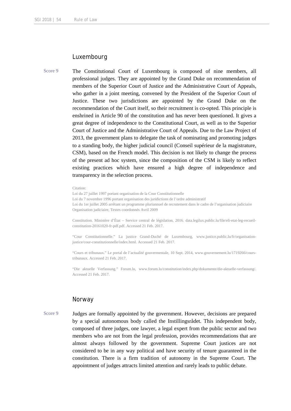# Luxembourg

Score 9 The Constitutional Court of Luxembourg is composed of nine members, all professional judges. They are appointed by the Grand Duke on recommendation of members of the Superior Court of Justice and the Administrative Court of Appeals, who gather in a joint meeting, convened by the President of the Superior Court of Justice. These two jurisdictions are appointed by the Grand Duke on the recommendation of the Court itself, so their recruitment is co-opted. This principle is enshrined in Article 90 of the constitution and has never been questioned. It gives a great degree of independence to the Constitutional Court, as well as to the Superior Court of Justice and the Administrative Court of Appeals. Due to the Law Project of 2013, the government plans to delegate the task of nominating and promoting judges to a standing body, the higher judicial council (Conseil supérieur de la magistrature, CSM), based on the French model. This decision is not likely to change the process of the present ad hoc system, since the composition of the CSM is likely to reflect existing practices which have ensured a high degree of independence and transparency in the selection process.

#### Citation:

Loi du 27 juillet 1997 portant organisation de la Cour Constitutionnelle Loi du 7 novembre 1996 portant organisation des juridictions de l'ordre administratif Loi du 1er juillet 2005 arrêtant un programme pluriannuel de recrutement dans le cadre de l'organisation judiciaire Organisation judiciaire, Textes coordonnés Avril 2009

Constitution. Ministère d'État – Service central de législation, 2016. data.legilux.public.lu/file/eli-etat-leg-recueilconstitution-20161020-fr-pdf.pdf. Accessed 21 Feb. 2017.

"Cour Constitutionnelle." La justice Grand-Duché de Luxembourg, www.justice.public.lu/fr/organisationjustice/cour-constitutionnelle/index.html. Accessed 21 Feb. 2017.

"Cours et tribunaux." Le portal de l'actualité gouvermentale, 10 Sept. 2014, www.gouvernement.lu/1719266/courstribunaux. Accessed 21 Feb. 2017.

"Die aktuelle Verfassung." Forum.lu, www.forum.lu/constitution/index.php/dokumente/die-aktuelle-verfassung/. Accessed 21 Feb. 2017.

### Norway

Score 9 Judges are formally appointed by the government. However, decisions are prepared by a special autonomous body called the Instillingsrådet. This independent body, composed of three judges, one lawyer, a legal expert from the public sector and two members who are not from the legal profession, provides recommendations that are almost always followed by the government. Supreme Court justices are not considered to be in any way political and have security of tenure guaranteed in the constitution. There is a firm tradition of autonomy in the Supreme Court. The appointment of judges attracts limited attention and rarely leads to public debate.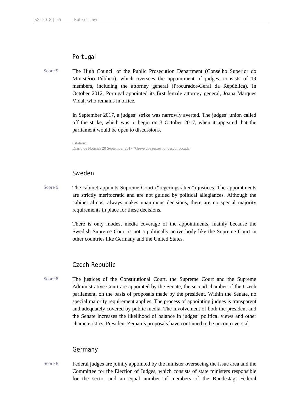# Portugal

Score 9 The High Council of the Public Prosecution Department (Conselho Superior do Ministério Público), which oversees the appointment of judges, consists of 19 members, including the attorney general (Procurador-Geral da República). In October 2012, Portugal appointed its first female attorney general, Joana Marques Vidal, who remains in office.

> In September 2017, a judges' strike was narrowly averted. The judges' union called off the strike, which was to begin on 3 October 2017, when it appeared that the parliament would be open to discussions.

Citation: Diario de Noticias 20 September 2017 "Greve dos juizes foi desconvocada"

# Sweden

Score 9 The cabinet appoints Supreme Court ("regeringsrätten") justices. The appointments are strictly meritocratic and are not guided by political allegiances. Although the cabinet almost always makes unanimous decisions, there are no special majority requirements in place for these decisions.

> There is only modest media coverage of the appointments, mainly because the Swedish Supreme Court is not a politically active body like the Supreme Court in other countries like Germany and the United States.

### Czech Republic

Score 8 The justices of the Constitutional Court, the Supreme Court and the Supreme Administrative Court are appointed by the Senate, the second chamber of the Czech parliament, on the basis of proposals made by the president. Within the Senate, no special majority requirement applies. The process of appointing judges is transparent and adequately covered by public media. The involvement of both the president and the Senate increases the likelihood of balance in judges' political views and other characteristics. President Zeman's proposals have continued to be uncontroversial.

### Germany

Score 8 Federal judges are jointly appointed by the minister overseeing the issue area and the Committee for the Election of Judges, which consists of state ministers responsible for the sector and an equal number of members of the Bundestag. Federal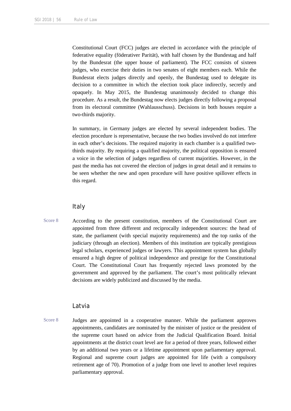Constitutional Court (FCC) judges are elected in accordance with the principle of federative equality (föderativer Parität), with half chosen by the Bundestag and half by the Bundesrat (the upper house of parliament). The FCC consists of sixteen judges, who exercise their duties in two senates of eight members each. While the Bundesrat elects judges directly and openly, the Bundestag used to delegate its decision to a committee in which the election took place indirectly, secretly and opaquely. In May 2015, the Bundestag unanimously decided to change this procedure. As a result, the Bundestag now elects judges directly following a proposal from its electoral committee (Wahlausschuss). Decisions in both houses require a two-thirds majority.

In summary, in Germany judges are elected by several independent bodies. The election procedure is representative, because the two bodies involved do not interfere in each other's decisions. The required majority in each chamber is a qualified twothirds majority. By requiring a qualified majority, the political opposition is ensured a voice in the selection of judges regardless of current majorities. However, in the past the media has not covered the election of judges in great detail and it remains to be seen whether the new and open procedure will have positive spillover effects in this regard.

#### Italy

Score 8 According to the present constitution, members of the Constitutional Court are appointed from three different and reciprocally independent sources: the head of state, the parliament (with special majority requirements) and the top ranks of the judiciary (through an election). Members of this institution are typically prestigious legal scholars, experienced judges or lawyers. This appointment system has globally ensured a high degree of political independence and prestige for the Constitutional Court. The Constitutional Court has frequently rejected laws promoted by the government and approved by the parliament. The court's most politically relevant decisions are widely publicized and discussed by the media.

#### Latvia

Score 8 Judges are appointed in a cooperative manner. While the parliament approves appointments, candidates are nominated by the minister of justice or the president of the supreme court based on advice from the Judicial Qualification Board. Initial appointments at the district court level are for a period of three years, followed either by an additional two years or a lifetime appointment upon parliamentary approval. Regional and supreme court judges are appointed for life (with a compulsory retirement age of 70). Promotion of a judge from one level to another level requires parliamentary approval.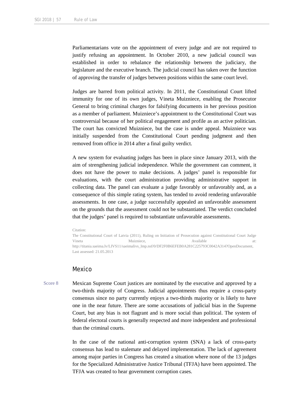Parliamentarians vote on the appointment of every judge and are not required to justify refusing an appointment. In October 2010, a new judicial council was established in order to rebalance the relationship between the judiciary, the legislature and the executive branch. The judicial council has taken over the function of approving the transfer of judges between positions within the same court level.

Judges are barred from political activity. In 2011, the Constitutional Court lifted immunity for one of its own judges, Vineta Muizniece, enabling the Prosecutor General to bring criminal charges for falsifying documents in her previous position as a member of parliament. Muizniece's appointment to the Constitutional Court was controversial because of her political engagement and profile as an active politician. The court has convicted Muizniece, but the case is under appeal. Muizniece was initially suspended from the Constitutional Court pending judgment and then removed from office in 2014 after a final guilty verdict.

A new system for evaluating judges has been in place since January 2013, with the aim of strengthening judicial independence. While the government can comment, it does not have the power to make decisions. A judges' panel is responsible for evaluations, with the court administration providing administrative support in collecting data. The panel can evaluate a judge favorably or unfavorably and, as a consequence of this simple rating system, has tended to avoid rendering unfavorable assessments. In one case, a judge successfully appealed an unfavorable assessment on the grounds that the assessment could not be substantiated. The verdict concluded that the judges' panel is required to substantiate unfavorable assessments.

#### Citation:

The Constitutional Court of Latvia (2011), Ruling on Initiation of Prosecution against Constitutional Court Judge Vineta and Muizniece, and Available at: http://titania.saeima.lv/LIVS11/saeimalivs\_lmp.nsf/0/DF2F0B6EFEB0A281C225793C0042A314?OpenDocument, Last assessed: 21.05.2013

#### Mexico

Score 8 Mexican Supreme Court justices are nominated by the executive and approved by a two-thirds majority of Congress. Judicial appointments thus require a cross-party consensus since no party currently enjoys a two-thirds majority or is likely to have one in the near future. There are some accusations of judicial bias in the Supreme Court, but any bias is not flagrant and is more social than political. The system of federal electoral courts is generally respected and more independent and professional than the criminal courts.

> In the case of the national anti-corruption system (SNA) a lack of cross-party consensus has lead to stalemate and delayed implementation. The lack of agreement among major parties in Congress has created a situation where none of the 13 judges for the Specialized Administrative Justice Tribunal (TFJA) have been appointed. The TFJA was created to hear government corruption cases.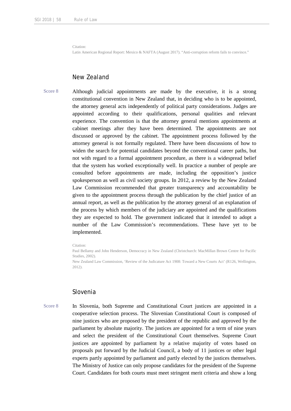Citation:

Latin American Regional Report: Mexico & NAFTA (August 2017). "Anti-corruption reform fails to convince."

# New Zealand

Score 8 Although judicial appointments are made by the executive, it is a strong constitutional convention in New Zealand that, in deciding who is to be appointed, the attorney general acts independently of political party considerations. Judges are appointed according to their qualifications, personal qualities and relevant experience. The convention is that the attorney general mentions appointments at cabinet meetings after they have been determined. The appointments are not discussed or approved by the cabinet. The appointment process followed by the attorney general is not formally regulated. There have been discussions of how to widen the search for potential candidates beyond the conventional career paths, but not with regard to a formal appointment procedure, as there is a widespread belief that the system has worked exceptionally well. In practice a number of people are consulted before appointments are made, including the opposition's justice spokesperson as well as civil society groups. In 2012, a review by the New Zealand Law Commission recommended that greater transparency and accountability be given to the appointment process through the publication by the chief justice of an annual report, as well as the publication by the attorney general of an explanation of the process by which members of the judiciary are appointed and the qualifications they are expected to hold. The government indicated that it intended to adopt a number of the Law Commission's recommendations. These have yet to be implemented.

Paul Bellamy and John Henderson, Democracy in New Zealand (Christchurch: MacMillan Brown Centre for Pacific Studies, 2002).

New Zealand Law Commission, 'Review of the Judicature Act 1908: Toward a New Courts Act' (R126, Wellington, 2012).

#### Slovenia

Score 8 In Slovenia, both Supreme and Constitutional Court justices are appointed in a cooperative selection process. The Slovenian Constitutional Court is composed of nine justices who are proposed by the president of the republic and approved by the parliament by absolute majority. The justices are appointed for a term of nine years and select the president of the Constitutional Court themselves. Supreme Court justices are appointed by parliament by a relative majority of votes based on proposals put forward by the Judicial Council, a body of 11 justices or other legal experts partly appointed by parliament and partly elected by the justices themselves. The Ministry of Justice can only propose candidates for the president of the Supreme Court. Candidates for both courts must meet stringent merit criteria and show a long

Citation: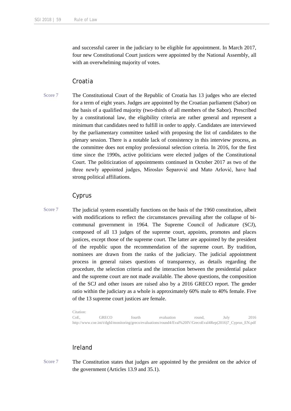and successful career in the judiciary to be eligible for appointment. In March 2017, four new Constitutional Court justices were appointed by the National Assembly, all with an overwhelming majority of votes.

# Croatia

Score 7 The Constitutional Court of the Republic of Croatia has 13 judges who are elected for a term of eight years. Judges are appointed by the Croatian parliament (Sabor) on the basis of a qualified majority (two-thirds of all members of the Sabor). Prescribed by a constitutional law, the eligibility criteria are rather general and represent a minimum that candidates need to fulfill in order to apply. Candidates are interviewed by the parliamentary committee tasked with proposing the list of candidates to the plenary session. There is a notable lack of consistency in this interview process, as the committee does not employ professional selection criteria. In 2016, for the first time since the 1990s, active politicians were elected judges of the Constitutional Court. The politicization of appointments continued in October 2017 as two of the three newly appointed judges, Miroslav Šeparović and Mato Arlović, have had strong political affiliations.

# Cyprus

Score 7 The judicial system essentially functions on the basis of the 1960 constitution, albeit with modifications to reflect the circumstances prevailing after the collapse of bicommunal government in 1964. The Supreme Council of Judicature (SCJ), composed of all 13 judges of the supreme court, appoints, promotes and places justices, except those of the supreme court. The latter are appointed by the president of the republic upon the recommendation of the supreme court. By tradition, nominees are drawn from the ranks of the judiciary. The judicial appointment process in general raises questions of transparency, as details regarding the procedure, the selection criteria and the interaction between the presidential palace and the supreme court are not made available. The above questions, the composition of the SCJ and other issues are raised also by a 2016 GRECO report. The gender ratio within the judiciary as a whole is approximately 60% male to 40% female. Five of the 13 supreme court justices are female.

> Citation: CoE, GRECO fourth evaluation round, July 2016 http://www.coe.int/t/dghl/monitoring/greco/evaluations/round4/Eval%20IV/GrecoEval4Rep(2016)7\_Cyprus\_EN.pdf

# Ireland

Score 7 The Constitution states that judges are appointed by the president on the advice of the government (Articles 13.9 and 35.1).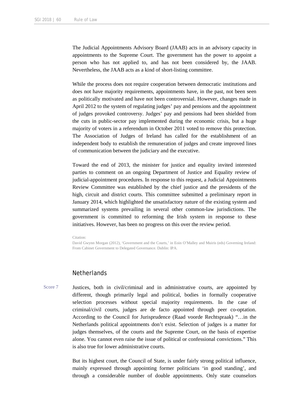The Judicial Appointments Advisory Board (JAAB) acts in an advisory capacity in appointments to the Supreme Court. The government has the power to appoint a person who has not applied to, and has not been considered by, the JAAB. Nevertheless, the JAAB acts as a kind of short-listing committee.

While the process does not require cooperation between democratic institutions and does not have majority requirements, appointments have, in the past, not been seen as politically motivated and have not been controversial. However, changes made in April 2012 to the system of regulating judges' pay and pensions and the appointment of judges provoked controversy. Judges' pay and pensions had been shielded from the cuts in public-sector pay implemented during the economic crisis, but a huge majority of voters in a referendum in October 2011 voted to remove this protection. The Association of Judges of Ireland has called for the establishment of an independent body to establish the remuneration of judges and create improved lines of communication between the judiciary and the executive.

Toward the end of 2013, the minister for justice and equality invited interested parties to comment on an ongoing Department of Justice and Equality review of judicial-appointment procedures. In response to this request, a Judicial Appointments Review Committee was established by the chief justice and the presidents of the high, circuit and district courts. This committee submitted a preliminary report in January 2014, which highlighted the unsatisfactory nature of the existing system and summarized systems prevailing in several other common-law jurisdictions. The government is committed to reforming the Irish system in response to these initiatives. However, has been no progress on this over the review period.

#### Citation:

David Gwynn Morgan (2012), 'Government and the Courts,' in Eoin O'Malley and Muiris (eds) Governing Ireland: From Cabinet Government to Delegated Governance. Dublin: IPA.

#### **Netherlands**

Score 7 Justices, both in civil/criminal and in administrative courts, are appointed by different, though primarily legal and political, bodies in formally cooperative selection processes without special majority requirements. In the case of criminal/civil courts, judges are de facto appointed through peer co-optation. According to the Council for Jurisprudence (Raad voorde Rechtspraak) "…in the Netherlands political appointments don't exist. Selection of judges is a matter for judges themselves, of the courts and the Supreme Court, on the basis of expertise alone. You cannot even raise the issue of political or confessional convictions." This is also true for lower administrative courts.

> But its highest court, the Council of State, is under fairly strong political influence, mainly expressed through appointing former politicians 'in good standing', and through a considerable number of double appointments. Only state counselors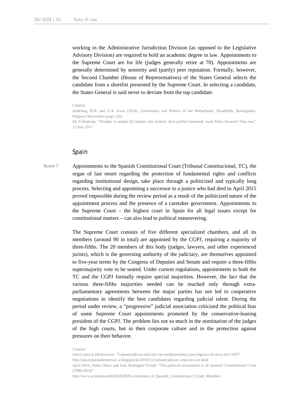working in the Administrative Jurisdiction Division (as opposed to the Legislative Advisory Division) are required to hold an academic degree in law. Appointments to the Supreme Court are for life (judges generally retire at 70). Appointments are generally determined by seniority and (partly) peer reputation. Formally, however, the Second Chamber (House of Representatives) of the States General selects the candidate from a shortlist presented by the Supreme Court. In selecting a candidate, the States General is said never to deviate from the top candidate.

#### Citation:

Andeweg, R.B. and G.A. Irwin (2014), Governance and Politics of the Netherlands. Houdmills, Basingstoke: Palgrave Macmillan (page 210).

De Volkskrant, "Worden in andere EU-landen ook rechters door politici benoemd, zoals Polen beweert? Nou nee," 23 July 2017

### Spain

Score 7 Appointments to the Spanish Constitutional Court (Tribunal Constitucional, TC), the organ of last resort regarding the protection of fundamental rights and conflicts regarding institutional design, take place through a politicized and typically long process. Selecting and appointing a successor to a justice who had died in April 2015 proved impossible during the review period as a result of the politicized nature of the appointment process and the presence of a caretaker government. Appointments to the Supreme Court – the highest court in Spain for all legal issues except for constitutional matters – can also lead to political maneuvering.

> The Supreme Court consists of five different specialized chambers, and all its members (around 90 in total) are appointed by the CGPJ, requiring a majority of three-fifths. The 20 members of this body (judges, lawyers, and other experienced jurists), which is the governing authority of the judiciary, are themselves appointed to five-year terms by the Congress of Deputies and Senate and require a three-fifths supermajority vote to be seated. Under current regulations, appointments to both the TC and the CGPJ formally require special majorities. However, the fact that the various three-fifths majorities needed can be reached only through extraparliamentary agreements between the major parties has not led to cooperative negotiations to identify the best candidates regarding judicial talent. During the period under review, a "progressive" judicial association criticized the political bias of some Supreme Court appointments promoted by the conservative-leaning president of the CGPJ. The problem lies not so much in the nomination of the judges of the high courts, but in their corporate culture and in the protection against pressures on their behavior.

Jueces para la Democracia: "Comunicado en relación con nombramientos para órganos técnicos del CGPJ"

http://juecesparalademocraci a.blogspot.be/2016/11/comunicado-en -relacion-con.html

April 2014, Pablo Oñate and Juan Rodríguez-Teruel: "The political recruitment to eh Spanish Constitutional Court (1980-2014)"

http://www.academia.edu/8418599/R ecruitment\_of\_Spanish\_Constitutiona l\_Court\_Members

Citation: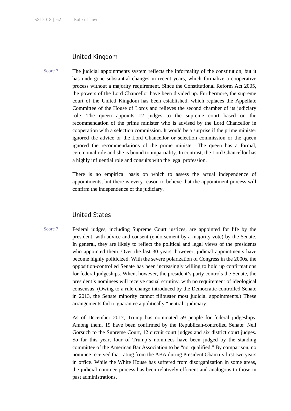# United Kingdom

Score 7 The judicial appointments system reflects the informality of the constitution, but it has undergone substantial changes in recent years, which formalize a cooperative process without a majority requirement. Since the Constitutional Reform Act 2005, the powers of the Lord Chancellor have been divided up. Furthermore, the supreme court of the United Kingdom has been established, which replaces the Appellate Committee of the House of Lords and relieves the second chamber of its judiciary role. The queen appoints 12 judges to the supreme court based on the recommendation of the prime minister who is advised by the Lord Chancellor in cooperation with a selection commission. It would be a surprise if the prime minister ignored the advice or the Lord Chancellor or selection commission or the queen ignored the recommendations of the prime minister. The queen has a formal, ceremonial role and she is bound to impartiality. In contrast, the Lord Chancellor has a highly influential role and consults with the legal profession.

> There is no empirical basis on which to assess the actual independence of appointments, but there is every reason to believe that the appointment process will confirm the independence of the judiciary.

### United States

Score 7 Federal judges, including Supreme Court justices, are appointed for life by the president, with advice and consent (endorsement by a majority vote) by the Senate. In general, they are likely to reflect the political and legal views of the presidents who appointed them. Over the last 30 years, however, judicial appointments have become highly politicized. With the severe polarization of Congress in the 2000s, the opposition-controlled Senate has been increasingly willing to hold up confirmations for federal judgeships. When, however, the president's party controls the Senate, the president's nominees will receive casual scrutiny, with no requirement of ideological consensus. (Owing to a rule change introduced by the Democratic-controlled Senate in 2013, the Senate minority cannot filibuster most judicial appointments.) These arrangements fail to guarantee a politically "neutral" judiciary.

> As of December 2017, Trump has nominated 59 people for federal judgeships. Among them, 19 have been confirmed by the Republican-controlled Senate: Neil Gorsuch to the Supreme Court, 12 circuit court judges and six district court judges. So far this year, four of Trump's nominees have been judged by the standing committee of the American Bar Association to be "not qualified." By comparison, no nominee received that rating from the ABA during President Obama's first two years in office. While the White House has suffered from disorganization in some areas, the judicial nominee process has been relatively efficient and analogous to those in past administrations.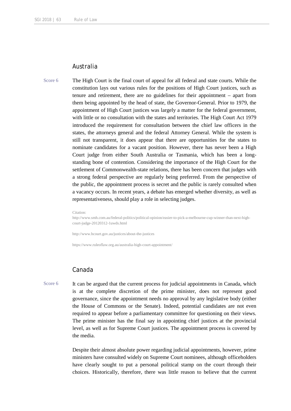### Australia

Score 6 The High Court is the final court of appeal for all federal and state courts. While the constitution lays out various rules for the positions of High Court justices, such as tenure and retirement, there are no guidelines for their appointment – apart from them being appointed by the head of state, the Governor-General. Prior to 1979, the appointment of High Court justices was largely a matter for the federal government, with little or no consultation with the states and territories. The High Court Act 1979 introduced the requirement for consultation between the chief law officers in the states, the attorneys general and the federal Attorney General. While the system is still not transparent, it does appear that there are opportunities for the states to nominate candidates for a vacant position. However, there has never been a High Court judge from either South Australia or Tasmania, which has been a longstanding bone of contention. Considering the importance of the High Court for the settlement of Commonwealth-state relations, there has been concern that judges with a strong federal perspective are regularly being preferred. From the perspective of the public, the appointment process is secret and the public is rarely consulted when a vacancy occurs. In recent years, a debate has emerged whether diversity, as well as representativeness, should play a role in selecting judges.

Citation:

http://www.smh.com.au/federal-politics/political-opinion/easier-to-pick-a-melbourne-cup-winner-than-next-highcourt-judge-20120312-1uwds.html

http://www.hcourt.gov.au/justices/about-the-justices

https://www.ruleoflaw.org.au/australia-high-court-appointment/

## Canada

Score 6 It can be argued that the current process for judicial appointments in Canada, which is at the complete discretion of the prime minister, does not represent good governance, since the appointment needs no approval by any legislative body (either the House of Commons or the Senate). Indeed, potential candidates are not even required to appear before a parliamentary committee for questioning on their views. The prime minister has the final say in appointing chief justices at the provincial level, as well as for Supreme Court justices. The appointment process is covered by the media.

> Despite their almost absolute power regarding judicial appointments, however, prime ministers have consulted widely on Supreme Court nominees, although officeholders have clearly sought to put a personal political stamp on the court through their choices. Historically, therefore, there was little reason to believe that the current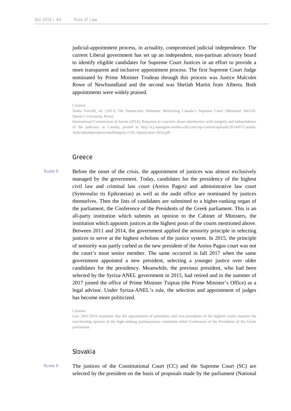judicial-appointment process, in actuality, compromised judicial independence. The current Liberal government has set up an independent, non-partisan advisory board to identify eligible candidates for Supreme Court Justices in an effort to provide a more transparent and inclusive appointment process. The first Supreme Court Judge nominated by Prime Minister Trudeau through this process was Justice Malcolm Rowe of Newfoundland and the second was Sheilah Martin from Alberta. Both appointments were widely praised.

#### Citation:

Nadia Verrelli, ed. (2013) The Democratic Dilemma: Reforming Canada's Supreme Court (Montreal: McGill-Queen's University Press)

International Commission of Jurists (2014), Response to concerns about interference with integrity and independence of the judiciary in Canada, posted at http://icj.wpengine.netdna-cdn.com/wp-content/uploads/2014/07/Canada-JudicialIndependenceAndIntegrity-CIJL-OpenLetter-2014.pdf

#### Greece

Score 6 Before the onset of the crisis, the appointment of justices was almost exclusively managed by the government. Today, candidates for the presidency of the highest civil law and criminal law court (Areios Pagos) and administrative law court (Symvoulio tis Epikrateias) as well as the audit office are nominated by justices themselves. Then the lists of candidates are submitted to a higher-ranking organ of the parliament, the Conference of the Presidents of the Greek parliament. This is an all-party institution which submits an opinion to the Cabinet of Ministers, the institution which appoints justices at the highest posts of the courts mentioned above. Between 2011 and 2014, the government applied the seniority principle in selecting justices to serve at the highest echelons of the justice system. In 2015, the principle of seniority was partly curbed as the new president of the Areios Pagos court was not the court's most senior member. The same occurred in fall 2017 when the same government appointed a new president, selecting a younger justice over older candidates for the presidency. Meanwhile, the previous president, who had been selected by the Syriza-ANEL government in 2015, had retired and in the summer of 2017 joined the office of Prime Minister Tsipras (the Prime Minister's Office) as a legal advisor. Under Syriza-ANEL's rule, the selection and appointment of judges has become more politicized.

# Slovakia

Score 6 The justices of the Constitutional Court (CC) and the Supreme Court (SC) are selected by the president on the basis of proposals made by the parliament (National

Citation:

Law 2841/2010 stipulates that the appointment of presidents and vice-presidents of the highest courts requires the non-binding opinion of the high-ranking parliamentary committee titled Conference of the Presidents of the Greek parliament.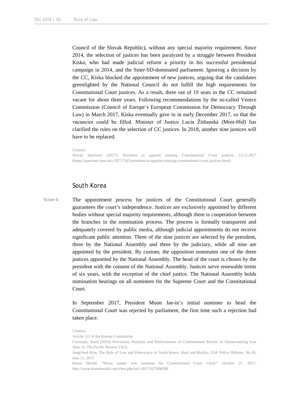Council of the Slovak Republic), without any special majority requirement. Since 2014, the selection of justices has been paralyzed by a struggle between President Kiska, who had made judicial reform a priority in his successful presidential campaign in 2014, and the Smer-SD-dominated parliament. Ignoring a decision by the CC, Kiska blocked the appointment of new justices, arguing that the candidates greenlighted by the National Council do not fulfill the high requirements for Constitutional Court justices. As a result, three out of 19 seats in the CC remained vacant for about three years. Following recommendations by the so-called Venice Commission (Council of Europe's European Commission for Democracy Through Law) in March 2017, Kiska eventually gave in in early December 2017, so that the vacancies could be filled. Minister of Justice Lucia Žitňanská (Most-Híd) has clarified the rules on the selection of CC justices. In 2018, another nine justices will have to be replaced.

#### Citation:

Slovak Spectator (2017): President to appoint missing Constitutional Court justices, 13.12.2017 (https://spectator.sme.sk/c/20717565/president-to-appoint-missing-constitutional-court-justices.html).

# South Korea

Score 6 The appointment process for justices of the Constitutional Court generally guarantees the court's independence. Justices are exclusively appointed by different bodies without special majority requirements, although there is cooperation between the branches in the nomination process. The process is formally transparent and adequately covered by public media, although judicial appointments do not receive significant public attention. Three of the nine justices are selected by the president, three by the National Assembly and three by the judiciary, while all nine are appointed by the president. By custom, the opposition nominates one of the three justices appointed by the National Assembly. The head of the court is chosen by the president with the consent of the National Assembly. Justices serve renewable terms of six years, with the exception of the chief justice. The National Assembly holds nomination hearings on all nominees for the Supreme Court and the Constitutional Court.

> In September 2017, President Moon Jae-in's initial nominee to head the Constitutional Court was rejected by parliament, the first time such a rejection had taken place.

Article 111 of the Korean Constitution

Korea Herald. "Moon names new nominee for Constitutional Court Chief." October 27, 2017. http://www.koreaherald.com/view.php?ud=20171027000588

Citation:

Croissant, Aurel (2010) Provisions, Practices and Performances of Constitutional Review in Democratizing East Asia, in: The Pacific Review 23(5).

Jongcheol Kim, The Rule of Law and Democracy in South Korea: Ideal and Reality, EAF Policy Debates, No.26, may 12, 2015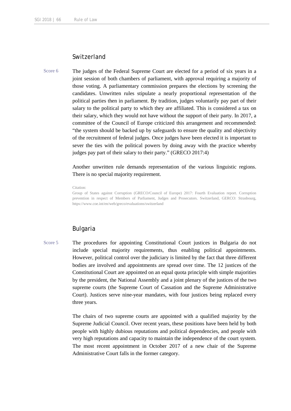# **Switzerland**

Score 6 The judges of the Federal Supreme Court are elected for a period of six years in a joint session of both chambers of parliament, with approval requiring a majority of those voting. A parliamentary commission prepares the elections by screening the candidates. Unwritten rules stipulate a nearly proportional representation of the political parties then in parliament. By tradition, judges voluntarily pay part of their salary to the political party to which they are affiliated. This is considered a tax on their salary, which they would not have without the support of their party. In 2017, a committee of the Council of Europe criticized this arrangement and recommended: "the system should be backed up by safeguards to ensure the quality and objectivity of the recruitment of federal judges. Once judges have been elected it is important to sever the ties with the political powers by doing away with the practice whereby judges pay part of their salary to their party." (GRECO 2017:4)

> Another unwritten rule demands representation of the various linguistic regions. There is no special majority requirement.

Citation:

Group of States against Corruption (GRECO/Council of Europe) 2017: Fourth Evaluation report. Corruption prevention in respect of Members of Parliament, Judges and Prosecutors. Switzerland, GERCO: Strasbourg, https://www.coe.int/en/web/greco/evaluations/switzerland

# Bulgaria

Score 5 The procedures for appointing Constitutional Court justices in Bulgaria do not include special majority requirements, thus enabling political appointments. However, political control over the judiciary is limited by the fact that three different bodies are involved and appointments are spread over time. The 12 justices of the Constitutional Court are appointed on an equal quota principle with simple majorities by the president, the National Assembly and a joint plenary of the justices of the two supreme courts (the Supreme Court of Cassation and the Supreme Administrative Court). Justices serve nine-year mandates, with four justices being replaced every three years.

> The chairs of two supreme courts are appointed with a qualified majority by the Supreme Judicial Council. Over recent years, these positions have been held by both people with highly dubious reputations and political dependencies, and people with very high reputations and capacity to maintain the independence of the court system. The most recent appointment in October 2017 of a new chair of the Supreme Administrative Court falls in the former category.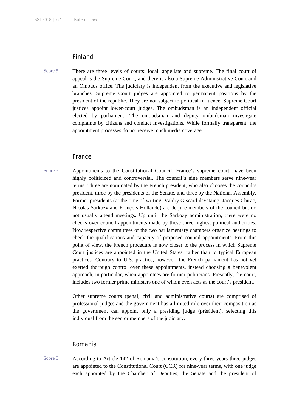# Finland

Score 5 There are three levels of courts: local, appellate and supreme. The final court of appeal is the Supreme Court, and there is also a Supreme Administrative Court and an Ombuds office. The judiciary is independent from the executive and legislative branches. Supreme Court judges are appointed to permanent positions by the president of the republic. They are not subject to political influence. Supreme Court justices appoint lower-court judges. The ombudsman is an independent official elected by parliament. The ombudsman and deputy ombudsman investigate complaints by citizens and conduct investigations. While formally transparent, the appointment processes do not receive much media coverage.

### France

Score 5 Appointments to the Constitutional Council, France's supreme court, have been highly politicized and controversial. The council's nine members serve nine-year terms. Three are nominated by the French president, who also chooses the council's president, three by the presidents of the Senate, and three by the National Assembly. Former presidents (at the time of writing, Valéry Giscard d'Estaing, Jacques Chirac, Nicolas Sarkozy and François Hollande) are de jure members of the council but do not usually attend meetings. Up until the Sarkozy administration, there were no checks over council appointments made by these three highest political authorities. Now respective committees of the two parliamentary chambers organize hearings to check the qualifications and capacity of proposed council appointments. From this point of view, the French procedure is now closer to the process in which Supreme Court justices are appointed in the United States, rather than to typical European practices. Contrary to U.S. practice, however, the French parliament has not yet exerted thorough control over these appointments, instead choosing a benevolent approach, in particular, when appointees are former politicians. Presently, the court, includes two former prime ministers one of whom even acts as the court's president.

> Other supreme courts (penal, civil and administrative courts) are comprised of professional judges and the government has a limited role over their composition as the government can appoint only a presiding judge (président), selecting this individual from the senior members of the judiciary.

# Romania

Score 5 According to Article 142 of Romania's constitution, every three years three judges are appointed to the Constitutional Court (CCR) for nine-year terms, with one judge each appointed by the Chamber of Deputies, the Senate and the president of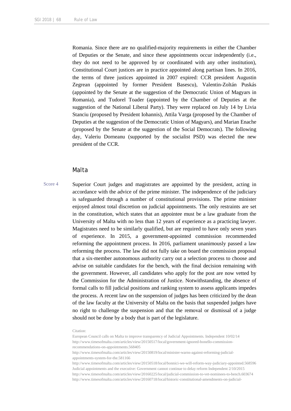Romania. Since there are no qualified-majority requirements in either the Chamber of Deputies or the Senate, and since these appointments occur independently (i.e., they do not need to be approved by or coordinated with any other institution), Constitutional Court justices are in practice appointed along partisan lines. In 2016, the terms of three justices appointed in 2007 expired: CCR president Augustin Zegrean (appointed by former President Basescu), Valentin-Zoltán Puskás (appointed by the Senate at the suggestion of the Democratic Union of Magyars in Romania), and Tudorel Toader (appointed by the Chamber of Deputies at the suggestion of the National Liberal Party). They were replaced on July 14 by Livia Stanciu (proposed by President Iohannis), Attila Varga (proposed by the Chamber of Deputies at the suggestion of the Democratic Union of Magyars), and Marian Enache (proposed by the Senate at the suggestion of the Social Democrats). The following day, Valeriu Dorneanu (supported by the socialist PSD) was elected the new president of the CCR.

#### Malta

Score 4 Superior Court judges and magistrates are appointed by the president, acting in accordance with the advice of the prime minister. The independence of the judiciary is safeguarded through a number of constitutional provisions. The prime minister enjoyed almost total discretion on judicial appointments. The only restraints are set in the constitution, which states that an appointee must be a law graduate from the University of Malta with no less than 12 years of experience as a practicing lawyer. Magistrates need to be similarly qualified, but are required to have only seven years of experience. In 2015, a government-appointed commission recommended reforming the appointment process. In 2016, parliament unanimously passed a law reforming the process. The law did not fully take on board the commission proposal that a six-member autonomous authority carry out a selection process to choose and advise on suitable candidates for the bench, with the final decision remaining with the government. However, all candidates who apply for the post are now vetted by the Commission for the Administration of Justice. Notwithstanding, the absence of formal calls to fill judicial positions and ranking system to assess applicants impedes the process. A recent law on the suspension of judges has been criticized by the dean of the law faculty at the University of Malta on the basis that suspended judges have no right to challenge the suspension and that the removal or dismissal of a judge should not be done by a body that is part of the legislature.

http://www.timesofmalta.com/articles/view/20150819/local/minister-warns-against-reforming-judicialappointments-system-for-the.581166

Citation:

European Council calls on Malta to improve transparency of Judicial Appointments. Independent 10/02/14 http://www.timesofmalta.com/articles/view/20150517/local/government-ignored-bonello-commissionrecommendations-on-appointments.568405

http://www.timesofmalta.com/articles/view/20150518/local/bonnici-we-will-reform-way-judiciary-appointed.568596 Judicial appointments and the executive: Government cannot continue to delay reform Independent 2/10/2015 http://www.timesofmalta.com/articles/view/20160225/local/judicial-commission-to-vet-nominees-to-bench.603674 http://www.timesofmalta.com/articles/view/20160718/local/historic-constitutional-amendments-on-judicial-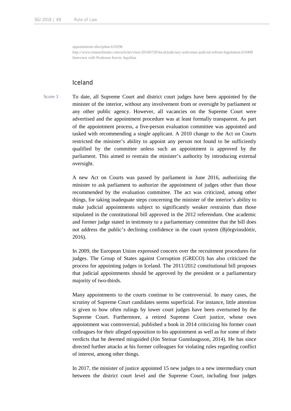appointments-discipline.619296

http://www.timesofmalta.com/articles/view/20160720/local/judiciary-welcomes-judicial-reform-legislation.619498 Interview with Professor Kevin Aquilina

# Iceland

Score 3 To date, all Supreme Court and district court judges have been appointed by the minister of the interior, without any involvement from or oversight by parliament or any other public agency. However, all vacancies on the Supreme Court were advertised and the appointment procedure was at least formally transparent. As part of the appointment process, a five-person evaluation committee was appointed and tasked with recommending a single applicant. A 2010 change to the Act on Courts restricted the minister's ability to appoint any person not found to be sufficiently qualified by the committee unless such an appointment is approved by the parliament. This aimed to restrain the minister's authority by introducing external oversight.

> A new Act on Courts was passed by parliament in June 2016, authorizing the minister to ask parliament to authorize the appointment of judges other than those recommended by the evaluation committee. The act was criticized, among other things, for taking inadequate steps concerning the minister of the interior's ability to make judicial appointments subject to significantly weaker restraints than those stipulated in the constitutional bill approved in the 2012 referendum. One academic and former judge stated in testimony to a parliamentary committee that the bill does not address the public's declining confidence in the court system (Björgvinsdóttir, 2016).

> In 2009, the European Union expressed concern over the recruitment procedures for judges. The Group of States against Corruption (GRECO) has also criticized the process for appointing judges in Iceland. The 2011/2012 constitutional bill proposes that judicial appointments should be approved by the president or a parliamentary majority of two-thirds.

> Many appointments to the courts continue to be controversial. In many cases, the scrutiny of Supreme Court candidates seems superficial. For instance, little attention is given to how often rulings by lower court judges have been overturned by the Supreme Court. Furthermore, a retired Supreme Court justice, whose own appointment was controversial, published a book in 2014 criticizing his former court colleagues for their alleged opposition to his appointment as well as for some of their verdicts that he deemed misguided (Jón Steinar Gunnlaugsson, 2014). He has since directed further attacks at his former colleagues for violating rules regarding conflict of interest, among other things.

> In 2017, the minister of justice appointed 15 new judges to a new intermediary court between the district court level and the Supreme Court, including four judges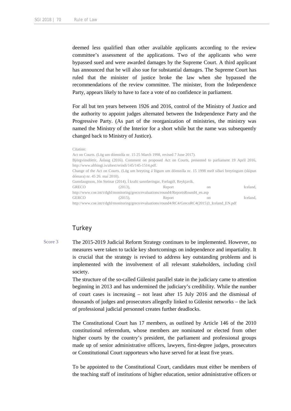deemed less qualified than other available applicants according to the review committee's assessment of the applications. Two of the applicants who were bypassed sued and were awarded damages by the Supreme Court. A third applicant has announced that he will also sue for substantial damages. The Supreme Court has ruled that the minister of justice broke the law when she bypassed the recommendations of the review committee. The minister, from the Independence Party, appears likely to have to face a vote of no confidence in parliament.

For all but ten years between 1926 and 2016, control of the Ministry of Justice and the authority to appoint judges alternated between the Independence Party and the Progressive Party. (As part of the reorganization of ministries, the ministry was named the Ministry of the Interior for a short while but the name was subsequently changed back to Ministry of Justice).

#### Citation:

```
Act on Courts. (Lög um dómstóla nr. 15 25 March 1998, revised 7 June 2017).
Björgvinsdóttir, Áslaug (2016). Comment on proposed Act on Courts, presented to parliament 19 April 2016, 
http://www.althingi.is/altext/erindi/145/145-1514.pdf.
Change of the Act on Courts. (Lög um breyting á lögum um dómstóla nr. 15 1998 með síðari breytingum (skipun 
dómara) nr. 45 26. maí 2010).
Gunnlaugsson, Jón Steinar (2014), Í krafti sannfæringar, Forlagið, Reykjavík.
GRECO (2013), Report on Iceland,
http://www.coe.int/t/dghl/monitoring/greco/evaluations/round4/ReportsRound4_en.asp
GERCO (2015), Report on Iceland,
http://www.coe.int/t/dghl/monitoring/greco/evaluations/round4/RC4/GrecoRC4(2015)3_Iceland_EN.pdf
```
# **Turkey**

Score 3 The 2015-2019 Judicial Reform Strategy continues to be implemented. However, no measures were taken to tackle key shortcomings on independence and impartiality. It is crucial that the strategy is revised to address key outstanding problems and is implemented with the involvement of all relevant stakeholders, including civil society.

> The structure of the so-called Gülenist parallel state in the judiciary came to attention beginning in 2013 and has undermined the judiciary's credibility. While the number of court cases is increasing – not least after 15 July 2016 and the dismissal of thousands of judges and prosecutors allegedly linked to Gülenist networks – the lack of professional judicial personnel creates further deadlocks.

> The Constitutional Court has 17 members, as outlined by Article 146 of the 2010 constitutional referendum, whose members are nominated or elected from other higher courts by the country's president, the parliament and professional groups made up of senior administrative officers, lawyers, first-degree judges, prosecutors or Constitutional Court rapporteurs who have served for at least five years.

> To be appointed to the Constitutional Court, candidates must either be members of the teaching staff of institutions of higher education, senior administrative officers or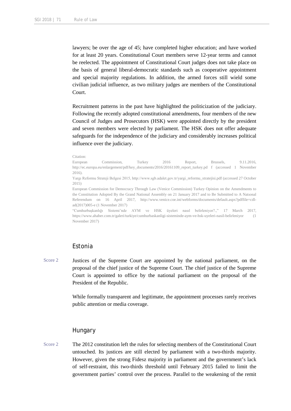lawyers; be over the age of 45; have completed higher education; and have worked for at least 20 years. Constitutional Court members serve 12-year terms and cannot be reelected. The appointment of Constitutional Court judges does not take place on the basis of general liberal-democratic standards such as cooperative appointment and special majority regulations. In addition, the armed forces still wield some civilian judicial influence, as two military judges are members of the Constitutional Court.

Recruitment patterns in the past have highlighted the politicization of the judiciary. Following the recently adopted constitutional amendments, four members of the new Council of Judges and Prosecutors (HSK) were appointed directly by the president and seven members were elected by parliament. The HSK does not offer adequate safeguards for the independence of the judiciary and considerably increases political influence over the judiciary.

#### Citation:

European Commission, Turkey 2016 Report, Brussels, 9.11.2016, http://ec.europa.eu/enlargement/pdf/key\_documents/2016/20161109\_report\_turkey.pd f (accessed 1 November 2016).

Yargı Reformu Strateji Belgesi 2015, http://www.sgb.adalet.gov.tr/yargi\_reformu\_stratejisi.pdf (accessed 27 October 2015)

European Commission for Democracy Through Law (Venice Commission) Turkey Opinion on the Amendments to the Constitution Adopted By the Grand National Assembly on 21 January 2017 and to Be Submitted to A Natıonal Referendum on 16 April 2017, http://www.venice.coe.int/webforms/documents/default.aspx?pdffile=cdlad(2017)005-e (1 November 2017)

"Cumhurbaşkanlığı Sistemi'nde AYM ve HSK üyeleri nasıl belirleniyor?.," 17 March 2017, https://www.ahaber.com.tr/galeri/turkiye/cumhurbaskanligi-sisteminde-aym-ve-hsk-uyeleri-nasil-belirleniyor (1 November 2017)

### Estonia

Score 2 Justices of the Supreme Court are appointed by the national parliament, on the proposal of the chief justice of the Supreme Court. The chief justice of the Supreme Court is appointed to office by the national parliament on the proposal of the President of the Republic.

> While formally transparent and legitimate, the appointment processes rarely receives public attention or media coverage.

#### **Hungary**

Score 2 The 2012 constitution left the rules for selecting members of the Constitutional Court untouched. Its justices are still elected by parliament with a two-thirds majority. However, given the strong Fidesz majority in parliament and the government's lack of self-restraint, this two-thirds threshold until February 2015 failed to limit the government parties' control over the process. Parallel to the weakening of the remit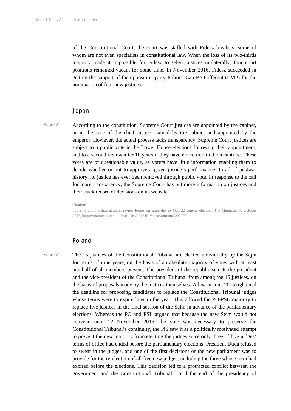of the Constitutional Court, the court was staffed with Fidesz loyalists, some of whom are not even specialists in constitutional law. When the loss of its two-thirds majority made it impossible for Fidesz to select justices unilaterally, four court positions remained vacant for some time. In November 2016, Fidesz succeeded in getting the support of the opposition party Politics Can Be Different (LMP) for the nomination of four new justices.

#### Japan

Score 2 According to the constitution, Supreme Court justices are appointed by the cabinet, or in the case of the chief justice, named by the cabinet and appointed by the emperor. However, the actual process lacks transparency. Supreme Court justices are subject to a public vote in the Lower House elections following their appointment, and to a second review after 10 years if they have not retired in the meantime. These votes are of questionable value, as voters have little information enabling them to decide whether or not to approve a given justice's performance. In all of postwar history, no justice has ever been removed through public vote. In response to the call for more transparency, the Supreme Court has put more information on justices and their track record of decisions on its website.

Citation:

Supreme court justice national review looms on same day as Oct. 22 general election, The Mainichi, 16 October 2017, https://mainichi.jp/english/articles/20171016/p2a/00m/0na/002000c

# Poland

Score 2 The 15 justices of the Constitutional Tribunal are elected individually by the Sejm for terms of nine years, on the basis of an absolute majority of votes with at least one-half of all members present. The president of the republic selects the president and the vice-president of the Constitutional Tribunal from among the 15 justices, on the basis of proposals made by the justices themselves. A law in June 2015 tightened the deadline for proposing candidates to replace the Constitutional Tribunal judges whose terms were to expire later in the year. This allowed the PO-PSL majority to replace five justices in the final session of the Sejm in advance of the parliamentary elections. Whereas the PO and PSL argued that because the new Sejm would not convene until 12 November 2015, the vote was necessary to preserve the Constitutional Tribunal's continuity, the PiS saw it as a politically motivated attempt to prevent the new majority from electing the judges since only three of five judges' terms of office had ended before the parliamentary elections. President Duda refused to swear in the judges, and one of the first decisions of the new parliament was to provide for the re-election of all five new judges, including the three whose term had expired before the elections. This decision led to a protracted conflict between the government and the Constitutional Tribunal. Until the end of the presidency of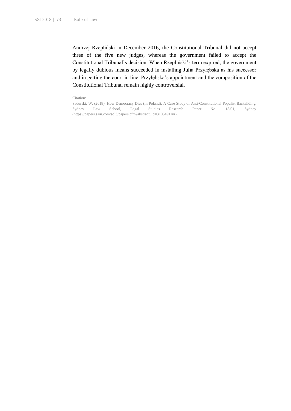Andrzej Rzepliński in December 2016, the Constitutional Tribunal did not accept three of the five new judges, whereas the government failed to accept the Constitutional Tribunal's decision. When Rzepliński's term expired, the government by legally dubious means succeeded in installing Julia Przyłębska as his successor and in getting the court in line. Przyłębska's appointment and the composition of the Constitutional Tribunal remain highly controversial.

#### Citation:

Sadurski, W. (2018): How Democracy Dies (in Poland): A Case Study of Anti-Constitutional Populist Backsliding. Sydney Law School, Legal Studies Research Paper No. 18/01, Sydney (https://papers.ssrn.com/sol3/papers.cfm?abstract\_id=3103491.##).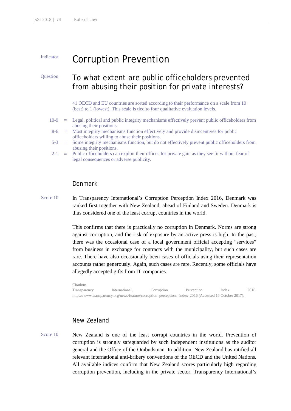# Indicator **Corruption Prevention**

# Question To what extent are public officeholders prevented from abusing their position for private interests?

41 OECD and EU countries are sorted according to their performance on a scale from 10 (best) to 1 (lowest). This scale is tied to four qualitative evaluation levels.

- 10-9 = Legal, political and public integrity mechanisms effectively prevent public officeholders from abusing their positions.
- $8-6$  = Most integrity mechanisms function effectively and provide disincentives for public officeholders willing to abuse their positions.
- 5-3 = Some integrity mechanisms function, but do not effectively prevent public officeholders from abusing their positions.
- $2-1$  = Public officeholders can exploit their offices for private gain as they see fit without fear of legal consequences or adverse publicity.

#### Denmark

Score 10 In Transparency International's Corruption Perception Index 2016, Denmark was ranked first together with New Zealand, ahead of Finland and Sweden. Denmark is thus considered one of the least corrupt countries in the world.

> This confirms that there is practically no corruption in Denmark. Norms are strong against corruption, and the risk of exposure by an active press is high. In the past, there was the occasional case of a local government official accepting "services" from business in exchange for contracts with the municipality, but such cases are rare. There have also occasionally been cases of officials using their representation accounts rather generously. Again, such cases are rare. Recently, some officials have allegedly accepted gifts from IT companies.

> Citation: Transparency International, Corruption Perception Index 2016. https://www.transparency.org/news/feature/corruption\_perceptions\_index\_2016 (Accessed 16 October 2017).

# New Zealand

Score 10 New Zealand is one of the least corrupt countries in the world. Prevention of corruption is strongly safeguarded by such independent institutions as the auditor general and the Office of the Ombudsman. In addition, New Zealand has ratified all relevant international anti-bribery conventions of the OECD and the United Nations. All available indices confirm that New Zealand scores particularly high regarding corruption prevention, including in the private sector. Transparency International's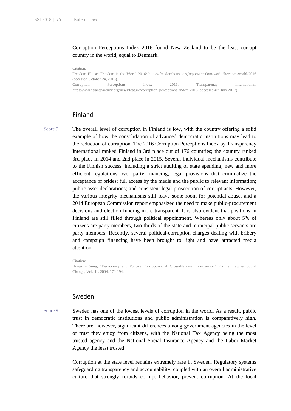Corruption Perceptions Index 2016 found New Zealand to be the least corrupt country in the world, equal to Denmark.

Citation:

Freedom House: Freedom in the World 2016: https://freedomhouse.org/report/freedom-world/freedom-world-2016 (accessed October 24, 2016). Corruption Perceptions Index 2016. Transparency International. https://www.transparency.org/news/feature/corruption\_perceptions\_index\_2016 (accessed 4th July 2017).

### Finland

Score 9 The overall level of corruption in Finland is low, with the country offering a solid example of how the consolidation of advanced democratic institutions may lead to the reduction of corruption. The 2016 Corruption Perceptions Index by Transparency International ranked Finland in 3rd place out of 176 countries; the country ranked 3rd place in 2014 and 2nd place in 2015. Several individual mechanisms contribute to the Finnish success, including a strict auditing of state spending; new and more efficient regulations over party financing; legal provisions that criminalize the acceptance of brides; full access by the media and the public to relevant information; public asset declarations; and consistent legal prosecution of corrupt acts. However, the various integrity mechanisms still leave some room for potential abuse, and a 2014 European Commission report emphasized the need to make public-procurement decisions and election funding more transparent. It is also evident that positions in Finland are still filled through political appointment. Whereas only about 5% of citizens are party members, two-thirds of the state and municipal public servants are party members. Recently, several political-corruption charges dealing with bribery and campaign financing have been brought to light and have attracted media attention.

Citation:

Hung-En Sung, "Democracy and Political Corruption: A Cross-National Comparison", Crime, Law & Social Change, Vol. 41, 2004, 179-194.

# Sweden

Score 9 Sweden has one of the lowest levels of corruption in the world. As a result, public trust in democratic institutions and public administration is comparatively high. There are, however, significant differences among government agencies in the level of trust they enjoy from citizens, with the National Tax Agency being the most trusted agency and the National Social Insurance Agency and the Labor Market Agency the least trusted.

> Corruption at the state level remains extremely rare in Sweden. Regulatory systems safeguarding transparency and accountability, coupled with an overall administrative culture that strongly forbids corrupt behavior, prevent corruption. At the local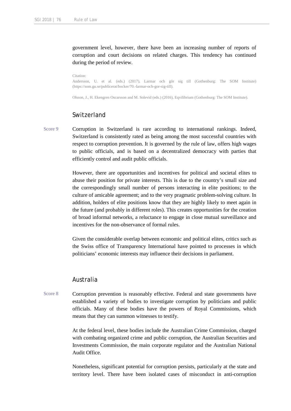government level, however, there have been an increasing number of reports of corruption and court decisions on related charges. This tendency has continued during the period of review.

Citation:

Andersson, U. et al. (eds.) (2017), Larmar och gör sig till (Gothenburg: The SOM Institute) (https://som.gu.se/publicerat/bocker/70.-larmar-och-gor-sig-till).

Olsson, J., H. Ekengren Oscarsson and M. Solevid (eds.) (2016), Eqvilibrium (Gothenburg: The SOM Institute).

# Switzerland

Score 9 Corruption in Switzerland is rare according to international rankings. Indeed, Switzerland is consistently rated as being among the most successful countries with respect to corruption prevention. It is governed by the rule of law, offers high wages to public officials, and is based on a decentralized democracy with parties that efficiently control and audit public officials.

> However, there are opportunities and incentives for political and societal elites to abuse their position for private interests. This is due to the country's small size and the correspondingly small number of persons interacting in elite positions; to the culture of amicable agreement; and to the very pragmatic problem-solving culture. In addition, holders of elite positions know that they are highly likely to meet again in the future (and probably in different roles). This creates opportunities for the creation of broad informal networks, a reluctance to engage in close mutual surveillance and incentives for the non-observance of formal rules.

> Given the considerable overlap between economic and political elites, critics such as the Swiss office of Transparency International have pointed to processes in which politicians' economic interests may influence their decisions in parliament.

# Australia

Score 8 Corruption prevention is reasonably effective. Federal and state governments have established a variety of bodies to investigate corruption by politicians and public officials. Many of these bodies have the powers of Royal Commissions, which means that they can summon witnesses to testify.

> At the federal level, these bodies include the Australian Crime Commission, charged with combating organized crime and public corruption, the Australian Securities and Investments Commission, the main corporate regulator and the Australian National Audit Office.

> Nonetheless, significant potential for corruption persists, particularly at the state and territory level. There have been isolated cases of misconduct in anti-corruption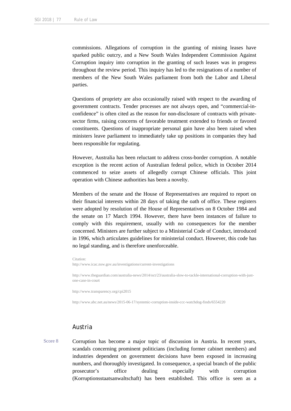commissions. Allegations of corruption in the granting of mining leases have sparked public outcry, and a New South Wales Independent Commission Against Corruption inquiry into corruption in the granting of such leases was in progress throughout the review period. This inquiry has led to the resignations of a number of members of the New South Wales parliament from both the Labor and Liberal parties.

Questions of propriety are also occasionally raised with respect to the awarding of government contracts. Tender processes are not always open, and "commercial-inconfidence" is often cited as the reason for non-disclosure of contracts with privatesector firms, raising concerns of favorable treatment extended to friends or favored constituents. Questions of inappropriate personal gain have also been raised when ministers leave parliament to immediately take up positions in companies they had been responsible for regulating.

However, Australia has been reluctant to address cross-border corruption. A notable exception is the recent action of Australian federal police, which in October 2014 commenced to seize assets of allegedly corrupt Chinese officials. This joint operation with Chinese authorities has been a novelty.

Members of the senate and the House of Representatives are required to report on their financial interests within 28 days of taking the oath of office. These registers were adopted by resolution of the House of Representatives on 8 October 1984 and the senate on 17 March 1994. However, there have been instances of failure to comply with this requirement, usually with no consequences for the member concerned. Ministers are further subject to a Ministerial Code of Conduct, introduced in 1996, which articulates guidelines for ministerial conduct. However, this code has no legal standing, and is therefore unenforceable.

Citation: http://www.icac.nsw.gov.au/investigations/current-investigations

http://www.theguardian.com/australia-news/2014/oct/23/australia-slow-to-tackle-international-corruption-with-justone-case-in-court

http://www.transparency.org/cpi2015

http://www.abc.net.au/news/2015-06-17/systemic-corruption-inside-ccc-watchdog-finds/6554220

# Austria

Score 8 Corruption has become a major topic of discussion in Austria. In recent years, scandals concerning prominent politicians (including former cabinet members) and industries dependent on government decisions have been exposed in increasing numbers, and thoroughly investigated. In consequence, a special branch of the public prosecutor's office dealing especially with corruption (Korruptionsstaatsanwaltschaft) has been established. This office is seen as a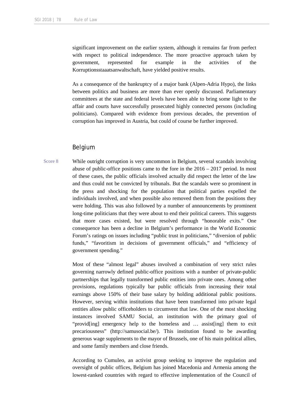significant improvement on the earlier system, although it remains far from perfect with respect to political independence. The more proactive approach taken by government, represented for example in the activities of the Korruptionsstaaatsanwaltschaft, have yielded positive results.

As a consequence of the bankruptcy of a major bank (Alpen-Adria Hypo), the links between politics and business are more than ever openly discussed. Parliamentary committees at the state and federal levels have been able to bring some light to the affair and courts have successfully prosecuted highly connected persons (including politicians). Compared with evidence from previous decades, the prevention of corruption has improved in Austria, but could of course be further improved.

### Belgium

Score 8 While outright corruption is very uncommon in Belgium, several scandals involving abuse of public-office positions came to the fore in the  $2016 - 2017$  period. In most of these cases, the public officials involved actually did respect the letter of the law and thus could not be convicted by tribunals. But the scandals were so prominent in the press and shocking for the population that political parties expelled the individuals involved, and when possible also removed them from the positions they were holding. This was also followed by a number of announcements by prominent long-time politicians that they were about to end their political careers. This suggests that more cases existed, but were resolved through "honorable exits." One consequence has been a decline in Belgium's performance in the World Economic Forum's ratings on issues including "public trust in politicians," "diversion of public funds," "favoritism in decisions of government officials," and "efficiency of government spending."

> Most of these "almost legal" abuses involved a combination of very strict rules governing narrowly defined public-office positions with a number of private-public partnerships that legally transformed public entities into private ones. Among other provisions, regulations typically bar public officials from increasing their total earnings above 150% of their base salary by holding additional public positions. However, serving within institutions that have been transformed into private legal entities allow public officeholders to circumvent that law. One of the most shocking instances involved SAMU Social, an institution with the primary goal of "providently emergency help to the homeless and ... assistering them to exit precariousness" (http://samusocial.be/). This institution found to be awarding generous wage supplements to the mayor of Brussels, one of his main political allies, and some family members and close friends.

> According to Cumuleo, an activist group seeking to improve the regulation and oversight of public offices, Belgium has joined Macedonia and Armenia among the lowest-ranked countries with regard to effective implementation of the Council of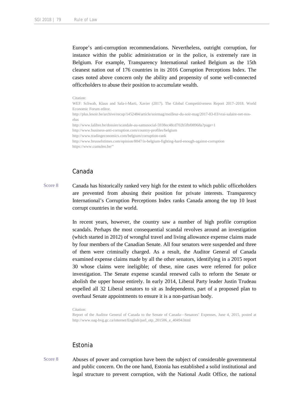Europe's anti-corruption recommendations. Nevertheless, outright corruption, for instance within the public administration or in the police, is extremely rare in Belgium. For example, Transparency International ranked Belgium as the 15th cleanest nation out of 176 countries in its 2016 Corruption Perceptions Index. The cases noted above concern only the ability and propensity of some well-connected officeholders to abuse their position to accumulate wealth.

#### Citation:

WEF: Schwab, Klaus and Sala-i-Marti, Xavier (2017). The Global Competitiveness Report 2017–2018. World Economic Forum editor.

http://plus.lesoir.be/archive/recup/1452484/article/soirmag/meilleur-du-soir-mag/2017-03-03/vrai-salaire-net-noselus

http://www.lalibre.be/dossier/scandale-au-samusocial-5938ec48cd702b5fbf08968a?page=1

http://www.business-anti-corruption.com/country-profiles/belgium

http://www.tradingeconomics.com/belgium/corruption-rank

http://www.brusselstimes.com/opinion/8047/is-belgium-fighting-hard-enough-against-corruption https://www.cumuleo.be/"

#### Canada

Score 8 Canada has historically ranked very high for the extent to which public officeholders are prevented from abusing their position for private interests. Transparency International's Corruption Perceptions Index ranks Canada among the top 10 least corrupt countries in the world.

> In recent years, however, the country saw a number of high profile corruption scandals. Perhaps the most consequential scandal revolves around an investigation (which started in 2012) of wrongful travel and living allowance expense claims made by four members of the Canadian Senate. All four senators were suspended and three of them were criminally charged. As a result, the Auditor General of Canada examined expense claims made by all the other senators, identifying in a 2015 report 30 whose claims were ineligible; of these, nine cases were referred for police investigation. The Senate expense scandal renewed calls to reform the Senate or abolish the upper house entirely. In early 2014, Liberal Party leader Justin Trudeau expelled all 32 Liberal senators to sit as Independents, part of a proposed plan to overhaul Senate appointments to ensure it is a non-partisan body.

Citation:

Report of the Auditor General of Canada to the Senate of Canada—Senators' Expenses, June 4, 2015, posted at http://www.oag-bvg.gc.ca/internet/English/parl\_otp\_201506\_e\_40494.html

### Estonia

Score 8 Abuses of power and corruption have been the subject of considerable governmental and public concern. On the one hand, Estonia has established a solid institutional and legal structure to prevent corruption, with the National Audit Office, the national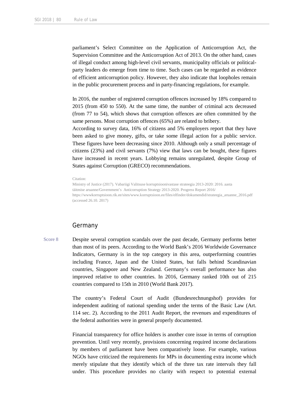parliament's Select Committee on the Application of Anticorruption Act, the Supervision Committee and the Anticorruption Act of 2013. On the other hand, cases of illegal conduct among high-level civil servants, municipality officials or politicalparty leaders do emerge from time to time. Such cases can be regarded as evidence of efficient anticorruption policy. However, they also indicate that loopholes remain in the public procurement process and in party-financing regulations, for example.

In 2016, the number of registered corruption offences increased by 18% compared to 2015 (from 450 to 550). At the same time, the number of criminal acts decreased (from 77 to 54), which shows that corruption offences are often committed by the same persons. Most corruption offences (65%) are related to bribery.

According to survey data, 16% of citizens and 5% employers report that they have been asked to give money, gifts, or take some illegal action for a public service. These figures have been decreasing since 2010. Although only a small percentage of citizens (23%) and civil servants (7%) view that laws can be bought, these figures have increased in recent years. Lobbying remains unregulated, despite Group of States against Corruption (GRECO) recommendations.

Citation:

Ministry of Justice (2017). Vabariigi Valitsuse korruptsioonivastase strateegia 2013-2020: 2016. aasta täitmise aruanne/Government's Anticorruption Strategy 2013-2020. Progress Report 2016/ https://wwwkorruptsioon.rik.ee/sites/www.korruptsioon.ee/files/elfinder/dokumendid/strateegia\_aruanne\_2016.pdf (accessed 26.10. 2017)

#### Germany

Score 8 Despite several corruption scandals over the past decade, Germany performs better than most of its peers. According to the World Bank's 2016 Worldwide Governance Indicators, Germany is in the top category in this area, outperforming countries including France, Japan and the United States, but falls behind Scandinavian countries, Singapore and New Zealand. Germany's overall performance has also improved relative to other countries. In 2016, Germany ranked 10th out of 215 countries compared to 15th in 2010 (World Bank 2017).

> The country's Federal Court of Audit (Bundesrechnungshof) provides for independent auditing of national spending under the terms of the Basic Law (Art. 114 sec. 2). According to the 2011 Audit Report, the revenues and expenditures of the federal authorities were in general properly documented.

> Financial transparency for office holders is another core issue in terms of corruption prevention. Until very recently, provisions concerning required income declarations by members of parliament have been comparatively loose. For example, various NGOs have criticized the requirements for MPs in documenting extra income which merely stipulate that they identify which of the three tax rate intervals they fall under. This procedure provides no clarity with respect to potential external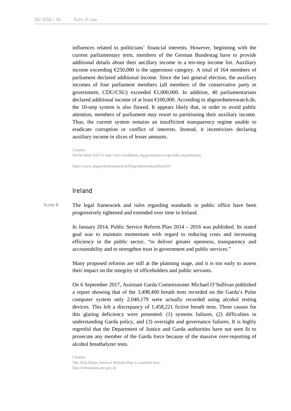influences related to politicians' financial interests. However, beginning with the current parliamentary term, members of the German Bundestag have to provide additional details about their ancillary income in a ten-step income list. Auxiliary income exceeding  $\epsilon$ 250,000 is the uppermost category. A total of 164 members of parliament declared additional income. Since the last general election, the auxiliary incomes of four parliament members (all members of the conservative party in government, CDU/CSU) exceeded  $\in$ 1,000,000. In addition, 40 parliamentarians declared additional income of at least  $\bigoplus$  00,000. According to abgeordnetenwatch.de, the 10-step system is also flawed. It appears likely that, in order to avoid public attention, members of parliament may resort to partitioning their auxiliary income. Thus, the current system remains an insufficient transparency regime unable to eradicate corruption or conflict of interests. Instead, it incentivizes declaring auxiliary income in slices of lesser amounts.

Citation:

World Bank (2017): http://info.worldbank.org/governance/wgi/index.aspx#reports

https://www.abgeordnetenwatch.de/blog/nebeneinkuenfte2016

# Ireland

Score 8 The legal framework and rules regarding standards in public office have been progressively tightened and extended over time in Ireland.

> In January 2014, Public Service Reform Plan 2014 – 2016 was published. Its stated goal was to maintain momentum with regard to reducing costs and increasing efficiency in the public sector, "to deliver greater openness, transparency and accountability and to strengthen trust in government and public services."

> Many proposed reforms are still at the planning stage, and it is too early to assess their impact on the integrity of officeholders and public servants.

> On 6 September 2017, Assistant Garda Commissioner Michael O'Sullivan published a report showing that of the 3,498,400 breath tests recorded on the Garda's Pulse computer system only 2,040,179 were actually recorded using alcohol testing devices. This left a discrepancy of 1,458,221 fictive breath tests. Three causes for this glaring deficiency were presented: (1) systems failures, (2) difficulties in understanding Garda policy, and (3) oversight and governance failures. It is highly regretful that the Department of Justice and Garda authorities have not seen fit to prosecute any member of the Garda force because of the massive over-reporting of alcohol breathalyzer tests.

Citation: The 2014 Public Services Reform Plan is available here: http://reformplan.per.gov.ie/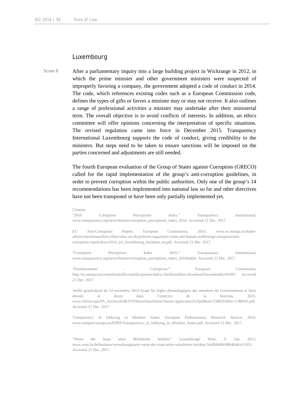# Luxembourg

Score 8 After a parliamentary inquiry into a large building project in Wickrange in 2012, in which the prime minister and other government ministers were suspected of improperly favoring a company, the government adopted a code of conduct in 2014. The code, which references existing codes such as a European Commission code, defines the types of gifts or favors a minister may or may not receive. It also outlines a range of professional activities a minister may undertake after their ministerial term. The overall objective is to avoid conflicts of interests. In addition, an ethics committee will offer opinions concerning the interpretation of specific situations. The revised regulation came into force in December 2015. Transparency International Luxembourg supports the code of conduct, giving credibility to the ministers. But steps need to be taken to ensure sanctions will be imposed on the parties concerned and adjustments are still needed.

> The fourth European evaluation of the Group of States against Corruption (GRECO) called for the rapid implementation of the group's anti-corruption guidelines, in order to prevent corruption within the public authorities. Only one of the group's 14 recommendations has been implemented into national law so far and other directives have not been transposed or have been only partially implemented yet.

> Citation: "2016 Corruption Perceptions Index." Transparency International, www.transparency.org/news/feature/corruption\_perceptions\_index\_2016. Accessed 21 Dec. 2017.

> EU Anti-Corruption Report. European Commission, 2014. www.ec.europa.eu/homeaffairs/sites/homeaffairs/files/what-we-do/policies/organized-crime-and-human-trafficking/corruption/anticorruption-report/docs/2014\_acr\_luxembourg\_factsheet\_en.pdf. Accessed 21 Dec. 2017.

> "Corruption Perceptions Index 2016." Transparency International, www.transparency.org/news/feature/corruption\_perceptions\_index\_2016#table. Accessed 21 Dec. 2017.

> "Eurobarometer – Corruption." European Commission, http://ec.europa.eu/commfrontoffice/publicopinion/index.cfm/ResultDoc/download/DocumentKy/81007. Accessed 21 Dec. 2017.

> Arrêté grand-ducal du 14 novembre 2014 fixant les règles déontologiques des membres du Gouvernement et leurs devoirs et droits dans l'exercice de la fonction, 2015. www.chd.lu/wps/PA\_ArchiveSolR/FTSShowAttachment?mime=application%2fpdf&id=1380565&fn=1380565.pdf. Accessed 21 Dec. 2017.

> Transparency of lobbying in Member States. European Parliamentary Research Service, 2016. www.europarl.europa.eu/EPRS/Transparency\_of\_lobbying\_in\_Member\_States.pdf. Accessed 21 Dec. 2017.

> "Wenn der Staat seine Mitarbeiter belohnt." Luxemburger Wort, 9. Jan. 2015. www.wort.lu/de/business/verwaltungsraete-wenn-der-staat-seine-mitarbeiter-belohnt-54afb60d0c88b46a8ce51051. Accessed 21 Dec. 2017.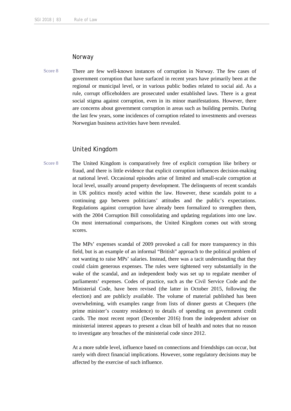# Norway

Score 8 There are few well-known instances of corruption in Norway. The few cases of government corruption that have surfaced in recent years have primarily been at the regional or municipal level, or in various public bodies related to social aid. As a rule, corrupt officeholders are prosecuted under established laws. There is a great social stigma against corruption, even in its minor manifestations. However, there are concerns about government corruption in areas such as building permits. During the last few years, some incidences of corruption related to investments and overseas Norwegian business activities have been revealed.

# United Kingdom

Score 8 The United Kingdom is comparatively free of explicit corruption like bribery or fraud, and there is little evidence that explicit corruption influences decision-making at national level. Occasional episodes arise of limited and small-scale corruption at local level, usually around property development. The delinquents of recent scandals in UK politics mostly acted within the law. However, these scandals point to a continuing gap between politicians' attitudes and the public's expectations. Regulations against corruption have already been formalized to strengthen them, with the 2004 Corruption Bill consolidating and updating regulations into one law. On most international comparisons, the United Kingdom comes out with strong scores.

> The MPs' expenses scandal of 2009 provoked a call for more transparency in this field, but is an example of an informal "British" approach to the political problem of not wanting to raise MPs' salaries. Instead, there was a tacit understanding that they could claim generous expenses. The rules were tightened very substantially in the wake of the scandal, and an independent body was set up to regulate member of parliaments' expenses. Codes of practice, such as the Civil Service Code and the Ministerial Code, have been revised (the latter in October 2015, following the election) and are publicly available. The volume of material published has been overwhelming, with examples range from lists of dinner guests at Chequers (the prime minister's country residence) to details of spending on government credit cards. The most recent report (December 2016) from the independent adviser on ministerial interest appears to present a clean bill of health and notes that no reason to investigate any breaches of the ministerial code since 2012.

> At a more subtle level, influence based on connections and friendships can occur, but rarely with direct financial implications. However, some regulatory decisions may be affected by the exercise of such influence.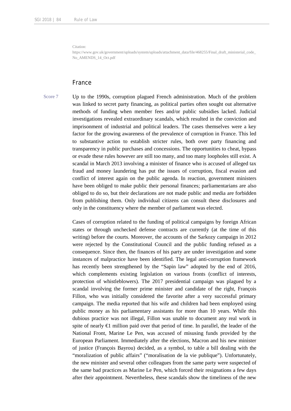Citation:

https://www.gov.uk/government/uploads/system/uploads/attachment\_data/file/468255/Final\_draft\_ministerial\_code No\_AMENDS\_14\_Oct.pdf

# France

Score 7 Up to the 1990s, corruption plagued French administration. Much of the problem was linked to secret party financing, as political parties often sought out alternative methods of funding when member fees and/or public subsidies lacked. Judicial investigations revealed extraordinary scandals, which resulted in the conviction and imprisonment of industrial and political leaders. The cases themselves were a key factor for the growing awareness of the prevalence of corruption in France. This led to substantive action to establish stricter rules, both over party financing and transparency in public purchases and concessions. The opportunities to cheat, bypass or evade these rules however are still too many, and too many loopholes still exist. A scandal in March 2013 involving a minister of finance who is accused of alleged tax fraud and money laundering has put the issues of corruption, fiscal evasion and conflict of interest again on the public agenda. In reaction, government ministers have been obliged to make public their personal finances; parliamentarians are also obliged to do so, but their declarations are not made public and media are forbidden from publishing them. Only individual citizens can consult these disclosures and only in the constituency where the member of parliament was elected.

> Cases of corruption related to the funding of political campaigns by foreign African states or through unchecked defense contracts are currently (at the time of this writing) before the courts. Moreover, the accounts of the Sarkozy campaign in 2012 were rejected by the Constitutional Council and the public funding refused as a consequence. Since then, the finances of his party are under investigation and some instances of malpractice have been identified. The legal anti-corruption framework has recently been strengthened by the "Sapin law" adopted by the end of 2016, which complements existing legislation on various fronts (conflict of interests, protection of whistleblowers). The 2017 presidential campaign was plagued by a scandal involving the former prime minister and candidate of the right, François Fillon, who was initially considered the favorite after a very successful primary campaign. The media reported that his wife and children had been employed using public money as his parliamentary assistants for more than 10 years. While this dubious practice was not illegal, Fillon was unable to document any real work in spite of nearly  $\bigoplus$  million paid over that period of time. In parallel, the leader of the National Front, Marine Le Pen, was accused of misusing funds provided by the European Parliament. Immediately after the elections, Macron and his new minister of justice (François Bayrou) decided, as a symbol, to table a bill dealing with the "moralization of public affairs" ("moralisation de la vie publique"). Unfortunately, the new minister and several other colleagues from the same party were suspected of the same bad practices as Marine Le Pen, which forced their resignations a few days after their appointment. Nevertheless, these scandals show the timeliness of the new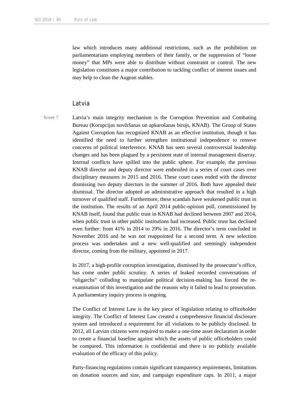law which introduces many additional restrictions, such as the prohibition on parliamentarians employing members of their family, or the suppression of "loose money" that MPs were able to distribute without constraint or control. The new legislation constitutes a major contribution to tackling conflict of interest issues and may help to clean the Augean stables.

### Latvia

Score 7 Latvia's main integrity mechanism is the Corruption Prevention and Combating Bureau (Korupcijas novēršanas un apkarošanas birojs, KNAB). The Group of States Against Corruption has recognized KNAB as an effective institution, though it has identified the need to further strengthen institutional independence to remove concerns of political interference. KNAB has seen several controversial leadership changes and has been plagued by a persistent state of internal management disarray. Internal conflicts have spilled into the public sphere. For example, the previous KNAB director and deputy director were embroiled in a series of court cases over disciplinary measures in 2015 and 2016. These court cases ended with the director dismissing two deputy directors in the summer of 2016. Both have appealed their dismissal. The director adopted an administrative approach that resulted in a high turnover of qualified staff. Furthermore, these scandals have weakened public trust in the institution. The results of an April 2014 public-opinion poll, commissioned by KNAB itself, found that public trust in KNAB had declined between 2007 and 2014, when public trust in other public institutions had increased. Public trust has declined even further: from 41% in 2014 to 29% in 2016. The director's term concluded in November 2016 and he was not reappointed for a second term. A new selection process was undertaken and a new well-qualified and seemingly independent director, coming from the military, appointed in 2017.

> In 2017, a high-profile corruption investigation, dismissed by the prosecutor's office, has come under public scrutiny. A series of leaked recorded conversations of "oligarchs" colluding to manipulate political decision-making has forced the reexamination of this investigation and the reasons why it failed to lead to prosecution. A parliamentary inquiry process is ongoing.

> The Conflict of Interest Law is the key piece of legislation relating to officeholder integrity. The Conflict of Interest Law created a comprehensive financial disclosure system and introduced a requirement for all violations to be publicly disclosed. In 2012, all Latvian citizens were required to make a one-time asset declaration in order to create a financial baseline against which the assets of public officeholders could be compared. This information is confidential and there is no publicly available evaluation of the efficacy of this policy.

> Party-financing regulations contain significant transparency requirements, limitations on donation sources and size, and campaign expenditure caps. In 2011, a major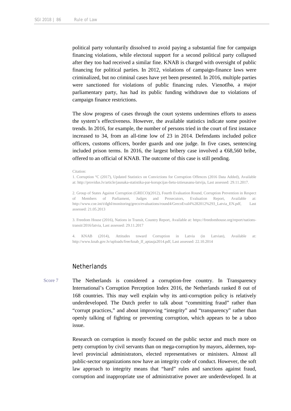political party voluntarily dissolved to avoid paying a substantial fine for campaign financing violations, while electoral support for a second political party collapsed after they too had received a similar fine. KNAB is charged with oversight of public financing for political parties. In 2012, violations of campaign-finance laws were criminalized, but no criminal cases have yet been presented. In 2016, multiple parties were sanctioned for violations of public financing rules. Vienotība, a major parliamentary party, has had its public funding withdrawn due to violations of campaign finance restrictions.

The slow progress of cases through the court systems undermines efforts to assess the system's effectiveness. However, the available statistics indicate some positive trends. In 2016, for example, the number of persons tried in the court of first instance increased to 34, from an all-time low of 23 in 2014. Defendants included police officers, customs officers, border guards and one judge. In five cases, sentencing included prison terms. In 2016, the largest bribery case involved a  $\epsilon$ 68,560 bribe, offered to an official of KNAB. The outcome of this case is still pending.

#### Citation:

1. Corruption °C (2017), Updated Statistics on Convictions for Corruption Offences (2016 Data Added), Available at: http://providus.lv/article/jaunaka-statistika-par-korupcijas-lietu-iztiesasanu-latvija, Last assessed: 29.11.2017.

2. Group of States Against Corruption (GRECO)(2012), Fourth Evaluation Round, Corruption Prevention in Respect of Members of Parliament, Judges and Prosecutors, Evaluation Report, Available at: http://www.coe.int/t/dghl/monitoring/greco/evaluations/round4/GrecoEval4%282012%293\_Latvia\_EN.pdf, Last assessed: 21.05.2013

3. Freedom House (2016), Nations in Transit, Country Report, Available at: https://freedomhouse.org/report/nationstransit/2016/latvia, Last assessed: 29.11.2017

4. KNAB (2014), Attitudes toward Corruption in Latvia (in Latvian), Available at: http://www.knab.gov.lv/uploads/free/knab\_lf\_aptauja2014.pdf, Last assessed: 22.10.2014

# **Netherlands**

Score 7 The Netherlands is considered a corruption-free country. In Transparency International's Corruption Perception Index 2016, the Netherlands ranked 8 out of 168 countries. This may well explain why its anti-corruption policy is relatively underdeveloped. The Dutch prefer to talk about "committing fraud" rather than "corrupt practices," and about improving "integrity" and "transparency" rather than openly talking of fighting or preventing corruption, which appears to be a taboo issue.

> Research on corruption is mostly focused on the public sector and much more on petty corruption by civil servants than on mega-corruption by mayors, aldermen, toplevel provincial administrators, elected representatives or ministers. Almost all public-sector organizations now have an integrity code of conduct. However, the soft law approach to integrity means that "hard" rules and sanctions against fraud, corruption and inappropriate use of administrative power are underdeveloped. In at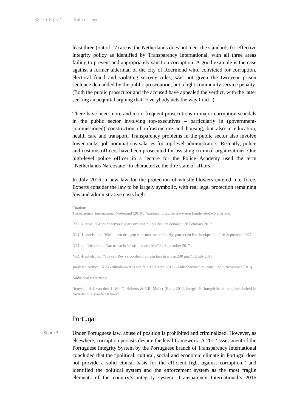least three (out of 17) areas, the Netherlands does not meet the standards for effective integrity policy as identified by Transparency International, with all three areas failing to prevent and appropriately sanction corruption. A good example is the case against a former alderman of the city of Roermond who, convicted for corruption, electoral fraud and violating secrecy rules, was not given the two-year prison sentence demanded by the public prosecution, but a light community service penalty. (Both the public prosecutor and the accused have appealed the verdict, with the latter seeking an acquittal arguing that "Everybody acts the way I did.")

There have been more and more frequent prosecutions in major corruption scandals in the public sector involving top-executives – particularly in (governmentcommissioned) construction of infrastructure and housing, but also in education, health care and transport. Transparency problems in the public sector also involve lower ranks, job nominations salaries for top-level administrators. Recently, police and customs officers have been prosecuted for assisting criminal organizations. One high-level police officer in a lecture for the Police Academy used the term "Netherlands Narcostate" to characterize the dire state of affairs.

In July 2016, a new law for the protection of whistle-blowers entered into force. Experts consider the law to be largely symbolic, with real legal protection remaining low and administrative costs high.

```
Citation:
```
Transparency International Nederland (2016), Nationaal Integriteitssysteem Landenstudie Nederland.

RTL Nieuws, "Groot onderzoek naar corruptie bij politiek en douane," 28 February 2017

NRC-Handelsblad, "Niet alleen de agent screenen, maar óók zijn partner en Facebookprofiel," 16 September 2017

NRC.nl, "Nederland Narcostaat is helaas ook een feit," 30 September 2017

NRC-Handelsblad, "Jos van Rey veroordeeld tot een taakstraf van 240 uur," 12 july 2017

Juridisch Actueel, Klokkenluiderswet is een feit, 15 March 2016 (juridischactueel.nl, consulted 9 November 2016)

Additional references:

Heuvel, J.H.J. van den, L.W.J.C. Huberts & E.R. Muller (Red.) 2012. Integriteit: Integriteit en integriteitsbeleid in Nederland. Deventer: Kluwer

# Portugal

Score 7 Under Portuguese law, abuse of position is prohibited and criminalized. However, as elsewhere, corruption persists despite the legal framework. A 2012 assessment of the Portuguese Integrity System by the Portuguese branch of Transparency International concluded that the "political, cultural, social and economic climate in Portugal does not provide a solid ethical basis for the efficient fight against corruption," and identified the political system and the enforcement system as the most fragile elements of the country's integrity system. Transparency International's 2016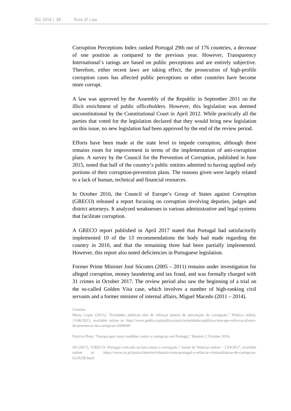Corruption Perceptions Index ranked Portugal 29th out of 176 countries, a decrease of one position as compared to the previous year. However, Transparency International's ratings are based on public perceptions and are entirely subjective. Therefore, either recent laws are taking effect, the prosecution of high-profile corruption cases has affected public perceptions or other countries have become more corrupt.

A law was approved by the Assembly of the Republic in September 2011 on the illicit enrichment of public officeholders. However, this legislation was deemed unconstitutional by the Constitutional Court in April 2012. While practically all the parties that voted for the legislation declared that they would bring new legislation on this issue, no new legislation had been approved by the end of the review period.

Efforts have been made at the state level to impede corruption, although there remains room for improvement in terms of the implementation of anti-corruption plans. A survey by the Council for the Prevention of Corruption, published in June 2015, noted that half of the country's public entities admitted to having applied only portions of their corruption-prevention plans. The reasons given were largely related to a lack of human, technical and financial resources.

In October 2016, the Council of Europe's Group of States against Corruption (GRECO) released a report focusing on corruption involving deputies, judges and district attorneys. It analyzed weaknesses in various administrative and legal systems that facilitate corruption.

A GRECO report published in April 2017 stated that Portugal had satisfactorily implemented 10 of the 13 recommendations the body had made regarding the country in 2010, and that the remaining three had been partially implemented. However, this report also noted deficiencies in Portuguese legislation.

Former Prime Minister José Sócrates (2005 – 2011) remains under investigation for alleged corruption, money laundering and tax fraud, and was formally charged with 31 crimes in October 2017. The review period also saw the beginning of a trial on the so-called Golden Visa case, which involves a number of high-ranking civil servants and a former minister of internal affairs, Miguel Macedo (2011 – 2014).

Patricia Pires, "Europa quer mais medidas contra a corrupcao em Portugal," Reuters 2 October 2016.

JN (2017), "GRECO: Portugal criticado na luta contra a corrupção," Jornal de Notícias online – 13/4/2017, available online at: https://www.jn.pt/justica/interior/relatorio-insta-portugal-a-reforcar-criminalizacao-de-corrupcao-6219236.html

Citation:

Maria Lopes (2015), "Entidades públicas têm de reforçar planos de prevenção da corrupção," Público online, 15/06/2015, available online at: http://www.publico.pt/politica/noticia/entidades-publicas-tem-que-reforcar-planosde-prevencao-da-corrupcao-1699049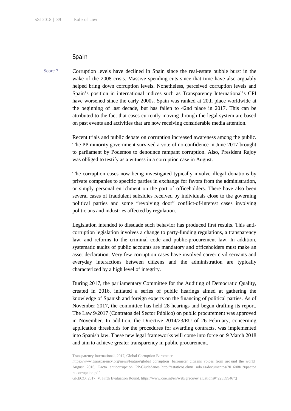# Spain

Score 7 Corruption levels have declined in Spain since the real-estate bubble burst in the wake of the 2008 crisis. Massive spending cuts since that time have also arguably helped bring down corruption levels. Nonetheless, perceived corruption levels and Spain's position in international indices such as Transparency International's CPI have worsened since the early 2000s. Spain was ranked at 20th place worldwide at the beginning of last decade, but has fallen to 42nd place in 2017. This can be attributed to the fact that cases currently moving through the legal system are based on past events and activities that are now receiving considerable media attention.

> Recent trials and public debate on corruption increased awareness among the public. The PP minority government survived a vote of no-confidence in June 2017 brought to parliament by Podemos to denounce rampant corruption. Also, President Rajoy was obliged to testify as a witness in a corruption case in August.

> The corruption cases now being investigated typically involve illegal donations by private companies to specific parties in exchange for favors from the administration, or simply personal enrichment on the part of officeholders. There have also been several cases of fraudulent subsidies received by individuals close to the governing political parties and some "revolving door" conflict-of-interest cases involving politicians and industries affected by regulation.

> Legislation intended to dissuade such behavior has produced first results. This anticorruption legislation involves a change to party-funding regulations, a transparency law, and reforms to the criminal code and public-procurement law. In addition, systematic audits of public accounts are mandatory and officeholders must make an asset declaration. Very few corruption cases have involved career civil servants and everyday interactions between citizens and the administration are typically characterized by a high level of integrity.

> During 2017, the parliamentary Committee for the Auditing of Democratic Quality, created in 2016, initiated a series of public hearings aimed at gathering the knowledge of Spanish and foreign experts on the financing of political parties. As of November 2017, the committee has held 28 hearings and begun drafting its report. The Law 9/2017 (Contratos del Sector Público) on public procurement was approved in November. In addition, the Directive 2014/23/EU of 26 February, concerning application thresholds for the procedures for awarding contracts, was implemented into Spanish law. These new legal frameworks will come into force on 9 March 2018 and aim to achieve greater transparency in public procurement.

GRECO, 2017, V. Fifth Evaluation Round, https://www.coe.int/en/web/greco/ev aluations#"22359946":[]

Transparency International, 2017, Global Corruption Barometer

https://www.transparency.org/news/feature/global\_corruption \_barometer\_citizens\_voices\_from\_aro und\_the\_world August 2016, Pacto anticorrupción PP-Ciudadanos http://estaticos.elmu ndo.es/documentos/2016/08/19/pactoa nticorrupcion.pdf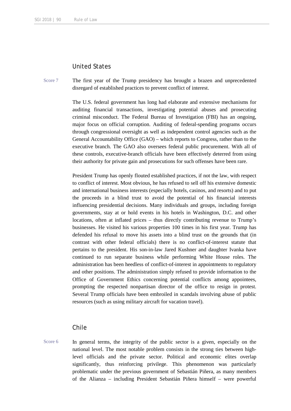# United States

Score 7 The first year of the Trump presidency has brought a brazen and unprecedented disregard of established practices to prevent conflict of interest.

> The U.S. federal government has long had elaborate and extensive mechanisms for auditing financial transactions, investigating potential abuses and prosecuting criminal misconduct. The Federal Bureau of Investigation (FBI) has an ongoing, major focus on official corruption. Auditing of federal-spending programs occurs through congressional oversight as well as independent control agencies such as the General Accountability Office (GAO) – which reports to Congress, rather than to the executive branch. The GAO also oversees federal public procurement. With all of these controls, executive-branch officials have been effectively deterred from using their authority for private gain and prosecutions for such offenses have been rare.

> President Trump has openly flouted established practices, if not the law, with respect to conflict of interest. Most obvious, he has refused to sell off his extensive domestic and international business interests (especially hotels, casinos, and resorts) and to put the proceeds in a blind trust to avoid the potential of his financial interests influencing presidential decisions. Many individuals and groups, including foreign governments, stay at or hold events in his hotels in Washington, D.C. and other locations, often at inflated prices – thus directly contributing revenue to Trump's businesses. He visited his various properties 100 times in his first year. Trump has defended his refusal to move his assets into a blind trust on the grounds that (in contrast with other federal officials) there is no conflict-of-interest statute that pertains to the president. His son-in-law Jared Kushner and daughter Ivanka have continued to run separate business while performing White House roles. The administration has been heedless of conflict-of-interest in appointments to regulatory and other positions. The administration simply refused to provide information to the Office of Government Ethics concerning potential conflicts among appointees, prompting the respected nonpartisan director of the office to resign in protest. Several Trump officials have been embroiled in scandals involving abuse of public resources (such as using military aircraft for vacation travel).

# Chile

Score 6 In general terms, the integrity of the public sector is a given, especially on the national level. The most notable problem consists in the strong ties between highlevel officials and the private sector. Political and economic elites overlap significantly, thus reinforcing privilege. This phenomenon was particularly problematic under the previous government of Sebastián Piñera, as many members of the Alianza – including President Sebastián Piñera himself – were powerful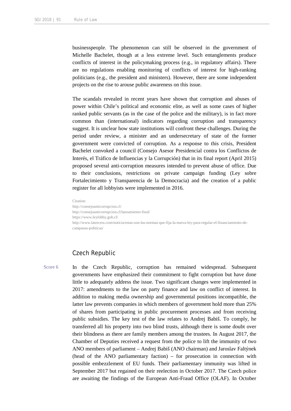businesspeople. The phenomenon can still be observed in the government of Michelle Bachelet, though at a less extreme level. Such entanglements produce conflicts of interest in the policymaking process (e.g., in regulatory affairs). There are no regulations enabling monitoring of conflicts of interest for high-ranking politicians (e.g., the president and ministers). However, there are some independent projects on the rise to arouse public awareness on this issue.

The scandals revealed in recent years have shown that corruption and abuses of power within Chile's political and economic elite, as well as some cases of higher ranked public servants (as in the case of the police and the military), is in fact more common than (international) indicators regarding corruption and transparency suggest. It is unclear how state institutions will confront these challenges. During the period under review, a minister and an undersecretary of state of the former government were convicted of corruption. As a response to this crisis, President Bachelet convoked a council (Consejo Asesor Presidencial contra los Conflictos de Interés, el Tráfico de Influencias y la Corrupción) that in its final report (April 2015) proposed several anti-corruption measures intended to prevent abuse of office. Due to their conclusions, restrictions on private campaign funding (Ley sobre Fortalecimiento y Transparencia de la Democracia) and the creation of a public register for all lobbyists were implemented in 2016.

Citation: http://consejoanticorrupcion.cl/ http://consejoanticorrupcion.cl/lanzamiento-final/ https://www.leylobby.gob.cl/ http://www.latercera.com/noticia/estas-son-las-normas-que-fija-la-nueva-ley-para-regular-el-financiamiento-decampanas-politicas/

# Czech Republic

Score 6 In the Czech Republic, corruption has remained widespread. Subsequent governments have emphasized their commitment to fight corruption but have done little to adequately address the issue. Two significant changes were implemented in 2017: amendments to the law on party finance and law on conflict of interest. In addition to making media ownership and governmental positions incompatible, the latter law prevents companies in which members of government hold more than 25% of shares from participating in public procurement processes and from receiving public subsidies. The key test of the law relates to Andrej Babiš. To comply, he transferred all his property into two blind trusts, although there is some doubt over their blindness as there are family members among the trustees. In August 2017, the Chamber of Deputies received a request from the police to lift the immunity of two ANO members of parliament – Andrej Babiš (ANO chairman) and Jaroslav Faltýnek (head of the ANO parliamentary faction) – for prosecution in connection with possible embezzlement of EU funds. Their parliamentary immunity was lifted in September 2017 but regained on their reelection in October 2017. The Czech police are awaiting the findings of the European Anti-Fraud Office (OLAF). In October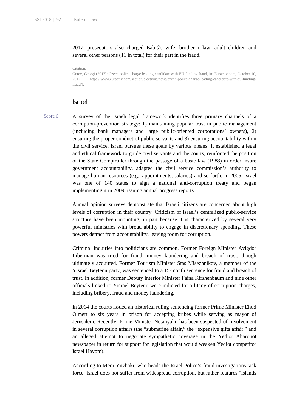2017, prosecutors also charged Babiš's wife, brother-in-law, adult children and several other persons (11 in total) for their part in the fraud.

Citation:

Gotev, Georgi (2017): Czech police charge leading candidate with EU funding fraud, in: Euractiv.com, October 10, 2017 (https://www.euractiv.com/section/elections/news/czech-police-charge-leading-candidate-with-eu-fundingfraud/).

# Israel

Score 6 A survey of the Israeli legal framework identifies three primary channels of a corruption-prevention strategy: 1) maintaining popular trust in public management (including bank managers and large public-oriented corporations' owners), 2) ensuring the proper conduct of public servants and 3) ensuring accountability within the civil service. Israel pursues these goals by various means: It established a legal and ethical framework to guide civil servants and the courts, reinforced the position of the State Comptroller through the passage of a basic law (1988) in order insure government accountability, adapted the civil service commission's authority to manage human resources (e.g., appointments, salaries) and so forth. In 2005, Israel was one of 140 states to sign a national anti-corruption treaty and began implementing it in 2009, issuing annual progress reports.

> Annual opinion surveys demonstrate that Israeli citizens are concerned about high levels of corruption in their country. Criticism of Israel's centralized public-service structure have been mounting, in part because it is characterized by several very powerful ministries with broad ability to engage in discretionary spending. These powers detract from accountability, leaving room for corruption.

> Criminal inquiries into politicians are common. Former Foreign Minister Avigdor Liberman was tried for fraud, money laundering and breach of trust, though ultimately acquitted. Former Tourism Minister Stas Misezhnikov, a member of the Yisrael Beytenu party, was sentenced to a 15-month sentence for fraud and breach of trust. In addition, former Deputy Interior Minister Faina Kirshenbaum and nine other officials linked to Yisrael Beytenu were indicted for a litany of corruption charges, including bribery, fraud and money laundering.

> In 2014 the courts issued an historical ruling sentencing former Prime Minister Ehud Olmert to six years in prison for accepting bribes while serving as mayor of Jerusalem. Recently, Prime Minister Netanyahu has been suspected of involvement in several corruption affairs (the "submarine affair," the "expensive gifts affair," and an alleged attempt to negotiate sympathetic coverage in the Yediot Aharonot newspaper in return for support for legislation that would weaken Yediot competitor Israel Hayom).

> According to Meni Yitzhaki, who heads the Israel Police's fraud investigations task force, Israel does not suffer from widespread corruption, but rather features "islands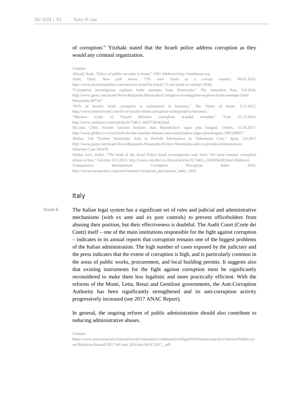# of corruption." Yitzhaki stated that the Israeli police address corruption as they would any criminal organization.

#### Citation:

Aliasuf, Itzak, "Ethics of public servants in Israel," 1991 (Hebrew) http://mishkenot.org Ariel, Omri, New poll shows 72% view Israel as a corrupt country, 08.01.2016, http://www.jerusalemonline.com/news/in-israel/local/poll-72-see-israel-as-corrupt-18361 "Corruption investigation explores bribe attempts from Netanyahu," The Jerusalem Post, 9.9.2016, http://www.jpost.com/Israel-News/Benjamin-Netanyahu/Corruption-investigation-explores-bribe-attempts-from-Netanyahu-467347 "85% of Israelis think corruption is widespread in business," The Times of Israel, 12.5.2012. http://www.timesofisrael.com/85-of-israelis-think-corruption-widespread-in-business/ "Massive scope of Yisrael Beiteinu corruption scandal revealed," Ynet 25.12.2014: http://www.ynetnews.com/articles/0,7340,L-4607728,00.html Ma'anit, Chen, Former tourism minister Stas Misezhnikov signs plea bargain, Globes, 31.10.2017: http://www.globes.co.il/en/article-former-tourism-minister-stas-misezhnikov-signs-plea-bargain-1001209817 Shahm, Udi "Former Netanyahu Aide to Provide Information in 'Submarine Case," Jpost, 3.8.2017 http://www.jpost.com/Israel-News/Benjamin-Netanyahu/Former-Netanyahu-aide-to-provide-information-in-Subarine-Case-501476 Shahar Levi, Zohar, "The head of the Israel Police fraud investigations task force: We have number corruption affairs in line," Calcalist 19.5.2015: http://www.calcalist.co.il/local/articles/0,7340,L-3659694,00.html (Hebrew).

Transparency International: Corruption Perception Index 2016. http://www.transparency.org/news/feature/corruption\_perceptions\_index\_2016

# Italy

Score 6 The Italian legal system has a significant set of rules and judicial and administrative mechanisms (with ex ante and ex post controls) to prevent officeholders from abusing their position, but their effectiveness is doubtful. The Audit Court (Corte dei Conti) itself – one of the main institutions responsible for the fight against corruption – indicates in its annual reports that corruption remains one of the biggest problems of the Italian administration. The high number of cases exposed by the judiciary and the press indicates that the extent of corruption is high, and is particularly common in the areas of public works, procurement, and local building permits. It suggests also that existing instruments for the fight against corruption must be significantly reconsidered to make them less legalistic and more practically efficient. With the reforms of the Monti, Letta, Renzi and Gentiloni governments, the Anti-Corruption Authority has been significantly strengthened and its anti-corruption activity progressively increased (see 2017 ANAC Report).

> In general, the ongoing reform of public administration should also contribute to reducing administrative abuses.

Citation:

https://www.anticorruzione.it/portal/rest/jcr/repository/collaboration/Digital%20Assets/anacdocs/Attivita/Pubblicazi oni/RelazioniAnnuali/2017/rel.anac.2016.doc.06.07.2017\_.pdf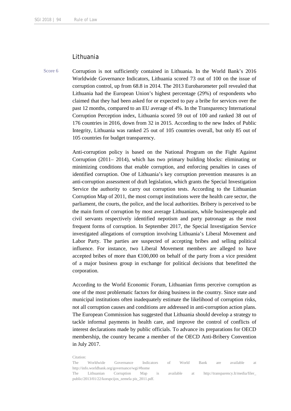# Lithuania

Score 6 Corruption is not sufficiently contained in Lithuania. In the World Bank's 2016 Worldwide Governance Indicators, Lithuania scored 73 out of 100 on the issue of corruption control, up from 68.8 in 2014. The 2013 Eurobarometer poll revealed that Lithuania had the European Union's highest percentage (29%) of respondents who claimed that they had been asked for or expected to pay a bribe for services over the past 12 months, compared to an EU average of 4%. In the Transparency International Corruption Perception index, Lithuania scored 59 out of 100 and ranked 38 out of 176 countries in 2016, down from 32 in 2015. According to the new Index of Public Integrity, Lithuania was ranked 25 out of 105 countries overall, but only 85 out of 105 countries for budget transparency.

> Anti-corruption policy is based on the National Program on the Fight Against Corruption (2011– 2014), which has two primary building blocks: eliminating or minimizing conditions that enable corruption, and enforcing penalties in cases of identified corruption. One of Lithuania's key corruption prevention measures is an anti-corruption assessment of draft legislation, which grants the Special Investigation Service the authority to carry out corruption tests. According to the Lithuanian Corruption Map of 2011, the most corrupt institutions were the health care sector, the parliament, the courts, the police, and the local authorities. Bribery is perceived to be the main form of corruption by most average Lithuanians, while businesspeople and civil servants respectively identified nepotism and party patronage as the most frequent forms of corruption. In September 2017, the Special Investigation Service investigated allegations of corruption involving Lithuania's Liberal Movement and Labor Party. The parties are suspected of accepting bribes and selling political influence. For instance, two Liberal Movement members are alleged to have accepted bribes of more than  $\epsilon 100,000$  on behalf of the party from a vice president of a major business group in exchange for political decisions that benefitted the corporation.

> According to the World Economic Forum, Lithuanian firms perceive corruption as one of the most problematic factors for doing business in the country. Since state and municipal institutions often inadequately estimate the likelihood of corruption risks, not all corruption causes and conditions are addressed in anti-corruption action plans. The European Commission has suggested that Lithuania should develop a strategy to tackle informal payments in health care, and improve the control of conflicts of interest declarations made by public officials. To advance its preparations for OECD membership, the country became a member of the OECD Anti-Bribery Convention in July 2017.

#### Citation: The Worldwide Governance Indicators of World Bank are available at http://info.worldbank.org/governance/wgi/#home The Lithuanian Corruption Map is available at http://transparency.lt/media/filer\_ public/2013/01/22/korupcijos\_zemela pis\_2011.pdf.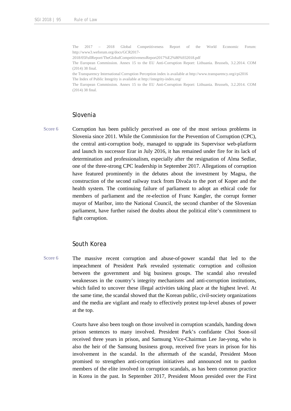The 2017 – 2018 Global Competitiveness Report of the World Economic Forum: http://www3.weforum.org/docs/GCR2017-

2018/05FullReport/TheGlobalCompetitivenessReport2017%E2%80%932018.pdf

The European Commission. Annex 15 to the EU Anti-Corruption Report: Lithuania. Brussels, 3.2.2014. COM (2014) 38 final.

the Transparency International Corruption Perception index is available at http://www.transparency.org/cpi2016 The Index of Public Integrity is available at http://integrity-index.org/

The European Commission. Annex 15 to the EU Anti-Corruption Report: Lithuania. Brussels, 3.2.2014. COM (2014) 38 final.

#### Slovenia

Score 6 Corruption has been publicly perceived as one of the most serious problems in Slovenia since 2011. While the Commission for the Prevention of Corruption (CPC), the central anti-corruption body, managed to upgrade its Supervisor web-platform and launch its successor Erar in July 2016, it has remained under fire for its lack of determination and professionalism, especially after the resignation of Alma Sedlar, one of the three-strong CPC leadership in September 2017. Allegations of corruption have featured prominently in the debates about the investment by Magna, the construction of the second railway track from Divača to the port of Koper and the health system. The continuing failure of parliament to adopt an ethical code for members of parliament and the re-election of Franc Kangler, the corrupt former mayor of Maribor, into the National Council, the second chamber of the Slovenian parliament, have further raised the doubts about the political elite's commitment to fight corruption.

# South Korea

Score 6 The massive recent corruption and abuse-of-power scandal that led to the impeachment of President Park revealed systematic corruption and collusion between the government and big business groups. The scandal also revealed weaknesses in the country's integrity mechanisms and anti-corruption institutions, which failed to uncover these illegal activities taking place at the highest level. At the same time, the scandal showed that the Korean public, civil-society organizations and the media are vigilant and ready to effectively protest top-level abuses of power at the top.

> Courts have also been tough on those involved in corruption scandals, handing down prison sentences to many involved. President Park's confidante Choi Soon-sil received three years in prison, and Samsung Vice-Chairman Lee Jae-yong, who is also the heir of the Samsung business group, received five years in prison for his involvement in the scandal. In the aftermath of the scandal, President Moon promised to strengthen anti-corruption initiatives and announced not to pardon members of the elite involved in corruption scandals, as has been common practice in Korea in the past. In September 2017, President Moon presided over the First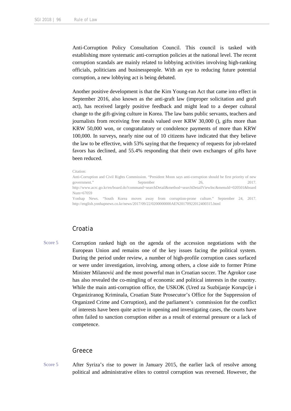Anti-Corruption Policy Consultation Council. This council is tasked with establishing more systematic anti-corruption policies at the national level. The recent corruption scandals are mainly related to lobbying activities involving high-ranking officials, politicians and businesspeople. With an eye to reducing future potential corruption, a new lobbying act is being debated.

Another positive development is that the Kim Young-ran Act that came into effect in September 2016, also known as the anti-graft law (improper solicitation and graft act), has received largely positive feedback and might lead to a deeper cultural change to the gift-giving culture in Korea. The law bans public servants, teachers and journalists from receiving free meals valued over KRW 30,000 (), gifts more than KRW 50,000 won, or congratulatory or condolence payments of more than KRW 100,000. In surveys, nearly nine out of 10 citizens have indicated that they believe the law to be effective, with 53% saying that the frequency of requests for job-related favors has declined, and 55.4% responding that their own exchanges of gifts have been reduced.

#### Citation:

Anti-Corruption and Civil Rights Commission. "President Moon says anti-corruption should be first priority of new government." September 26, 2017. http://www.acrc.go.kr/en/board.do?command=searchDetail&method=searchDetailViewInc&menuId=020501&board Num=67059

Yonhap News. "South Korea moves away from corruption-prone culture." September 24, 2017. http://english.yonhapnews.co.kr/news/2017/09/22/0200000000AEN20170922012400315.html

# Croatia

Score 5 Corruption ranked high on the agenda of the accession negotiations with the European Union and remains one of the key issues facing the political system. During the period under review, a number of high-profile corruption cases surfaced or were under investigation, involving, among others, a close aide to former Prime Minister Milanović and the most powerful man in Croatian soccer. The Agrokor case has also revealed the co-mingling of economic and political interests in the country. While the main anti-corruption office, the USKOK (Ured za Suzbijanje Korupcije i Organiziranog Kriminala, Croatian State Prosecutor's Office for the Suppression of Organized Crime and Corruption), and the parliament's commission for the conflict of interests have been quite active in opening and investigating cases, the courts have often failed to sanction corruption either as a result of external pressure or a lack of competence.

#### Greece

Score 5 After Syriza's rise to power in January 2015, the earlier lack of resolve among political and administrative elites to control corruption was reversed. However, the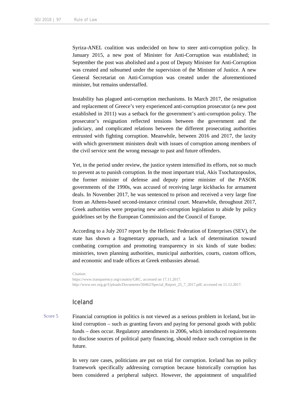Syriza-ANEL coalition was undecided on how to steer anti-corruption policy. In January 2015, a new post of Minister for Anti-Corruption was established; in September the post was abolished and a post of Deputy Minister for Anti-Corruption was created and subsumed under the supervision of the Minister of Justice. A new General Secretariat on Anti-Corruption was created under the aforementioned minister, but remains understaffed.

Instability has plagued anti-corruption mechanisms. In March 2017, the resignation and replacement of Greece's very experienced anti-corruption prosecutor (a new post established in 2011) was a setback for the government's anti-corruption policy. The prosecutor's resignation reflected tensions between the government and the judiciary, and complicated relations between the different prosecuting authorities entrusted with fighting corruption. Meanwhile, between 2016 and 2017, the laxity with which government ministers dealt with issues of corruption among members of the civil service sent the wrong message to past and future offenders.

Yet, in the period under review, the justice system intensified its efforts, not so much to prevent as to punish corruption. In the most important trial, Akis Tsochatzopoulos, the former minister of defense and deputy prime minister of the PASOK governments of the 1990s, was accused of receiving large kickbacks for armament deals. In November 2017, he was sentenced to prison and received a very large fine from an Athens-based second-instance criminal court. Meanwhile, throughout 2017, Greek authorities were preparing new anti-corruption legislation to abide by policy guidelines set by the European Commission and the Council of Europe.

According to a July 2017 report by the Hellenic Federation of Enterprises (SEV), the state has shown a fragmentary approach, and a lack of determination toward combating corruption and promoting transparency in six kinds of state bodies: ministries, town planning authorities, municipal authorities, courts, custom offices, and economic and trade offices at Greek embassies abroad.

Citation: https://www.transparency.org/country/GRC, accessed on 17.11.2017. http://www.sev.org.gr/Uploads/Documents/50462/Special\_Report\_25\_7\_2017.pdf, accessed on 11.12.2017.

### Iceland

Score 5 Financial corruption in politics is not viewed as a serious problem in Iceland, but inkind corruption – such as granting favors and paying for personal goods with public funds – does occur. Regulatory amendments in 2006, which introduced requirements to disclose sources of political party financing, should reduce such corruption in the future.

> In very rare cases, politicians are put on trial for corruption. Iceland has no policy framework specifically addressing corruption because historically corruption has been considered a peripheral subject. However, the appointment of unqualified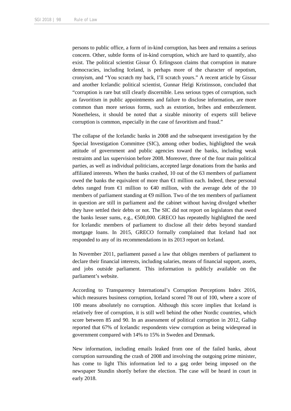persons to public office, a form of in-kind corruption, has been and remains a serious concern. Other, subtle forms of in-kind corruption, which are hard to quantify, also exist. The political scientist Gissur Ó. Erlingsson claims that corruption in mature democracies, including Iceland, is perhaps more of the character of nepotism, cronyism, and "You scratch my back, I'll scratch yours." A recent article by Gissur and another Icelandic political scientist, Gunnar Helgi Kristinsson, concluded that "corruption is rare but still clearly discernible. Less serious types of corruption, such as favoritism in public appointments and failure to disclose information, are more common than more serious forms, such as extortion, bribes and embezzlement. Nonetheless, it should be noted that a sizable minority of experts still believe corruption is common, especially in the case of favoritism and fraud."

The collapse of the Icelandic banks in 2008 and the subsequent investigation by the Special Investigation Committee (SIC), among other bodies, highlighted the weak attitude of government and public agencies toward the banks, including weak restraints and lax supervision before 2008. Moreover, three of the four main political parties, as well as individual politicians, accepted large donations from the banks and affiliated interests. When the banks crashed, 10 out of the 63 members of parliament owed the banks the equivalent of more than  $\bigoplus$  million each. Indeed, these personal debts ranged from  $\bigoplus$  million to  $\bigoplus$  million, with the average debt of the 10 members of parliament standing at  $\Theta$  million. Two of the ten members of parliament in question are still in parliament and the cabinet without having divulged whether they have settled their debts or not. The SIC did not report on legislators that owed the banks lesser sums, e.g.,  $\epsilon$ 500,000. GRECO has repeatedly highlighted the need for Icelandic members of parliament to disclose all their debts beyond standard mortgage loans. In 2015, GRECO formally complained that Iceland had not responded to any of its recommendations in its 2013 report on Iceland.

In November 2011, parliament passed a law that obliges members of parliament to declare their financial interests, including salaries, means of financial support, assets, and jobs outside parliament. This information is publicly available on the parliament's website.

According to Transparency International's Corruption Perceptions Index 2016, which measures business corruption, Iceland scored 78 out of 100, where a score of 100 means absolutely no corruption. Although this score implies that Iceland is relatively free of corruption, it is still well behind the other Nordic countries, which score between 85 and 90. In an assessment of political corruption in 2012, Gallup reported that 67% of Icelandic respondents view corruption as being widespread in government compared with 14% to 15% in Sweden and Denmark.

New information, including emails leaked from one of the failed banks, about corruption surrounding the crash of 2008 and involving the outgoing prime minister, has come to light This information led to a gag order being imposed on the newspaper Stundin shortly before the election. The case will be heard in court in early 2018.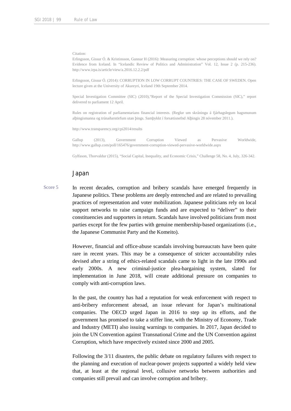#### Citation:

Erlingsson, Gissur Ó. & Kristinsson, Gunnar H (2016): Measuring corruption: whose perceptions should we rely on? Evidence from Iceland. In "Icelandic Review of Politics and Administration" Vol. 12, Issue 2 (p. 215-236). http://www.irpa.is/article/view/a.2016.12.2.2/pdf

Erlingsson, Gissur Ó. (2014): CORRUPTION IN LOW CORRUPT COUNTRIES: THE CASE OF SWEDEN. Open lecture given at the University of Akureyri, Iceland 19th September 2014.

Special Investigation Committee (SIC) (2010),"Report of the Special Investigation Commission (SIC)," report delivered to parliament 12 April.

Rules on registration of parliamentarians financial interests. (Reglur um skráningu á fjárhagslegum hagsmunum alþingismanna og trúnaðarstörfum utan þings. Samþykkt í forsætisnefnd Alþingis 28 nóvember 2011.).

http://www.transparency.org/cpi2014/results

Gallup (2013), Government Corruption Viewed as Pervasive Worldwide, http://www.gallup.com/poll/165476/government-corruption-viewed-pervasive-worldwide.aspx

Gylfason, Thorvaldur (2015), "Social Capital, Inequality, and Economic Crisis," Challenge 58, No. 4, July, 326-342.

#### Japan

Score 5 In recent decades, corruption and bribery scandals have emerged frequently in Japanese politics. These problems are deeply entrenched and are related to prevailing practices of representation and voter mobilization. Japanese politicians rely on local support networks to raise campaign funds and are expected to "deliver" to their constituencies and supporters in return. Scandals have involved politicians from most parties except for the few parties with genuine membership-based organizations (i.e., the Japanese Communist Party and the Komeito).

> However, financial and office-abuse scandals involving bureaucrats have been quite rare in recent years. This may be a consequence of stricter accountability rules devised after a string of ethics-related scandals came to light in the late 1990s and early 2000s. A new criminal-justice plea-bargaining system, slated for implementation in June 2018, will create additional pressure on companies to comply with anti-corruption laws.

> In the past, the country has had a reputation for weak enforcement with respect to anti-bribery enforcement abroad, an issue relevant for Japan's multinational companies. The OECD urged Japan in 2016 to step up its efforts, and the government has promised to take a stiffer line, with the Ministry of Economy, Trade and Industry (METI) also issuing warnings to companies. In 2017, Japan decided to join the UN Convention against Transnational Crime and the UN Convention against Corruption, which have respectively existed since 2000 and 2005.

> Following the 3/11 disasters, the public debate on regulatory failures with respect to the planning and execution of nuclear-power projects supported a widely held view that, at least at the regional level, collusive networks between authorities and companies still prevail and can involve corruption and bribery.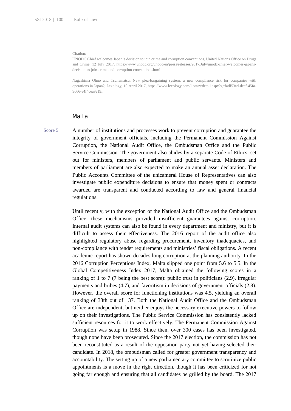#### Citation:

UNODC Chief welcomes Japan's decision to join crime and corruption conventions, United Nations Office on Drugs and Crime, 12 July 2017, https://www.unodc.org/unodc/en/press/releases/2017/July/unodc-chief-welcomes-japansdecision-to-join-crime-and-corruption-conventions.html

Nagashima Ohno and Tsunematsu, New plea-bargaining system: a new compliance risk for companies with operations in Japan?, Lexology, 10 April 2017, https://www.lexology.com/library/detail.aspx?g=fadf53ad-decf-45fa-9d66-e4f4cea9e19f

#### Malta

Score 5 A number of institutions and processes work to prevent corruption and guarantee the integrity of government officials, including the Permanent Commission Against Corruption, the National Audit Office, the Ombudsman Office and the Public Service Commission. The government also abides by a separate Code of Ethics, set out for ministers, members of parliament and public servants. Ministers and members of parliament are also expected to make an annual asset declaration. The Public Accounts Committee of the unicameral House of Representatives can also investigate public expenditure decisions to ensure that money spent or contracts awarded are transparent and conducted according to law and general financial regulations.

> Until recently, with the exception of the National Audit Office and the Ombudsman Office, these mechanisms provided insufficient guarantees against corruption. Internal audit systems can also be found in every department and ministry, but it is difficult to assess their effectiveness. The 2016 report of the audit office also highlighted regulatory abuse regarding procurement, inventory inadequacies, and non-compliance with tender requirements and ministries' fiscal obligations. A recent academic report has shown decades long corruption at the planning authority. In the 2016 Corruption Perceptions Index, Malta slipped one point from 5.6 to 5.5. In the Global Competitiveness Index 2017, Malta obtained the following scores in a ranking of 1 to 7 (7 being the best score): public trust in politicians (2.9), irregular payments and bribes (4.7), and favoritism in decisions of government officials (2.8). However, the overall score for functioning institutions was 4.5, yielding an overall ranking of 38th out of 137. Both the National Audit Office and the Ombudsman Office are independent, but neither enjoys the necessary executive powers to follow up on their investigations. The Public Service Commission has consistently lacked sufficient resources for it to work effectively. The Permanent Commission Against Corruption was setup in 1988. Since then, over 300 cases has been investigated, though none have been prosecuted. Since the 2017 election, the commission has not been reconstituted as a result of the opposition party not yet having selected their candidate. In 2018, the ombudsman called for greater government transparency and accountability. The setting up of a new parliamentary committee to scrutinize public appointments is a move in the right direction, though it has been criticized for not going far enough and ensuring that all candidates be grilled by the board. The 2017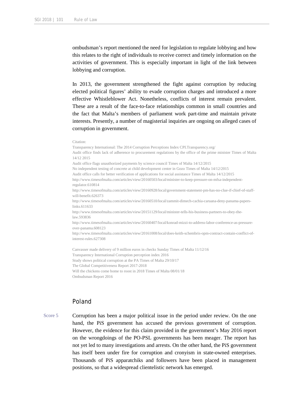ombudsman's report mentioned the need for legislation to regulate lobbying and how this relates to the right of individuals to receive correct and timely information on the activities of government. This is especially important in light of the link between lobbying and corruption.

In 2013, the government strengthened the fight against corruption by reducing elected political figures' ability to evade corruption charges and introduced a more effective Whistleblower Act. Nonetheless, conflicts of interest remain prevalent. These are a result of the face-to-face relationships common in small countries and the fact that Malta's members of parliament work part-time and maintain private interests. Presently, a number of magisterial inquiries are ongoing on alleged cases of corruption in government.

```
Citation:
```
Transparency International: The 2014 Corruption Perceptions Index CPI.Transparency.org/ Audit office finds lack of adherence to procurement regulations by the office of the prime minister Times of Malta 14/12 2015 Audit office flags unauthorized payments by science council Times of Malta 14/12/2015 No independent testing of concrete at child development center in Gozo Times of Malta 14/12/2015 Audit office calls for better verification of applications for social assistance Times of Malta 14/12/2015 http://www.timesofmalta.com/articles/view/20160503/local/minister-to-keep-pressure-on-mfsa-independentregulator.610814 http://www.timesofmalta.com/articles/view/20160928/local/government-statement-pm-has-no-clue-if-chief-of-staffwill-benefit.626373 http://www.timesofmalta.com/articles/view/20160510/local/zammit-dimech-cachia-caruana-deny-panama-paperslinks.611633 http://www.timesofmalta.com/articles/view/20151129/local/minister-tells-his-business-partners-to-obey-thelaw.593836 http://www.timesofmalta.com/articles/view/20160407/local/konrad-mizzi-to-address-labor-conference-as-pressureover-panama.608123 http://www.timesofmalta.com/articles/view/20161008/local/does-keith-schembris-opm-contract-contain-conflict-ofinterest-rules.627308 Canvasser made delivery of 9 million euros in checks Sunday Times of Malta 11/12/16 Transparency International Corruption perception index 2016 Study shows political corruption at the PA Times of Malta 29/10/17 The Global Competitiveness Report 2017-2018 Will the chickens come home to roost in 2018 Times of Malta 08/01/18

Ombudsman Report 2016

# Poland

Score 5 Corruption has been a major political issue in the period under review. On the one hand, the PiS government has accused the previous government of corruption. However, the evidence for this claim provided in the government's May 2016 report on the wrongdoings of the PO-PSL governments has been meager. The report has not yet led to many investigations and arrests. On the other hand, the PiS government has itself been under fire for corruption and cronyism in state-owned enterprises. Thousands of PiS apparatchiks and followers have been placed in management positions, so that a widespread clientelistic network has emerged.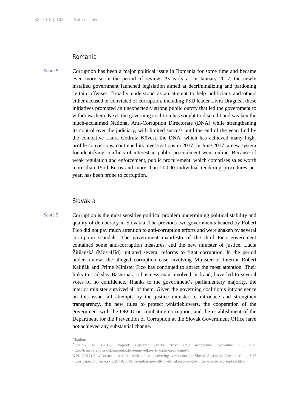# Romania

Score 5 Corruption has been a major political issue in Romania for some time and became even more so in the period of review. As early as in January 2017, the newly installed government launched legislation aimed at decriminalizing and pardoning certain offenses. Broadly understood as an attempt to help politicians and others either accused or convicted of corruption, including PSD leader Liviu Dragnea, these initiatives prompted an unexpectedly strong public outcry that led the government to withdraw them. Next, the governing coalition has sought to discredit and weaken the much-acclaimed National Anti-Corruption Directorate (DNA) while strengthening its control over the judiciary, with limited success until the end of the year. Led by the combative Laura Codruta Kövesi, the DNA, which has achieved many highprofile convictions, continued its investigations in 2017. In June 2017, a new system for identifying conflicts of interest in public procurement went online. Because of weak regulation and enforcement, public procurement, which comprises sales worth more than 15bil Euros and more than 20,000 individual tendering procedures per year, has been prone to corruption.

# Slovakia

Score 5 Corruption is the most sensitive political problem undermining political stability and quality of democracy in Slovakia. The previous two governments headed by Robert Fico did not pay much attention to anti-corruption efforts and were shaken by several corruption scandals. The government manifesto of the third Fico government contained some anti-corruption measures, and the new minister of justice, Lucia Žitňanská (Most-Híd) initiated several reforms to fight corruption. In the period under review, the alleged corruption case involving Minister of Interior Robert Kaliňák and Prime Minister Fico has continued to attract the most attention. Their links to Ladislav Basternak, a business man involved in fraud, have led to several votes of no confidence. Thanks to the government's parliamentary majority, the interior minister survived all of them. Given the governing coalition's intransigence on this issue, all attempts by the justice minister to introduce and strengthen transparency, the new rules to protect whistleblowers, the cooperation of the government with the OECD on combating corruption, and the establishment of the Department for the Prevention of Corruption at the Slovak Government Office have not achieved any substantial change.

Citation:

Šimalčík, M. (2017): Napriek zlepšeniu "veľké ryby" stále nechytáme. November 11, 2017 (http://transparency.sk/sk/napriek-zlepseniu-velke-ryby-stale-nechytame/).

N.N. (2017) Slovaks are unsatisfied with police uncovering corruption, in: Slovak Spectator, December 11, 2017 (https://spectator.sme.sk/c/20716114/five-embassies-call-on-slovak-cabinet-to-further-combat-corruption.html).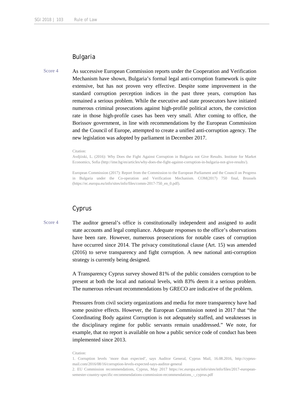# Bulgaria

Score 4 As successive European Commission reports under the Cooperation and Verification Mechanism have shown, Bulgaria's formal legal anti-corruption framework is quite extensive, but has not proven very effective. Despite some improvement in the standard corruption perception indices in the past three years, corruption has remained a serious problem. While the executive and state prosecutors have initiated numerous criminal prosecutions against high-profile political actors, the conviction rate in those high-profile cases has been very small. After coming to office, the Borissov government, in line with recommendations by the European Commission and the Council of Europe, attempted to create a unified anti-corruption agency. The new legislation was adopted by parliament in December 2017.

#### Citation:

Avdjiiski, L. (2016): Why Does the Fight Against Corruption in Bulgaria not Give Results. Institute for Market Economics, Sofia (http://ime.bg/en/articles/why-does-the-fight-against-corruption-in-bulgaria-not-give-results/).

European Commission (2017): Report from the Commission to the European Parliament and the Council on Progress in Bulgaria under the Co-operation and Verification Mechanism. COM(2017) 750 final, Brussels (https://ec.europa.eu/info/sites/info/files/comm-2017-750\_en\_0.pdf).

# Cyprus

Score 4 The auditor general's office is constitutionally independent and assigned to audit state accounts and legal compliance. Adequate responses to the office's observations have been rare. However, numerous prosecutions for notable cases of corruption have occurred since 2014. The privacy constitutional clause (Art. 15) was amended (2016) to serve transparency and fight corruption. A new national anti-corruption strategy is currently being designed.

> A Transparency Cyprus survey showed 81% of the public considers corruption to be present at both the local and national levels, with 83% deem it a serious problem. The numerous relevant recommendations by GRECO are indicative of the problem.

> Pressures from civil society organizations and media for more transparency have had some positive effects. However, the European Commission noted in 2017 that "the Coordinating Body against Corruption is not adequately staffed, and weaknesses in the disciplinary regime for public servants remain unaddressed." We note, for example, that no report is available on how a public service code of conduct has been implemented since 2013.

#### Citation:

<sup>1.</sup> Corruption levels 'more than expected', says Auditor General, Cyprus Mail, 16.08.2016, http://cyprusmail.com/2016/08/16/corruption-levels-expected-says-auditor-general

<sup>2.</sup> EU Commission recommendations, Cyprus, May 2017 https://ec.europa.eu/info/sites/info/files/2017-europeansemester-country-specific-recommendations-commission-recommendations\_-\_cyprus.pdf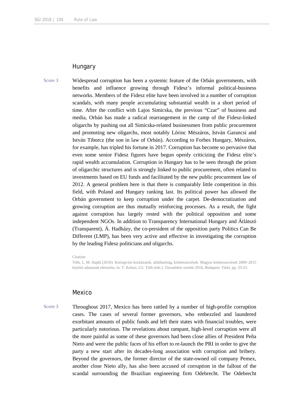# **Hungary**

Score 3 Widespread corruption has been a systemic feature of the Orbán governments, with benefits and influence growing through Fidesz's informal political-business networks. Members of the Fidesz elite have been involved in a number of corruption scandals, with many people accumulating substantial wealth in a short period of time. After the conflict with Lajos Simicska, the previous "Czar" of business and media, Orbán has made a radical rearrangement in the camp of the Fidesz-linked oligarchs by pushing out all Simicska-related businessmen from public procurement and promoting new oligarchs, most notably Lőrinc Mészáros, István Garancsi and István Tiborcz (the son in law of Orbán). According to Forbes Hungary, Mészáros, for example, has tripled his fortune in 2017. Corruption has become so pervasive that even some senior Fidesz figures have begun openly criticizing the Fidesz elite's rapid wealth accumulation. Corruption in Hungary has to be seen through the prism of oligarchic structures and is strongly linked to public procurement, often related to investments based on EU funds and facilitated by the new public procurement law of 2012. A general problem here is that there is comparably little competition in this field, with Poland and Hungary ranking last. Its political power has allowed the Orbán government to keep corruption under the carpet. De-democratization and growing corruption are thus mutually reinforcing processes. As a result, the fight against corruption has largely rested with the political opposition and some independent NGOs. In addition to Transparency International Hungary and Átlátszó (Transparent), Á. Hadházy, the co-president of the opposition party Politics Can Be Different (LMP), has been very active and effective in investigating the corruption by the leading Fidesz politicians and oligarchs.

Citation:

Tóth, I., M. Hajdú (2016): Korrupciós kockázatok, átláthatóság, közbeszerzések. Magyar közbeszerzések 2009–2015 közötti adatainak elemzése, in: T. Kolosi, I.G. Tóth (eds.): Társadalmi szemle 2016, Budapest: Tárki, pp. 33-53.

#### Mexico

Score 3 Throughout 2017, Mexico has been rattled by a number of high-profile corruption cases. The cases of several former governors, who embezzled and laundered exorbitant amounts of public funds and left their states with financial troubles, were particularly notorious. The revelations about rampant, high-level corruption were all the more painful as some of these governors had been close allies of President Peña Nieto and were the public faces of his effort to re-launch the PRI in order to give the party a new start after its decades-long association with corruption and bribery. Beyond the governors, the former director of the state-owned oil company Pemex, another close Nieto ally, has also been accused of corruption in the fallout of the scandal surrounding the Brazilian engineering firm Odebrecht. The Odebrecht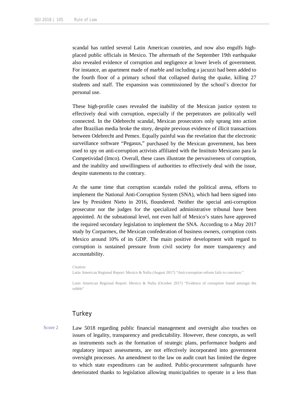scandal has rattled several Latin American countries, and now also engulfs highplaced public officials in Mexico. The aftermath of the September 19th earthquake also revealed evidence of corruption and negligence at lower levels of government. For instance, an apartment made of marble and including a jacuzzi had been added to the fourth floor of a primary school that collapsed during the quake, killing 27 students and staff. The expansion was commissioned by the school's director for personal use.

These high-profile cases revealed the inability of the Mexican justice system to effectively deal with corruption, especially if the perpetrators are politically well connected. In the Odebrecht scandal, Mexican prosecutors only sprang into action after Brazilian media broke the story, despite previous evidence of illicit transactions between Odebrecht and Pemex. Equally painful was the revelation that the electronic surveillance software "Pegasus," purchased by the Mexican government, has been used to spy on anti-corruption activists affiliated with the Instituto Mexicano para la Competividad (Imco). Overall, these cases illustrate the pervasiveness of corruption, and the inability and unwillingness of authorities to effectively deal with the issue, despite statements to the contrary.

At the same time that corruption scandals roiled the political arena, efforts to implement the National Anti-Corruption System (SNA), which had been signed into law by President Nieto in 2016, floundered. Neither the special anti-corruption prosecutor nor the judges for the specialized administrative tribunal have been appointed. At the subnational level, not even half of Mexico's states have approved the required secondary legislation to implement the SNA. According to a May 2017 study by Corparmex, the Mexican confederation of business owners, corruption costs Mexico around 10% of its GDP. The main positive development with regard to corruption is sustained pressure from civil society for more transparency and accountability.

Citation: Latin American Regional Report: Mexico & Nafta (August 2017) "Anti-corruption reform fails to convince."

Latin American Regional Report: Mexico & Nafta (October 2017) "Evidence of corruption found amongst the rubble"

### **Turkey**

Score 2 Law 5018 regarding public financial management and oversight also touches on issues of legality, transparency and predictability. However, these concepts, as well as instruments such as the formation of strategic plans, performance budgets and regulatory impact assessments, are not effectively incorporated into government oversight processes. An amendment to the law on audit court has limited the degree to which state expenditures can be audited. Public-procurement safeguards have deteriorated thanks to legislation allowing municipalities to operate in a less than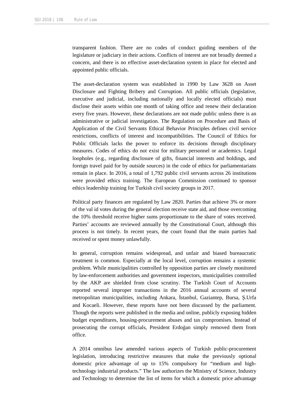transparent fashion. There are no codes of conduct guiding members of the legislature or judiciary in their actions. Conflicts of interest are not broadly deemed a concern, and there is no effective asset-declaration system in place for elected and appointed public officials.

The asset-declaration system was established in 1990 by Law 3628 on Asset Disclosure and Fighting Bribery and Corruption. All public officials (legislative, executive and judicial, including nationally and locally elected officials) must disclose their assets within one month of taking office and renew their declaration every five years. However, these declarations are not made public unless there is an administrative or judicial investigation. The Regulation on Procedure and Basis of Application of the Civil Servants Ethical Behavior Principles defines civil service restrictions, conflicts of interest and incompatibilities. The Council of Ethics for Public Officials lacks the power to enforce its decisions through disciplinary measures. Codes of ethics do not exist for military personnel or academics. Legal loopholes (e.g., regarding disclosure of gifts, financial interests and holdings, and foreign travel paid for by outside sources) in the code of ethics for parliamentarians remain in place. In 2016, a total of 1,792 public civil servants across 26 institutions were provided ethics training. The European Commission continued to sponsor ethics leadership training for Turkish civil society groups in 2017.

Political party finances are regulated by Law 2820. Parties that achieve 3% or more of the val id votes during the general election receive state aid, and those overcoming the 10% threshold receive higher sums proportionate to the share of votes received. Parties' accounts are reviewed annually by the Constitutional Court, although this process is not timely. In recent years, the court found that the main parties had received or spent money unlawfully.

In general, corruption remains widespread, and unfair and biased bureaucratic treatment is common. Especially at the local level, corruption remains a systemic problem. While municipalities controlled by opposition parties are closely monitored by law-enforcement authorities and government inspectors, municipalities controlled by the AKP are shielded from close scrutiny. The Turkish Court of Accounts reported several improper transactions in the 2016 annual accounts of several metropolitan municipalities, including Ankara, İstanbul, Gaziantep, Bursa, Ş.Urfa and Kocaeli. However, these reports have not been discussed by the parliament. Though the reports were published in the media and online, publicly exposing hidden budget expenditures, housing-procurement abuses and tax compromises. Instead of prosecuting the corrupt officials, President Erdoğan simply removed them from office.

A 2014 omnibus law amended various aspects of Turkish public-procurement legislation, introducing restrictive measures that make the previously optional domestic price advantage of up to 15% compulsory for "medium and hightechnology industrial products." The law authorizes the Ministry of Science, Industry and Technology to determine the list of items for which a domestic price advantage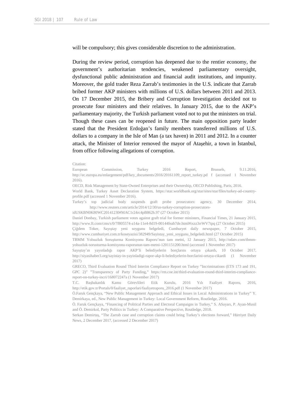will be compulsory; this gives considerable discretion to the administration.

During the review period, corruption has deepened due to the rentier economy, the government's authoritarian tendencies, weakened parliamentary oversight, dysfunctional public administration and financial audit institutions, and impunity. Moreover, the gold trader Reza Zarrab's testimonies in the U.S. indicate that Zarrab bribed former AKP ministers with millions of U.S. dollars between 2011 and 2013. On 17 December 2015, the Bribery and Corruption Investigation decided not to prosecute four ministers and their relatives. In January 2015, due to the AKP's parliamentary majority, the Turkish parliament voted not to put the ministers on trial. Though these cases can be reopened in future. The main opposition party leader stated that the President Erdoğan's family members transferred millions of U.S. dollars to a company in the Isle of Man (a tax haven) in 2011 and 2012. In a counter attack, the Minister of Interior removed the mayor of Ataşehir, a town in İstanbul, from office following allegations of corruption.

#### Citation:

European Commission, Turkey 2016 Report, Brussels, 9.11.2016, http://ec.europa.eu/enlargement/pdf/key\_documents/2016/20161109\_report\_turkey.pd f (accessed 1 November 2016).

OECD, Risk Management by State-Owned Enterprises and their Ownership, OECD Publishing, Paris, 2016.

World Bank, Turkey Asset Declaration System, https://star.worldbank.org/star/sites/star/files/turkey-ad-countryprofile.pdf (accessed 1 November 2016).

Turkey's top judicial body suspends graft probe prosecutors: agency, 30 December 2014, http://www.reuters.com/article/2014/12/30/us-turkey-corruption-prosecutors-

idUSKBN0K80WC20141230#MAC1r24rc4pB862h.97 (27 October 2015)

Daniel Donbay, Turkish parliament votes against graft trial for former ministers, Financial Times, 21 January 2015, http://www.ft.com/cms/s/0/7f805574-a14a-11e4-8d19-00144feab7de.html#ixzz3rrWV7tpq (27 October 2015)

Çiğdem Toker, Sayıştay yeni soygunu belgeledi, Cumhuryet daily newspaper, 7 October 2015, http://www.cumhuriyet.com.tr/koseyazisi/382949/Sayistay\_yeni\_soygunu\_belgeledi.html (27 October 2015)

TBMM Yolsuzluk Soruşturma Komisyonu Raporu'nun tam metni, 12 January 2015, http://odatv.com/tbmmyolsuzluk-sorusturma-komisyonu-raporunun-tam-metni-1201151200.html (accessed 1 November 2017)

Sayıştay'ın yayınladığı rapor AKP'li belediyelerin borçlarını ortaya çıkardı, 10 October 2017, http://siyasihaber3.org/sayistay-in-yayinladigi-rapor-akp-li-belediyelerin-borclarini-ortaya-cikardi (1 November 2017)

GRECO, Third Evaluation Round Third Interim Compliance Report on Turkey "Incriminations (ETS 173 and 191, GPC 2)" "Transparency of Party Funding," https://rm.coe.int/third-evaluation-round-third-interim-compliancereport-on-turkey-incri/168072247a (1 November 2017)

T.C. Başbakanlık Kamu Görevlileri Etik Kurulu, 2016 Yılı Faaliyet Raporu, 2016, http://etik.gov.tr/Portals/0/faaliyet\_raporlari/faaliyetraporu\_2016.pdf (1 November 2017)

Ö.Faruk Gençkaya, "New Public Management Approach and Ethical Issues in Local Administrations in Turkey" Y. Demirkaya, ed., New Public Management in Turkey: Local Government Reform, Routledge, 2016.

Ö. Faruk Gençkaya, "Financing of Political Parties and Electoral Campaigns in Turkey," S. ASayarı, P. Ayan-Musil and Ö. Demirkol, Party Politics in Turkey: A Comparative Perspective, Routledge, 2018.

Serkan Demirtaş, "The Zarrab case and corruption claims could bring Turkey's elections forward," Hürriyet Daily News, 2 December 2017, (accessed 2 December 2017)